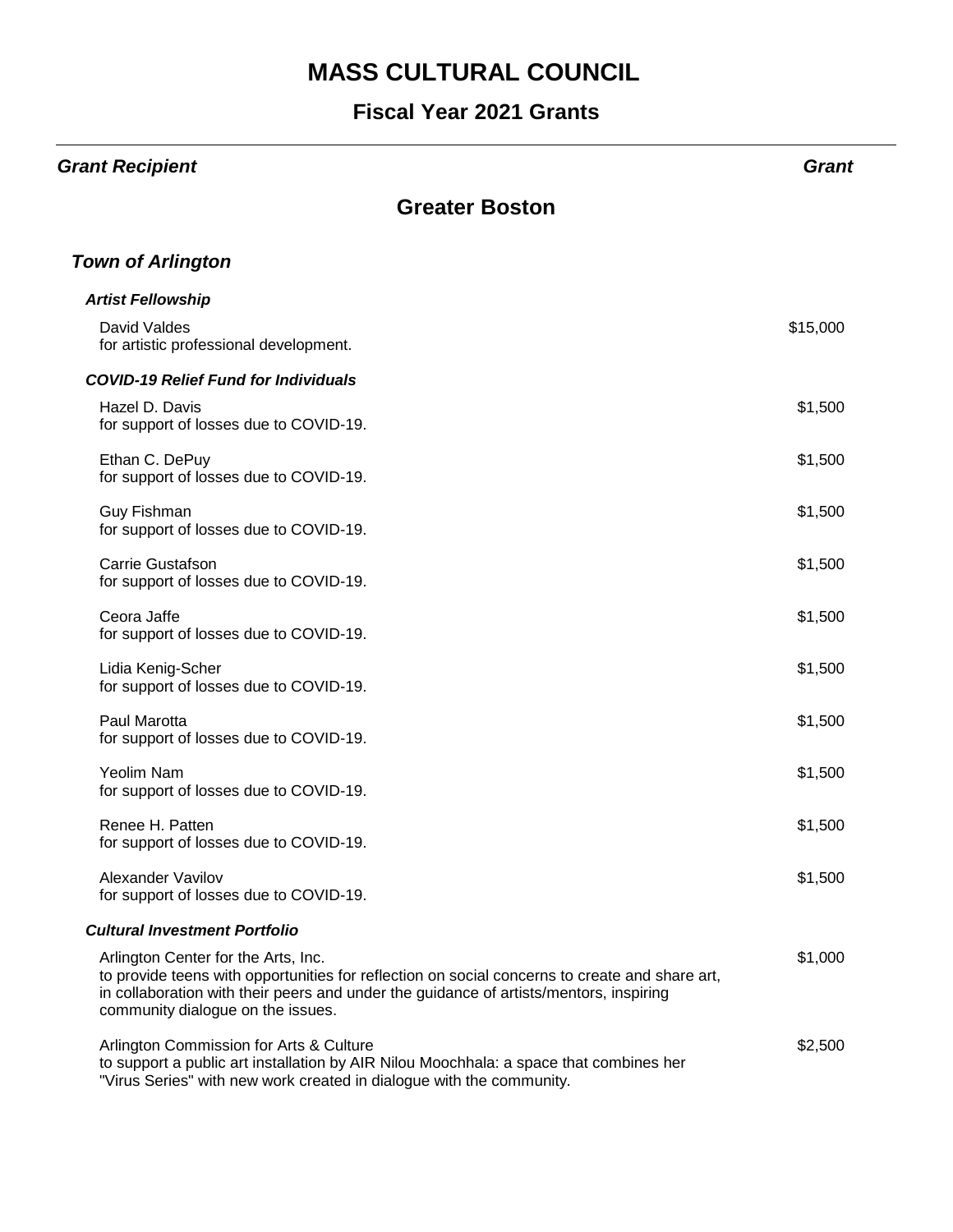#### **Fiscal Year 2021 Grants**

#### *Grant Recipient Grant* **Greater Boston** *Town of Arlington Artist Fellowship* David Valdes for artistic professional development. \$15,000 *COVID-19 Relief Fund for Individuals* Hazel D. Davis for support of losses due to COVID-19. \$1,500 Ethan C. DePuy for support of losses due to COVID-19. \$1,500 Guy Fishman for support of losses due to COVID-19. \$1,500 Carrie Gustafson for support of losses due to COVID-19. \$1,500 Ceora Jaffe for support of losses due to COVID-19. \$1,500 Lidia Kenig-Scher for support of losses due to COVID-19. \$1,500 Paul Marotta for support of losses due to COVID-19. \$1,500 Yeolim Nam for support of losses due to COVID-19. \$1,500 Renee H. Patten for support of losses due to COVID-19. \$1,500 Alexander Vavilov for support of losses due to COVID-19. \$1,500 *Cultural Investment Portfolio* Arlington Center for the Arts, Inc. to provide teens with opportunities for reflection on social concerns to create and share art, in collaboration with their peers and under the guidance of artists/mentors, inspiring community dialogue on the issues. \$1,000 Arlington Commission for Arts & Culture to support a public art installation by AIR Nilou Moochhala: a space that combines her \$2,500

"Virus Series" with new work created in dialogue with the community.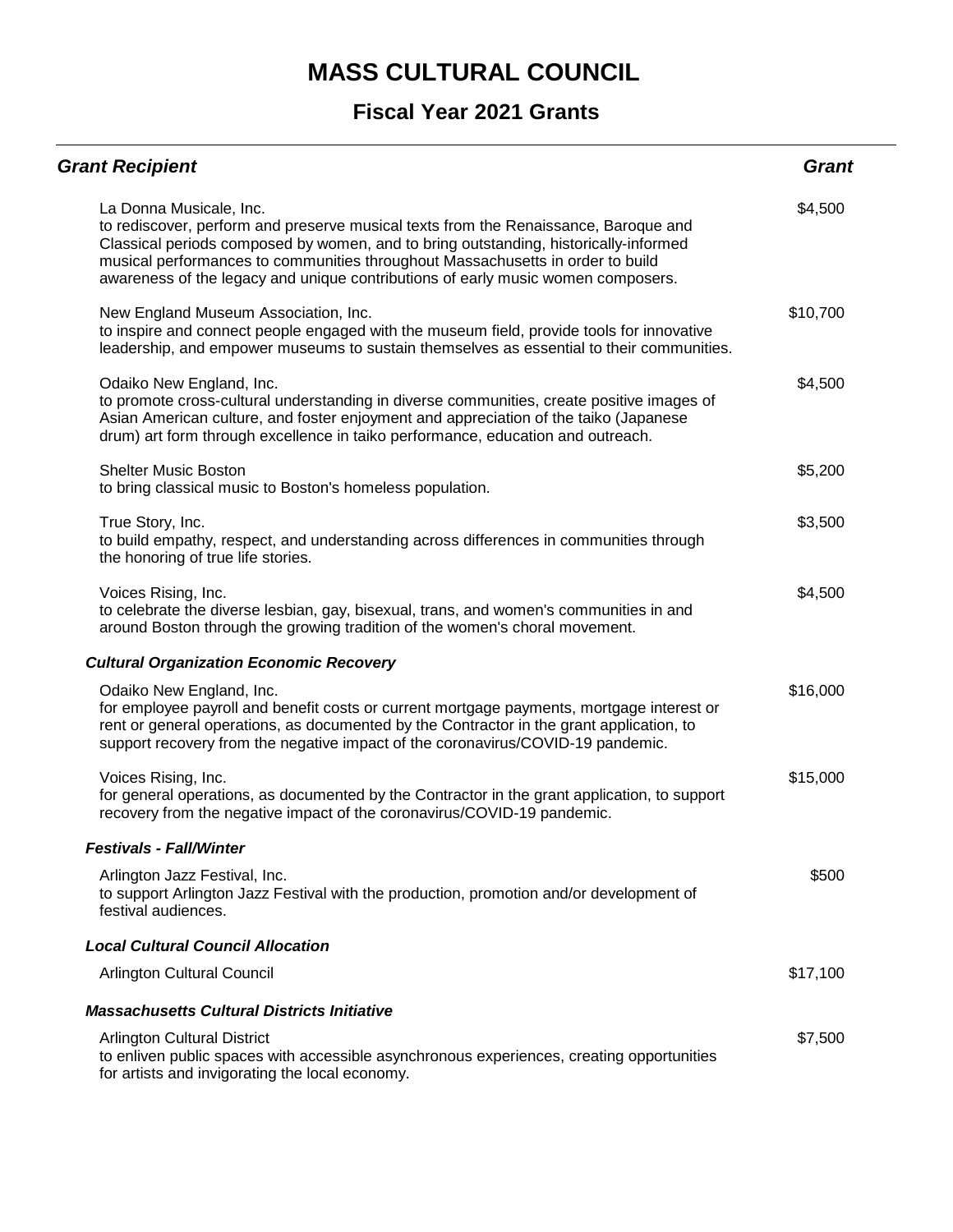| <b>Grant Recipient</b>                                                                                                                                                                                                                                                                                                                                                       | <b>Grant</b> |
|------------------------------------------------------------------------------------------------------------------------------------------------------------------------------------------------------------------------------------------------------------------------------------------------------------------------------------------------------------------------------|--------------|
| La Donna Musicale, Inc.<br>to rediscover, perform and preserve musical texts from the Renaissance, Baroque and<br>Classical periods composed by women, and to bring outstanding, historically-informed<br>musical performances to communities throughout Massachusetts in order to build<br>awareness of the legacy and unique contributions of early music women composers. | \$4,500      |
| New England Museum Association, Inc.<br>to inspire and connect people engaged with the museum field, provide tools for innovative<br>leadership, and empower museums to sustain themselves as essential to their communities.                                                                                                                                                | \$10,700     |
| Odaiko New England, Inc.<br>to promote cross-cultural understanding in diverse communities, create positive images of<br>Asian American culture, and foster enjoyment and appreciation of the taiko (Japanese<br>drum) art form through excellence in taiko performance, education and outreach.                                                                             | \$4,500      |
| <b>Shelter Music Boston</b><br>to bring classical music to Boston's homeless population.                                                                                                                                                                                                                                                                                     | \$5,200      |
| True Story, Inc.<br>to build empathy, respect, and understanding across differences in communities through<br>the honoring of true life stories.                                                                                                                                                                                                                             | \$3,500      |
| Voices Rising, Inc.<br>to celebrate the diverse lesbian, gay, bisexual, trans, and women's communities in and<br>around Boston through the growing tradition of the women's choral movement.                                                                                                                                                                                 | \$4,500      |
| <b>Cultural Organization Economic Recovery</b>                                                                                                                                                                                                                                                                                                                               |              |
| Odaiko New England, Inc.<br>for employee payroll and benefit costs or current mortgage payments, mortgage interest or<br>rent or general operations, as documented by the Contractor in the grant application, to<br>support recovery from the negative impact of the coronavirus/COVID-19 pandemic.                                                                         | \$16,000     |
| Voices Rising, Inc.<br>for general operations, as documented by the Contractor in the grant application, to support<br>recovery from the negative impact of the coronavirus/COVID-19 pandemic.                                                                                                                                                                               | \$15,000     |
| <b>Festivals - Fall/Winter</b>                                                                                                                                                                                                                                                                                                                                               |              |
| Arlington Jazz Festival, Inc.<br>to support Arlington Jazz Festival with the production, promotion and/or development of<br>festival audiences.                                                                                                                                                                                                                              | \$500        |
| <b>Local Cultural Council Allocation</b>                                                                                                                                                                                                                                                                                                                                     |              |
| <b>Arlington Cultural Council</b>                                                                                                                                                                                                                                                                                                                                            | \$17,100     |
| <b>Massachusetts Cultural Districts Initiative</b>                                                                                                                                                                                                                                                                                                                           |              |
| <b>Arlington Cultural District</b><br>to enliven public spaces with accessible asynchronous experiences, creating opportunities<br>for artists and invigorating the local economy.                                                                                                                                                                                           | \$7,500      |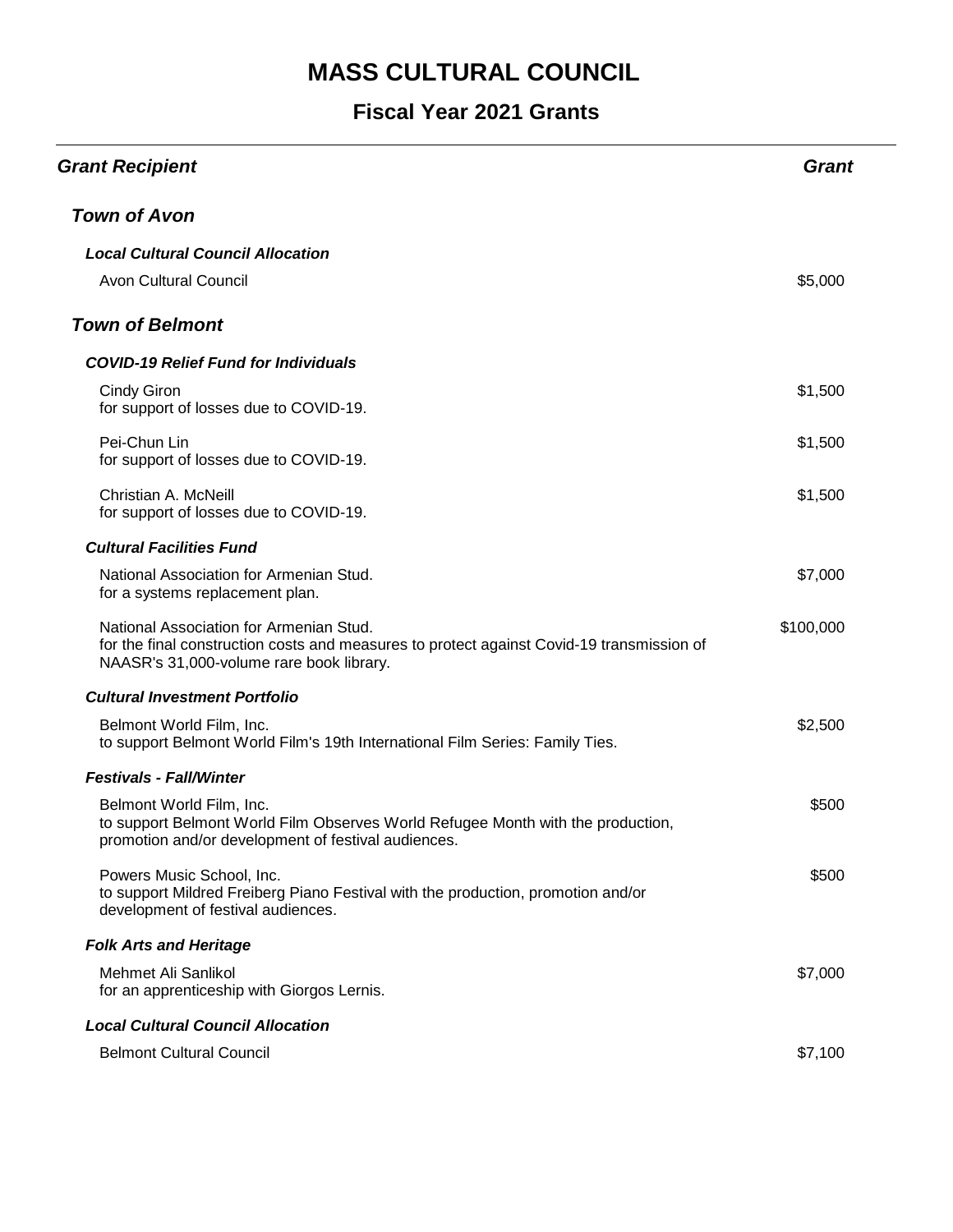| <b>Grant Recipient</b>                                                                                                                                                           | <b>Grant</b> |
|----------------------------------------------------------------------------------------------------------------------------------------------------------------------------------|--------------|
| <b>Town of Avon</b>                                                                                                                                                              |              |
| <b>Local Cultural Council Allocation</b>                                                                                                                                         |              |
| <b>Avon Cultural Council</b>                                                                                                                                                     | \$5,000      |
| <b>Town of Belmont</b>                                                                                                                                                           |              |
| <b>COVID-19 Relief Fund for Individuals</b>                                                                                                                                      |              |
| <b>Cindy Giron</b><br>for support of losses due to COVID-19.                                                                                                                     | \$1,500      |
| Pei-Chun Lin<br>for support of losses due to COVID-19.                                                                                                                           | \$1,500      |
| Christian A. McNeill<br>for support of losses due to COVID-19.                                                                                                                   | \$1,500      |
| <b>Cultural Facilities Fund</b>                                                                                                                                                  |              |
| National Association for Armenian Stud.<br>for a systems replacement plan.                                                                                                       | \$7,000      |
| National Association for Armenian Stud.<br>for the final construction costs and measures to protect against Covid-19 transmission of<br>NAASR's 31,000-volume rare book library. | \$100,000    |
| <b>Cultural Investment Portfolio</b>                                                                                                                                             |              |
| Belmont World Film, Inc.<br>to support Belmont World Film's 19th International Film Series: Family Ties.                                                                         | \$2,500      |
| <b>Festivals - Fall/Winter</b>                                                                                                                                                   |              |
| Belmont World Film, Inc.<br>to support Belmont World Film Observes World Refugee Month with the production,<br>promotion and/or development of festival audiences.               | \$500        |
| Powers Music School, Inc.<br>to support Mildred Freiberg Piano Festival with the production, promotion and/or<br>development of festival audiences.                              | \$500        |
| <b>Folk Arts and Heritage</b>                                                                                                                                                    |              |
| Mehmet Ali Sanlikol<br>for an apprenticeship with Giorgos Lernis.                                                                                                                | \$7,000      |
| <b>Local Cultural Council Allocation</b>                                                                                                                                         |              |
| <b>Belmont Cultural Council</b>                                                                                                                                                  | \$7,100      |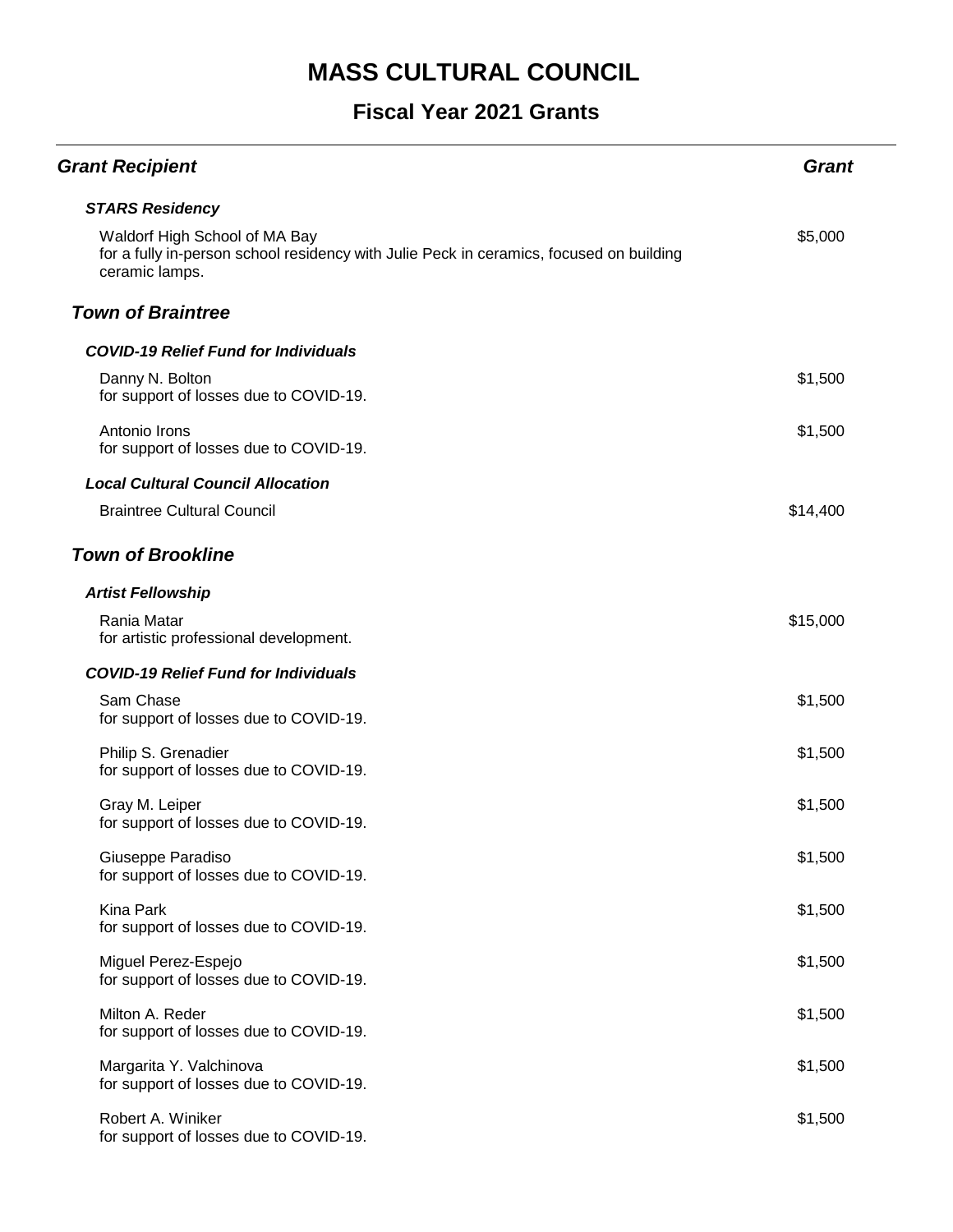| <b>Grant Recipient</b>                                                                                                                     | <b>Grant</b> |
|--------------------------------------------------------------------------------------------------------------------------------------------|--------------|
| <b>STARS Residency</b>                                                                                                                     |              |
| Waldorf High School of MA Bay<br>for a fully in-person school residency with Julie Peck in ceramics, focused on building<br>ceramic lamps. | \$5,000      |
| <b>Town of Braintree</b>                                                                                                                   |              |
| <b>COVID-19 Relief Fund for Individuals</b>                                                                                                |              |
| Danny N. Bolton<br>for support of losses due to COVID-19.                                                                                  | \$1,500      |
| Antonio Irons<br>for support of losses due to COVID-19.                                                                                    | \$1,500      |
| <b>Local Cultural Council Allocation</b>                                                                                                   |              |
| <b>Braintree Cultural Council</b>                                                                                                          | \$14,400     |
| <b>Town of Brookline</b>                                                                                                                   |              |
| <b>Artist Fellowship</b>                                                                                                                   |              |
| Rania Matar<br>for artistic professional development.                                                                                      | \$15,000     |
| <b>COVID-19 Relief Fund for Individuals</b>                                                                                                |              |
| Sam Chase<br>for support of losses due to COVID-19.                                                                                        | \$1,500      |
| Philip S. Grenadier<br>for support of losses due to COVID-19.                                                                              | \$1,500      |
| Gray M. Leiper<br>for support of losses due to COVID-19.                                                                                   | \$1,500      |
| Giuseppe Paradiso<br>for support of losses due to COVID-19.                                                                                | \$1,500      |
| <b>Kina Park</b><br>for support of losses due to COVID-19.                                                                                 | \$1,500      |
| Miguel Perez-Espejo<br>for support of losses due to COVID-19.                                                                              | \$1,500      |
| Milton A. Reder<br>for support of losses due to COVID-19.                                                                                  | \$1,500      |
| Margarita Y. Valchinova<br>for support of losses due to COVID-19.                                                                          | \$1,500      |
| Robert A. Winiker<br>for support of losses due to COVID-19.                                                                                | \$1,500      |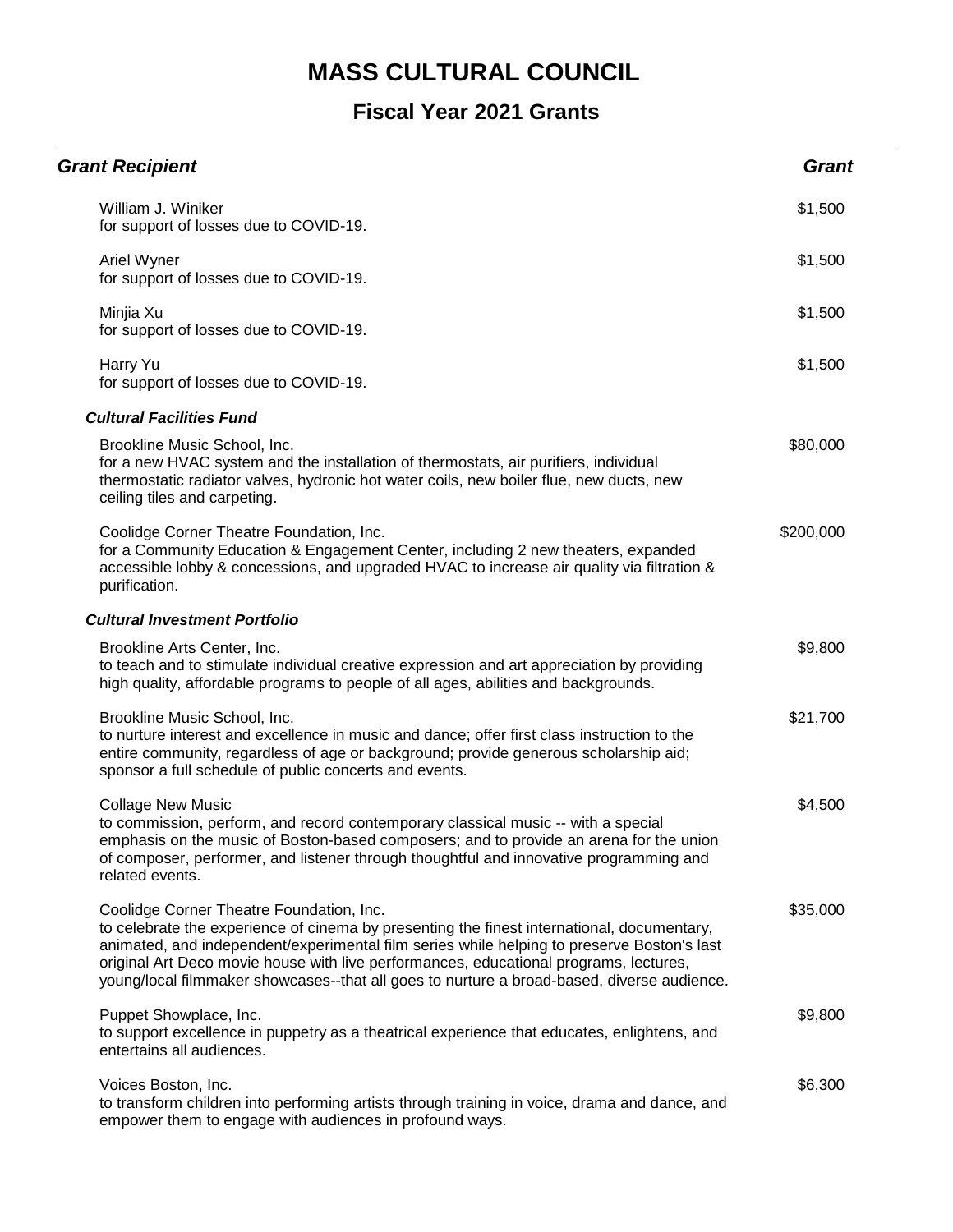| <b>Grant Recipient</b>                                                                                                                                                                                                                                                                                                                                                                                                      | <b>Grant</b> |
|-----------------------------------------------------------------------------------------------------------------------------------------------------------------------------------------------------------------------------------------------------------------------------------------------------------------------------------------------------------------------------------------------------------------------------|--------------|
| William J. Winiker<br>for support of losses due to COVID-19.                                                                                                                                                                                                                                                                                                                                                                | \$1,500      |
| Ariel Wyner<br>for support of losses due to COVID-19.                                                                                                                                                                                                                                                                                                                                                                       | \$1,500      |
| Minjia Xu<br>for support of losses due to COVID-19.                                                                                                                                                                                                                                                                                                                                                                         | \$1,500      |
| Harry Yu<br>for support of losses due to COVID-19.                                                                                                                                                                                                                                                                                                                                                                          | \$1,500      |
| <b>Cultural Facilities Fund</b>                                                                                                                                                                                                                                                                                                                                                                                             |              |
| Brookline Music School, Inc.<br>for a new HVAC system and the installation of thermostats, air purifiers, individual<br>thermostatic radiator valves, hydronic hot water coils, new boiler flue, new ducts, new<br>ceiling tiles and carpeting.                                                                                                                                                                             | \$80,000     |
| Coolidge Corner Theatre Foundation, Inc.<br>for a Community Education & Engagement Center, including 2 new theaters, expanded<br>accessible lobby & concessions, and upgraded HVAC to increase air quality via filtration &<br>purification.                                                                                                                                                                                | \$200,000    |
| <b>Cultural Investment Portfolio</b>                                                                                                                                                                                                                                                                                                                                                                                        |              |
| Brookline Arts Center, Inc.<br>to teach and to stimulate individual creative expression and art appreciation by providing<br>high quality, affordable programs to people of all ages, abilities and backgrounds.                                                                                                                                                                                                            | \$9,800      |
| Brookline Music School, Inc.<br>to nurture interest and excellence in music and dance; offer first class instruction to the<br>entire community, regardless of age or background; provide generous scholarship aid;<br>sponsor a full schedule of public concerts and events.                                                                                                                                               | \$21,700     |
| <b>Collage New Music</b><br>to commission, perform, and record contemporary classical music -- with a special<br>emphasis on the music of Boston-based composers; and to provide an arena for the union<br>of composer, performer, and listener through thoughtful and innovative programming and<br>related events.                                                                                                        | \$4,500      |
| Coolidge Corner Theatre Foundation, Inc.<br>to celebrate the experience of cinema by presenting the finest international, documentary,<br>animated, and independent/experimental film series while helping to preserve Boston's last<br>original Art Deco movie house with live performances, educational programs, lectures,<br>young/local filmmaker showcases--that all goes to nurture a broad-based, diverse audience. | \$35,000     |
| Puppet Showplace, Inc.<br>to support excellence in puppetry as a theatrical experience that educates, enlightens, and<br>entertains all audiences.                                                                                                                                                                                                                                                                          | \$9,800      |
| Voices Boston, Inc.<br>to transform children into performing artists through training in voice, drama and dance, and<br>empower them to engage with audiences in profound ways.                                                                                                                                                                                                                                             | \$6,300      |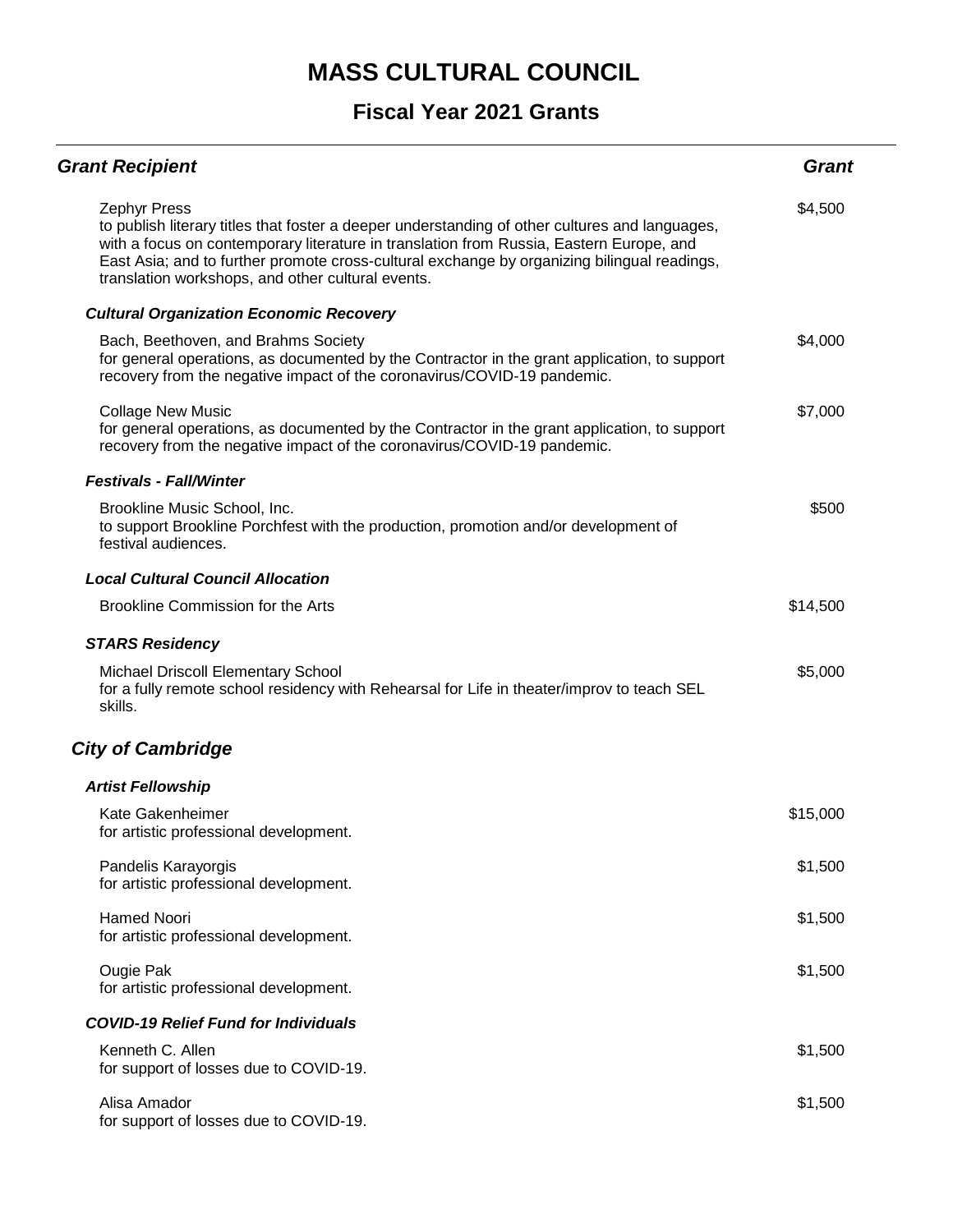| <b>Grant Recipient</b>                                                                                                                                                                                                                                                                                                                                               | <b>Grant</b> |
|----------------------------------------------------------------------------------------------------------------------------------------------------------------------------------------------------------------------------------------------------------------------------------------------------------------------------------------------------------------------|--------------|
| <b>Zephyr Press</b><br>to publish literary titles that foster a deeper understanding of other cultures and languages,<br>with a focus on contemporary literature in translation from Russia, Eastern Europe, and<br>East Asia; and to further promote cross-cultural exchange by organizing bilingual readings,<br>translation workshops, and other cultural events. | \$4,500      |
| <b>Cultural Organization Economic Recovery</b>                                                                                                                                                                                                                                                                                                                       |              |
| Bach, Beethoven, and Brahms Society<br>for general operations, as documented by the Contractor in the grant application, to support<br>recovery from the negative impact of the coronavirus/COVID-19 pandemic.                                                                                                                                                       | \$4,000      |
| <b>Collage New Music</b><br>for general operations, as documented by the Contractor in the grant application, to support<br>recovery from the negative impact of the coronavirus/COVID-19 pandemic.                                                                                                                                                                  | \$7,000      |
| <b>Festivals - Fall/Winter</b>                                                                                                                                                                                                                                                                                                                                       |              |
| Brookline Music School, Inc.<br>to support Brookline Porchfest with the production, promotion and/or development of<br>festival audiences.                                                                                                                                                                                                                           | \$500        |
| <b>Local Cultural Council Allocation</b>                                                                                                                                                                                                                                                                                                                             |              |
| Brookline Commission for the Arts                                                                                                                                                                                                                                                                                                                                    | \$14,500     |
| <b>STARS Residency</b>                                                                                                                                                                                                                                                                                                                                               |              |
| <b>Michael Driscoll Elementary School</b><br>for a fully remote school residency with Rehearsal for Life in theater/improv to teach SEL<br>skills.                                                                                                                                                                                                                   | \$5,000      |
| <b>City of Cambridge</b>                                                                                                                                                                                                                                                                                                                                             |              |
| <b>Artist Fellowship</b>                                                                                                                                                                                                                                                                                                                                             |              |
| Kate Gakenheimer<br>for artistic professional development.                                                                                                                                                                                                                                                                                                           | \$15,000     |
| Pandelis Karayorgis<br>for artistic professional development.                                                                                                                                                                                                                                                                                                        | \$1,500      |
| <b>Hamed Noori</b><br>for artistic professional development.                                                                                                                                                                                                                                                                                                         | \$1,500      |
| Ougie Pak<br>for artistic professional development.                                                                                                                                                                                                                                                                                                                  | \$1,500      |
| <b>COVID-19 Relief Fund for Individuals</b>                                                                                                                                                                                                                                                                                                                          |              |
| Kenneth C. Allen<br>for support of losses due to COVID-19.                                                                                                                                                                                                                                                                                                           | \$1,500      |
| Alisa Amador<br>for support of losses due to COVID-19.                                                                                                                                                                                                                                                                                                               | \$1,500      |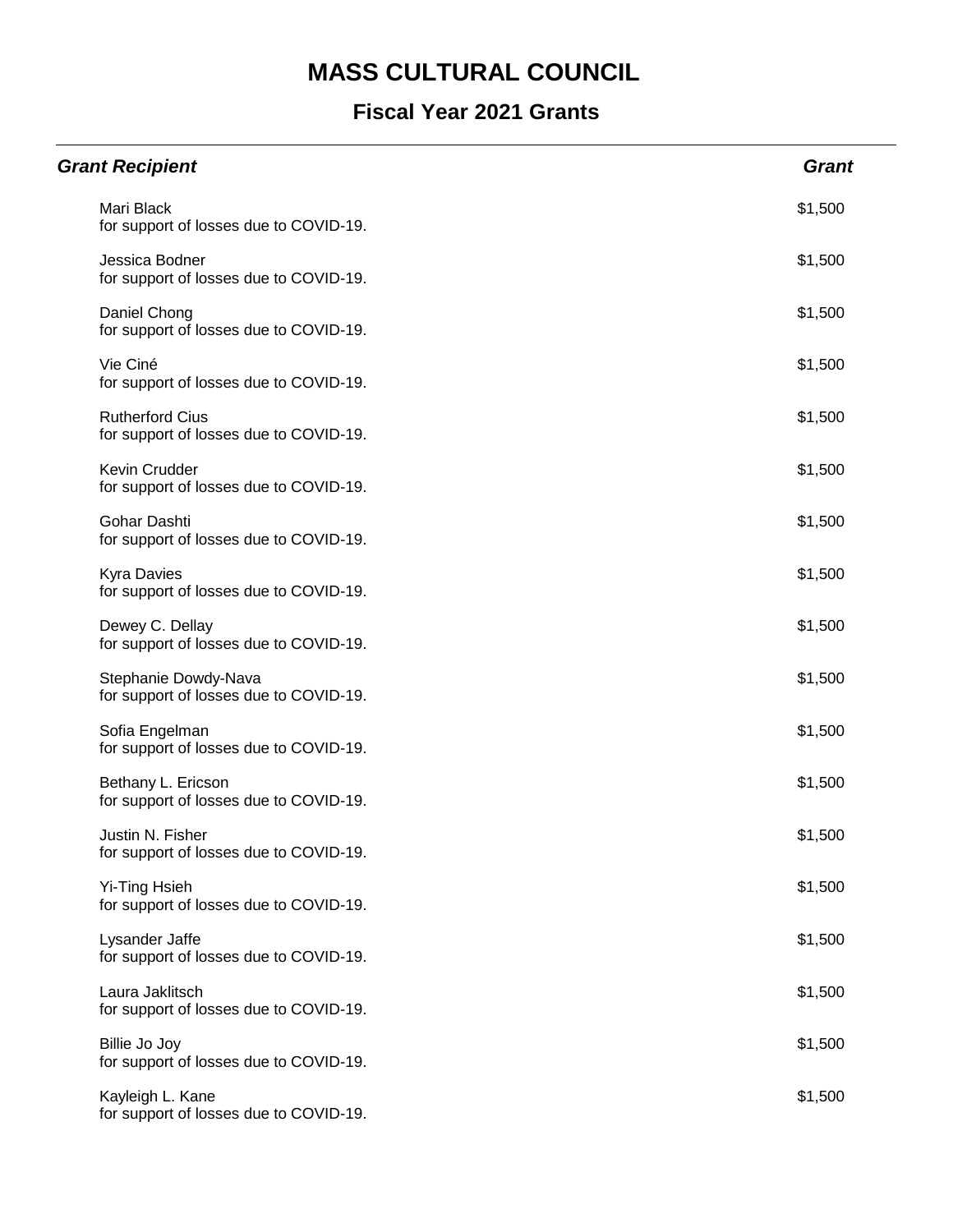| <b>Grant Recipient</b>                                           | <b>Grant</b> |
|------------------------------------------------------------------|--------------|
| Mari Black<br>for support of losses due to COVID-19.             | \$1,500      |
| Jessica Bodner<br>for support of losses due to COVID-19.         | \$1,500      |
| Daniel Chong<br>for support of losses due to COVID-19.           | \$1,500      |
| Vie Ciné<br>for support of losses due to COVID-19.               | \$1,500      |
| <b>Rutherford Cius</b><br>for support of losses due to COVID-19. | \$1,500      |
| <b>Kevin Crudder</b><br>for support of losses due to COVID-19.   | \$1,500      |
| Gohar Dashti<br>for support of losses due to COVID-19.           | \$1,500      |
| <b>Kyra Davies</b><br>for support of losses due to COVID-19.     | \$1,500      |
| Dewey C. Dellay<br>for support of losses due to COVID-19.        | \$1,500      |
| Stephanie Dowdy-Nava<br>for support of losses due to COVID-19.   | \$1,500      |
| Sofia Engelman<br>for support of losses due to COVID-19.         | \$1,500      |
| Bethany L. Ericson<br>for support of losses due to COVID-19.     | \$1,500      |
| Justin N. Fisher<br>for support of losses due to COVID-19.       | \$1,500      |
| Yi-Ting Hsieh<br>for support of losses due to COVID-19.          | \$1,500      |
| Lysander Jaffe<br>for support of losses due to COVID-19.         | \$1,500      |
| Laura Jaklitsch<br>for support of losses due to COVID-19.        | \$1,500      |
| Billie Jo Joy<br>for support of losses due to COVID-19.          | \$1,500      |
| Kayleigh L. Kane<br>for support of losses due to COVID-19.       | \$1,500      |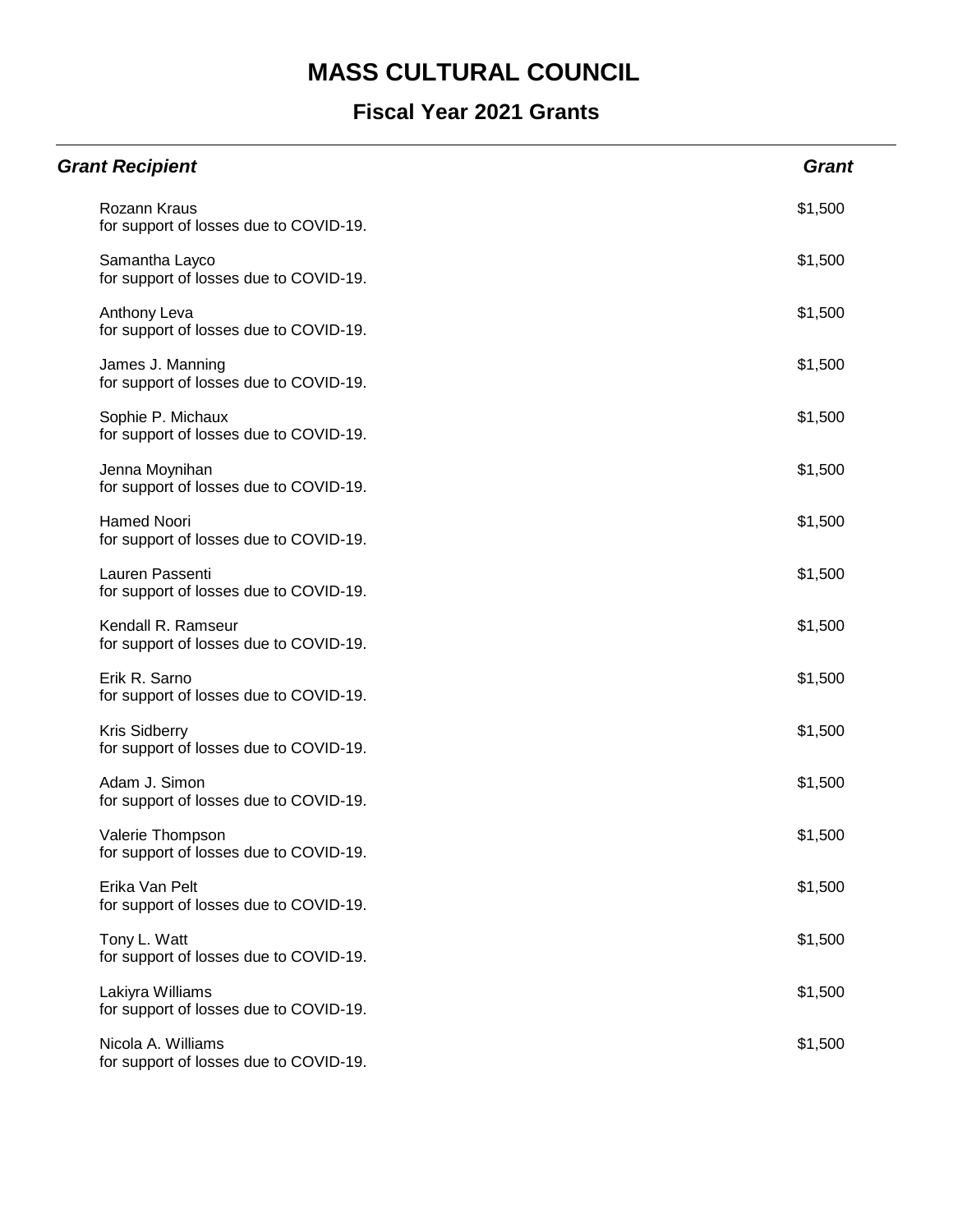| <b>Grant Recipient</b>                                         | <b>Grant</b> |
|----------------------------------------------------------------|--------------|
| Rozann Kraus<br>for support of losses due to COVID-19.         | \$1,500      |
| Samantha Layco<br>for support of losses due to COVID-19.       | \$1,500      |
| Anthony Leva<br>for support of losses due to COVID-19.         | \$1,500      |
| James J. Manning<br>for support of losses due to COVID-19.     | \$1,500      |
| Sophie P. Michaux<br>for support of losses due to COVID-19.    | \$1,500      |
| Jenna Moynihan<br>for support of losses due to COVID-19.       | \$1,500      |
| <b>Hamed Noori</b><br>for support of losses due to COVID-19.   | \$1,500      |
| Lauren Passenti<br>for support of losses due to COVID-19.      | \$1,500      |
| Kendall R. Ramseur<br>for support of losses due to COVID-19.   | \$1,500      |
| Erik R. Sarno<br>for support of losses due to COVID-19.        | \$1,500      |
| <b>Kris Sidberry</b><br>for support of losses due to COVID-19. | \$1,500      |
| Adam J. Simon<br>for support of losses due to COVID-19.        | \$1,500      |
| Valerie Thompson<br>for support of losses due to COVID-19.     | \$1,500      |
| Erika Van Pelt<br>for support of losses due to COVID-19.       | \$1,500      |
| Tony L. Watt<br>for support of losses due to COVID-19.         | \$1,500      |
| Lakiyra Williams<br>for support of losses due to COVID-19.     | \$1,500      |
| Nicola A. Williams<br>for support of losses due to COVID-19.   | \$1,500      |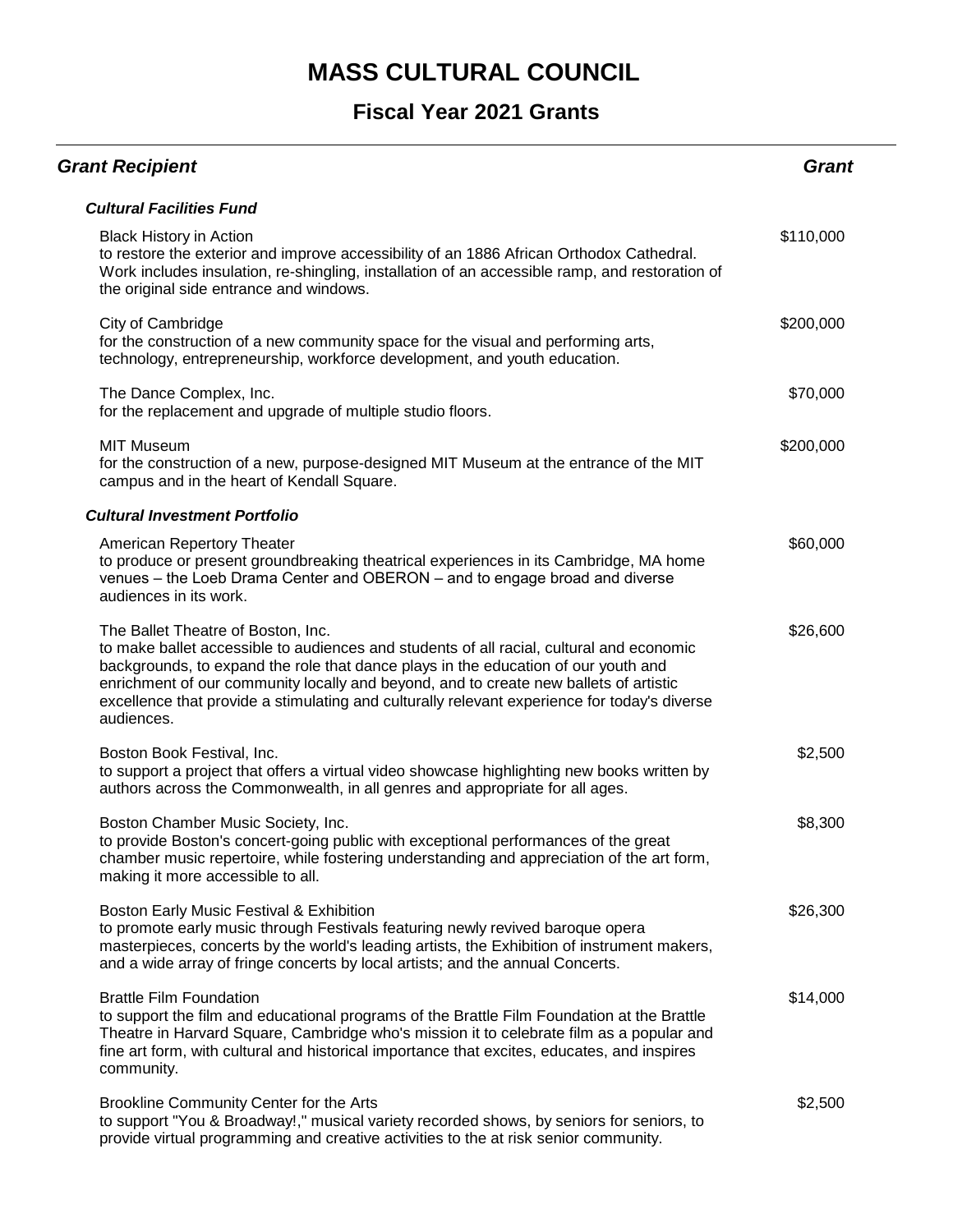| <b>Grant Recipient</b>                                                                                                                                                                                                                                                                                                                                                                                                      | <b>Grant</b> |
|-----------------------------------------------------------------------------------------------------------------------------------------------------------------------------------------------------------------------------------------------------------------------------------------------------------------------------------------------------------------------------------------------------------------------------|--------------|
| <b>Cultural Facilities Fund</b>                                                                                                                                                                                                                                                                                                                                                                                             |              |
| <b>Black History in Action</b><br>to restore the exterior and improve accessibility of an 1886 African Orthodox Cathedral.<br>Work includes insulation, re-shingling, installation of an accessible ramp, and restoration of<br>the original side entrance and windows.                                                                                                                                                     | \$110,000    |
| City of Cambridge<br>for the construction of a new community space for the visual and performing arts,<br>technology, entrepreneurship, workforce development, and youth education.                                                                                                                                                                                                                                         | \$200,000    |
| The Dance Complex, Inc.<br>for the replacement and upgrade of multiple studio floors.                                                                                                                                                                                                                                                                                                                                       | \$70,000     |
| <b>MIT Museum</b><br>for the construction of a new, purpose-designed MIT Museum at the entrance of the MIT<br>campus and in the heart of Kendall Square.                                                                                                                                                                                                                                                                    | \$200,000    |
| <b>Cultural Investment Portfolio</b>                                                                                                                                                                                                                                                                                                                                                                                        |              |
| American Repertory Theater<br>to produce or present groundbreaking theatrical experiences in its Cambridge, MA home<br>venues - the Loeb Drama Center and OBERON - and to engage broad and diverse<br>audiences in its work.                                                                                                                                                                                                | \$60,000     |
| The Ballet Theatre of Boston, Inc.<br>to make ballet accessible to audiences and students of all racial, cultural and economic<br>backgrounds, to expand the role that dance plays in the education of our youth and<br>enrichment of our community locally and beyond, and to create new ballets of artistic<br>excellence that provide a stimulating and culturally relevant experience for today's diverse<br>audiences. | \$26,600     |
| Boston Book Festival, Inc.<br>to support a project that offers a virtual video showcase highlighting new books written by<br>authors across the Commonwealth, in all genres and appropriate for all ages.                                                                                                                                                                                                                   | \$2,500      |
| Boston Chamber Music Society, Inc.<br>to provide Boston's concert-going public with exceptional performances of the great<br>chamber music repertoire, while fostering understanding and appreciation of the art form,<br>making it more accessible to all.                                                                                                                                                                 | \$8,300      |
| Boston Early Music Festival & Exhibition<br>to promote early music through Festivals featuring newly revived baroque opera<br>masterpieces, concerts by the world's leading artists, the Exhibition of instrument makers,<br>and a wide array of fringe concerts by local artists; and the annual Concerts.                                                                                                                 | \$26,300     |
| <b>Brattle Film Foundation</b><br>to support the film and educational programs of the Brattle Film Foundation at the Brattle<br>Theatre in Harvard Square, Cambridge who's mission it to celebrate film as a popular and<br>fine art form, with cultural and historical importance that excites, educates, and inspires<br>community.                                                                                       | \$14,000     |
| Brookline Community Center for the Arts<br>to support "You & Broadway!," musical variety recorded shows, by seniors for seniors, to<br>provide virtual programming and creative activities to the at risk senior community.                                                                                                                                                                                                 | \$2,500      |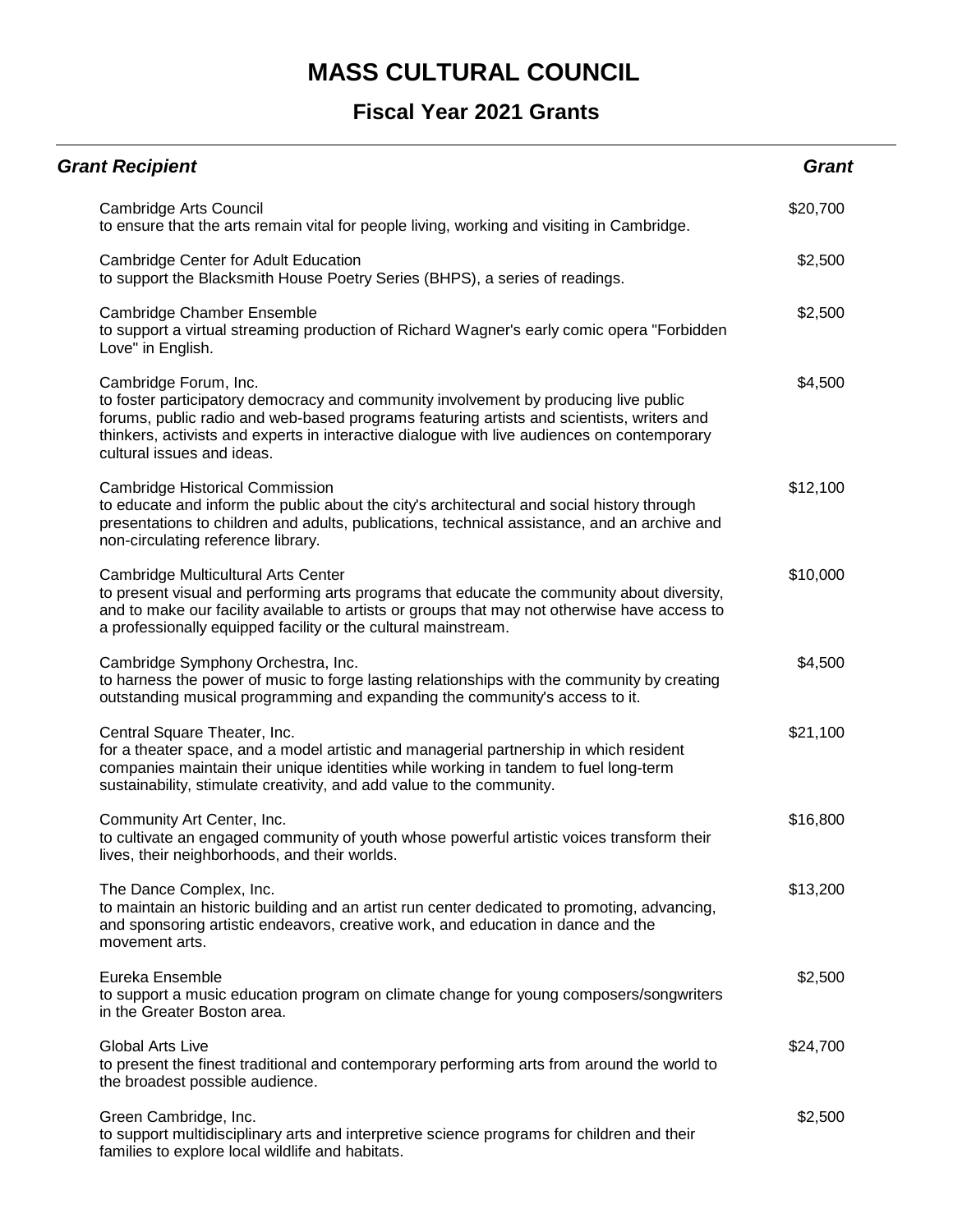| <b>Grant Recipient</b>                                                                                                                                                                                                                                                                                                                  | <b>Grant</b> |
|-----------------------------------------------------------------------------------------------------------------------------------------------------------------------------------------------------------------------------------------------------------------------------------------------------------------------------------------|--------------|
| Cambridge Arts Council<br>to ensure that the arts remain vital for people living, working and visiting in Cambridge.                                                                                                                                                                                                                    | \$20,700     |
| Cambridge Center for Adult Education<br>to support the Blacksmith House Poetry Series (BHPS), a series of readings.                                                                                                                                                                                                                     | \$2,500      |
| Cambridge Chamber Ensemble<br>to support a virtual streaming production of Richard Wagner's early comic opera "Forbidden"<br>Love" in English.                                                                                                                                                                                          | \$2,500      |
| Cambridge Forum, Inc.<br>to foster participatory democracy and community involvement by producing live public<br>forums, public radio and web-based programs featuring artists and scientists, writers and<br>thinkers, activists and experts in interactive dialogue with live audiences on contemporary<br>cultural issues and ideas. | \$4,500      |
| <b>Cambridge Historical Commission</b><br>to educate and inform the public about the city's architectural and social history through<br>presentations to children and adults, publications, technical assistance, and an archive and<br>non-circulating reference library.                                                              | \$12,100     |
| Cambridge Multicultural Arts Center<br>to present visual and performing arts programs that educate the community about diversity,<br>and to make our facility available to artists or groups that may not otherwise have access to<br>a professionally equipped facility or the cultural mainstream.                                    | \$10,000     |
| Cambridge Symphony Orchestra, Inc.<br>to harness the power of music to forge lasting relationships with the community by creating<br>outstanding musical programming and expanding the community's access to it.                                                                                                                        | \$4,500      |
| Central Square Theater, Inc.<br>for a theater space, and a model artistic and managerial partnership in which resident<br>companies maintain their unique identities while working in tandem to fuel long-term<br>sustainability, stimulate creativity, and add value to the community.                                                 | \$21,100     |
| Community Art Center, Inc.<br>to cultivate an engaged community of youth whose powerful artistic voices transform their<br>lives, their neighborhoods, and their worlds.                                                                                                                                                                | \$16,800     |
| The Dance Complex, Inc.<br>to maintain an historic building and an artist run center dedicated to promoting, advancing,<br>and sponsoring artistic endeavors, creative work, and education in dance and the<br>movement arts.                                                                                                           | \$13,200     |
| Eureka Ensemble<br>to support a music education program on climate change for young composers/songwriters<br>in the Greater Boston area.                                                                                                                                                                                                | \$2,500      |
| <b>Global Arts Live</b><br>to present the finest traditional and contemporary performing arts from around the world to<br>the broadest possible audience.                                                                                                                                                                               | \$24,700     |
| Green Cambridge, Inc.<br>to support multidisciplinary arts and interpretive science programs for children and their<br>families to explore local wildlife and habitats.                                                                                                                                                                 | \$2,500      |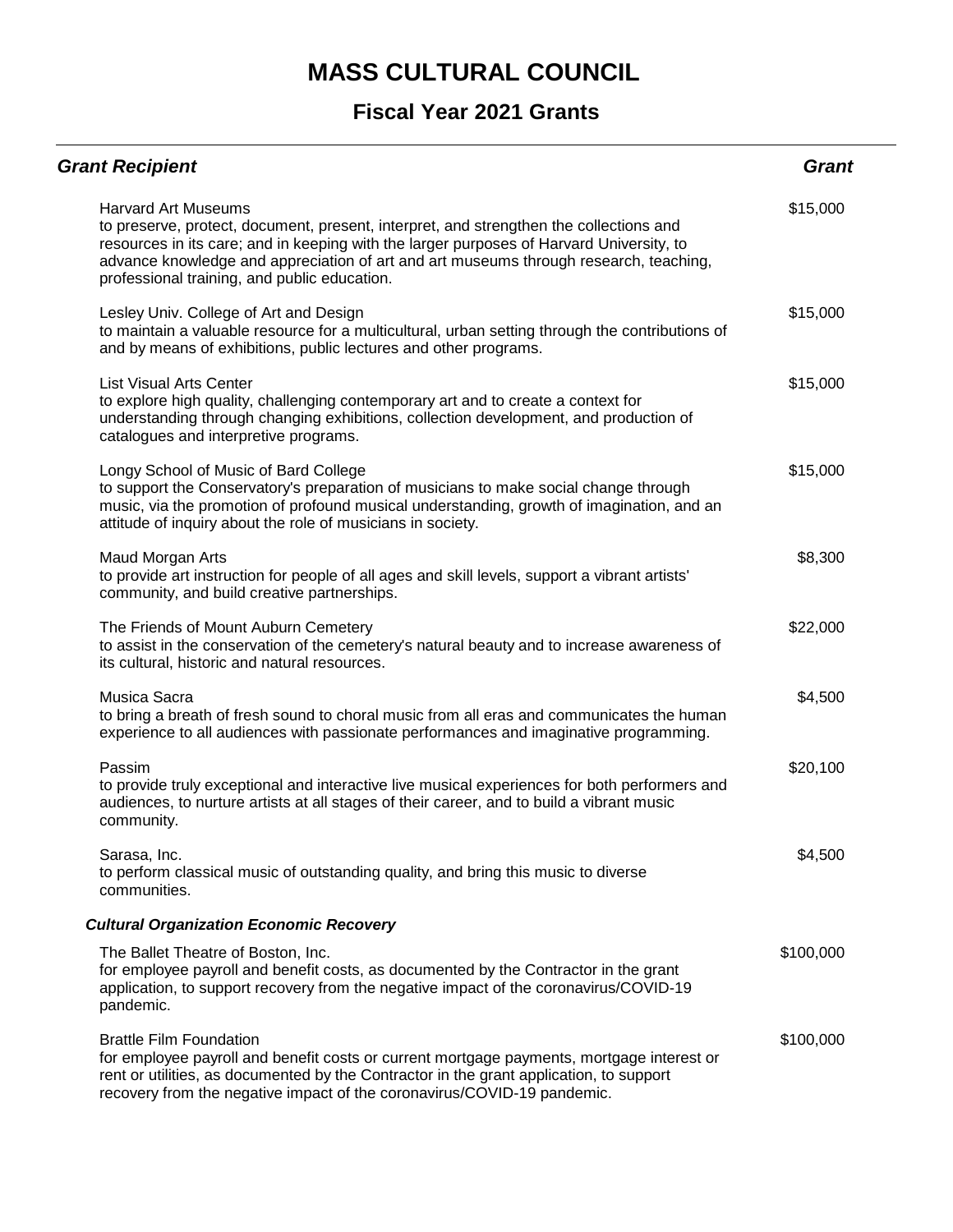| <b>Grant Recipient</b>                                                                                                                                                                                                                                                                                                                                    | <b>Grant</b> |
|-----------------------------------------------------------------------------------------------------------------------------------------------------------------------------------------------------------------------------------------------------------------------------------------------------------------------------------------------------------|--------------|
| <b>Harvard Art Museums</b><br>to preserve, protect, document, present, interpret, and strengthen the collections and<br>resources in its care; and in keeping with the larger purposes of Harvard University, to<br>advance knowledge and appreciation of art and art museums through research, teaching,<br>professional training, and public education. | \$15,000     |
| Lesley Univ. College of Art and Design<br>to maintain a valuable resource for a multicultural, urban setting through the contributions of<br>and by means of exhibitions, public lectures and other programs.                                                                                                                                             | \$15,000     |
| List Visual Arts Center<br>to explore high quality, challenging contemporary art and to create a context for<br>understanding through changing exhibitions, collection development, and production of<br>catalogues and interpretive programs.                                                                                                            | \$15,000     |
| Longy School of Music of Bard College<br>to support the Conservatory's preparation of musicians to make social change through<br>music, via the promotion of profound musical understanding, growth of imagination, and an<br>attitude of inquiry about the role of musicians in society.                                                                 | \$15,000     |
| Maud Morgan Arts<br>to provide art instruction for people of all ages and skill levels, support a vibrant artists'<br>community, and build creative partnerships.                                                                                                                                                                                         | \$8,300      |
| The Friends of Mount Auburn Cemetery<br>to assist in the conservation of the cemetery's natural beauty and to increase awareness of<br>its cultural, historic and natural resources.                                                                                                                                                                      | \$22,000     |
| Musica Sacra<br>to bring a breath of fresh sound to choral music from all eras and communicates the human<br>experience to all audiences with passionate performances and imaginative programming.                                                                                                                                                        | \$4,500      |
| Passim<br>to provide truly exceptional and interactive live musical experiences for both performers and<br>audiences, to nurture artists at all stages of their career, and to build a vibrant music<br>community.                                                                                                                                        | \$20,100     |
| Sarasa, Inc.<br>to perform classical music of outstanding quality, and bring this music to diverse<br>communities.                                                                                                                                                                                                                                        | \$4,500      |
| <b>Cultural Organization Economic Recovery</b>                                                                                                                                                                                                                                                                                                            |              |
| The Ballet Theatre of Boston, Inc.<br>for employee payroll and benefit costs, as documented by the Contractor in the grant<br>application, to support recovery from the negative impact of the coronavirus/COVID-19<br>pandemic.                                                                                                                          | \$100,000    |
| <b>Brattle Film Foundation</b><br>for employee payroll and benefit costs or current mortgage payments, mortgage interest or<br>rent or utilities, as documented by the Contractor in the grant application, to support<br>recovery from the negative impact of the coronavirus/COVID-19 pandemic.                                                         | \$100,000    |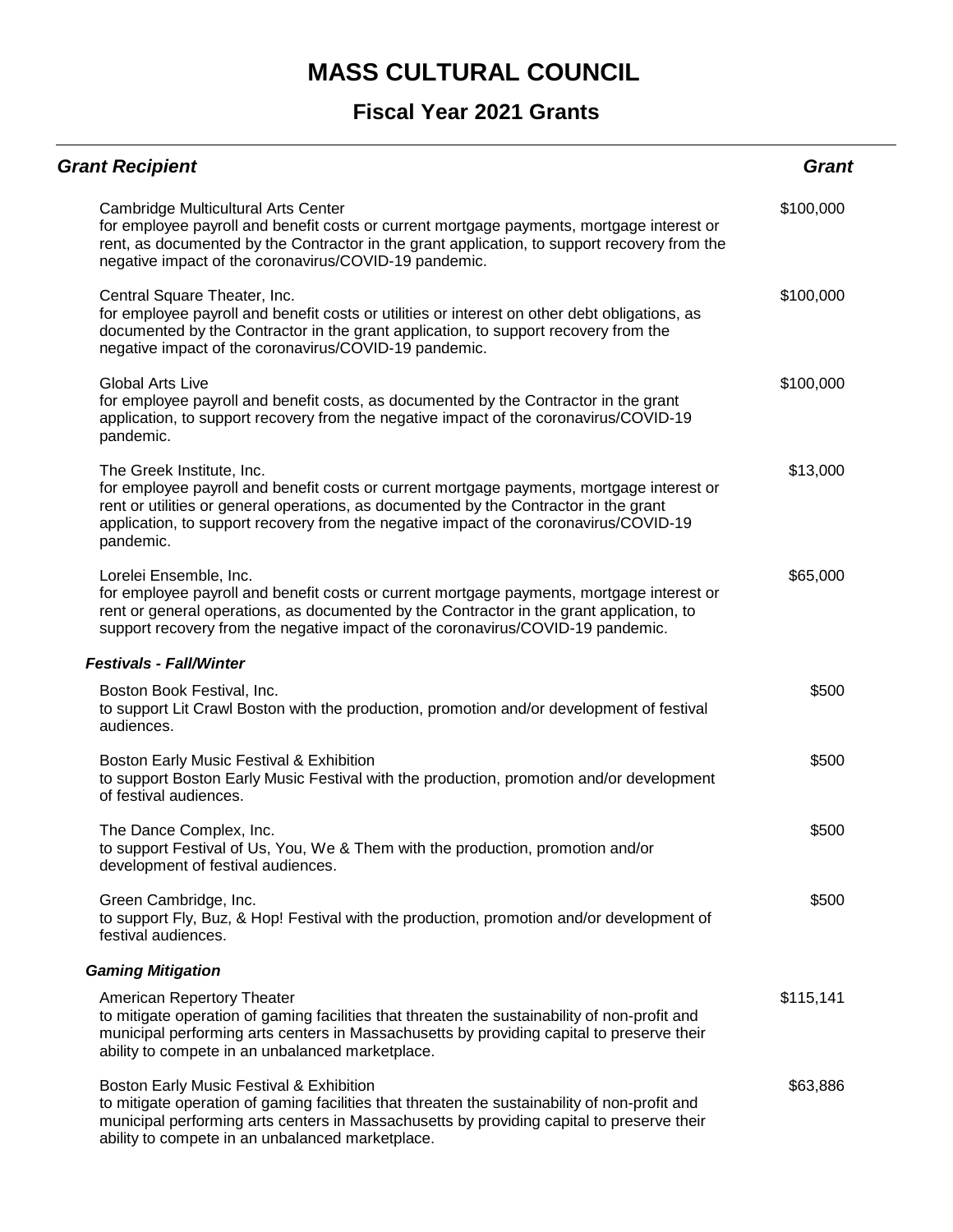| <b>Grant Recipient</b>                                                                                                                                                                                                                                                                                                | Grant     |
|-----------------------------------------------------------------------------------------------------------------------------------------------------------------------------------------------------------------------------------------------------------------------------------------------------------------------|-----------|
| Cambridge Multicultural Arts Center<br>for employee payroll and benefit costs or current mortgage payments, mortgage interest or<br>rent, as documented by the Contractor in the grant application, to support recovery from the<br>negative impact of the coronavirus/COVID-19 pandemic.                             | \$100,000 |
| Central Square Theater, Inc.<br>for employee payroll and benefit costs or utilities or interest on other debt obligations, as<br>documented by the Contractor in the grant application, to support recovery from the<br>negative impact of the coronavirus/COVID-19 pandemic.                                         | \$100,000 |
| <b>Global Arts Live</b><br>for employee payroll and benefit costs, as documented by the Contractor in the grant<br>application, to support recovery from the negative impact of the coronavirus/COVID-19<br>pandemic.                                                                                                 | \$100,000 |
| The Greek Institute, Inc.<br>for employee payroll and benefit costs or current mortgage payments, mortgage interest or<br>rent or utilities or general operations, as documented by the Contractor in the grant<br>application, to support recovery from the negative impact of the coronavirus/COVID-19<br>pandemic. | \$13,000  |
| Lorelei Ensemble, Inc.<br>for employee payroll and benefit costs or current mortgage payments, mortgage interest or<br>rent or general operations, as documented by the Contractor in the grant application, to<br>support recovery from the negative impact of the coronavirus/COVID-19 pandemic.                    | \$65,000  |
| <b>Festivals - Fall/Winter</b>                                                                                                                                                                                                                                                                                        |           |
| Boston Book Festival, Inc.<br>to support Lit Crawl Boston with the production, promotion and/or development of festival<br>audiences.                                                                                                                                                                                 | \$500     |
| Boston Early Music Festival & Exhibition<br>to support Boston Early Music Festival with the production, promotion and/or development<br>of festival audiences.                                                                                                                                                        | \$500     |
| The Dance Complex, Inc.<br>to support Festival of Us, You, We & Them with the production, promotion and/or<br>development of festival audiences.                                                                                                                                                                      | \$500     |
| Green Cambridge, Inc.<br>to support Fly, Buz, & Hop! Festival with the production, promotion and/or development of<br>festival audiences.                                                                                                                                                                             | \$500     |
| <b>Gaming Mitigation</b>                                                                                                                                                                                                                                                                                              |           |
| American Repertory Theater<br>to mitigate operation of gaming facilities that threaten the sustainability of non-profit and<br>municipal performing arts centers in Massachusetts by providing capital to preserve their<br>ability to compete in an unbalanced marketplace.                                          | \$115,141 |
| Boston Early Music Festival & Exhibition<br>to mitigate operation of gaming facilities that threaten the sustainability of non-profit and<br>municipal performing arts centers in Massachusetts by providing capital to preserve their<br>ability to compete in an unbalanced marketplace.                            | \$63,886  |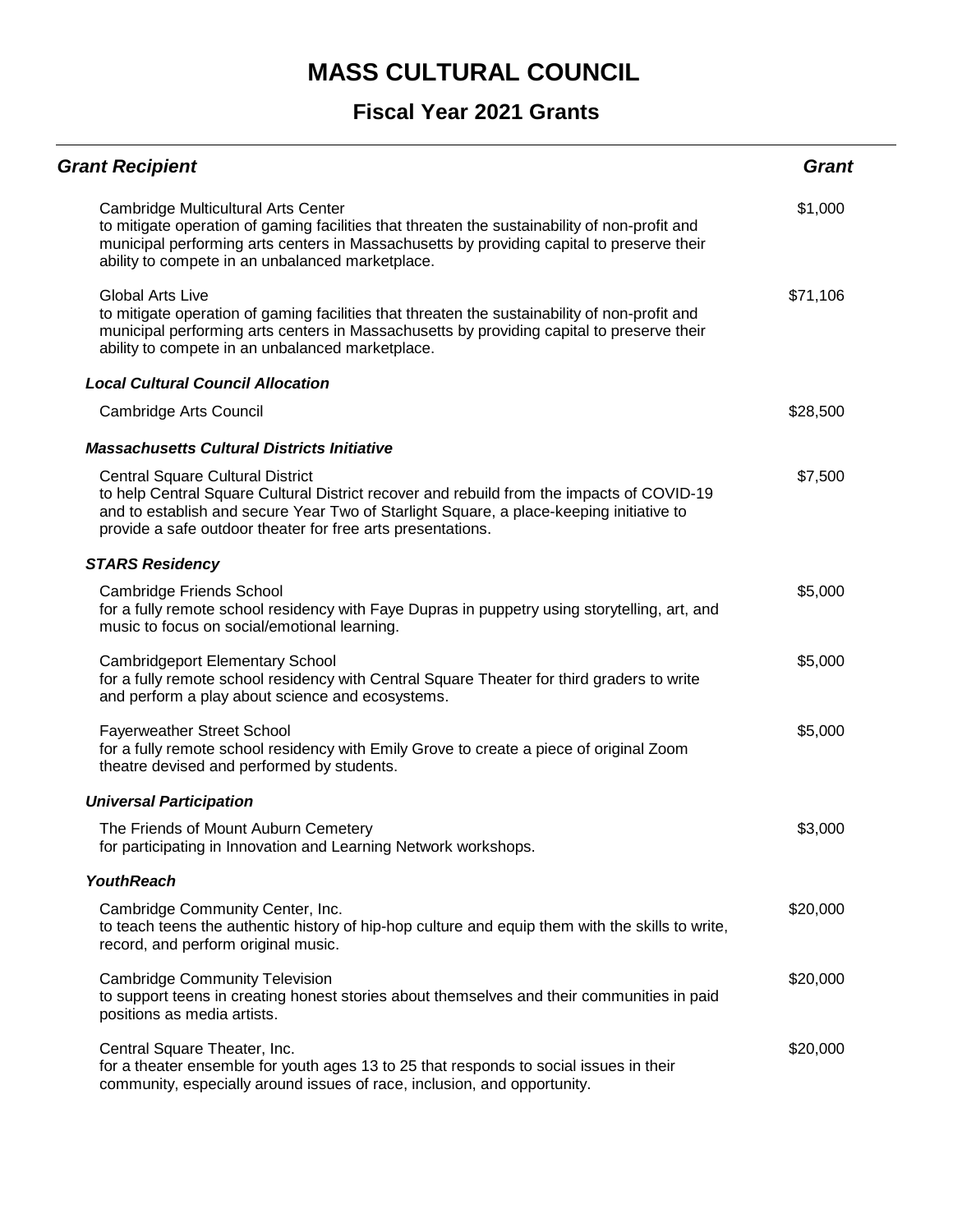| <b>Grant Recipient</b>                                                                                                                                                                                                                                                                         | <b>Grant</b> |
|------------------------------------------------------------------------------------------------------------------------------------------------------------------------------------------------------------------------------------------------------------------------------------------------|--------------|
| Cambridge Multicultural Arts Center<br>to mitigate operation of gaming facilities that threaten the sustainability of non-profit and<br>municipal performing arts centers in Massachusetts by providing capital to preserve their<br>ability to compete in an unbalanced marketplace.          | \$1,000      |
| <b>Global Arts Live</b><br>to mitigate operation of gaming facilities that threaten the sustainability of non-profit and<br>municipal performing arts centers in Massachusetts by providing capital to preserve their<br>ability to compete in an unbalanced marketplace.                      | \$71,106     |
| <b>Local Cultural Council Allocation</b>                                                                                                                                                                                                                                                       |              |
| Cambridge Arts Council                                                                                                                                                                                                                                                                         | \$28,500     |
| <b>Massachusetts Cultural Districts Initiative</b>                                                                                                                                                                                                                                             |              |
| <b>Central Square Cultural District</b><br>to help Central Square Cultural District recover and rebuild from the impacts of COVID-19<br>and to establish and secure Year Two of Starlight Square, a place-keeping initiative to<br>provide a safe outdoor theater for free arts presentations. | \$7,500      |
| <b>STARS Residency</b>                                                                                                                                                                                                                                                                         |              |
| <b>Cambridge Friends School</b><br>for a fully remote school residency with Faye Dupras in puppetry using storytelling, art, and<br>music to focus on social/emotional learning.                                                                                                               | \$5,000      |
| <b>Cambridgeport Elementary School</b><br>for a fully remote school residency with Central Square Theater for third graders to write<br>and perform a play about science and ecosystems.                                                                                                       | \$5,000      |
| <b>Fayerweather Street School</b><br>for a fully remote school residency with Emily Grove to create a piece of original Zoom<br>theatre devised and performed by students.                                                                                                                     | \$5,000      |
| <b>Universal Participation</b>                                                                                                                                                                                                                                                                 |              |
| The Friends of Mount Auburn Cemetery<br>for participating in Innovation and Learning Network workshops.                                                                                                                                                                                        | \$3,000      |
| <b>YouthReach</b>                                                                                                                                                                                                                                                                              |              |
| Cambridge Community Center, Inc.<br>to teach teens the authentic history of hip-hop culture and equip them with the skills to write,<br>record, and perform original music.                                                                                                                    | \$20,000     |
| <b>Cambridge Community Television</b><br>to support teens in creating honest stories about themselves and their communities in paid<br>positions as media artists.                                                                                                                             | \$20,000     |
| Central Square Theater, Inc.<br>for a theater ensemble for youth ages 13 to 25 that responds to social issues in their<br>community, especially around issues of race, inclusion, and opportunity.                                                                                             | \$20,000     |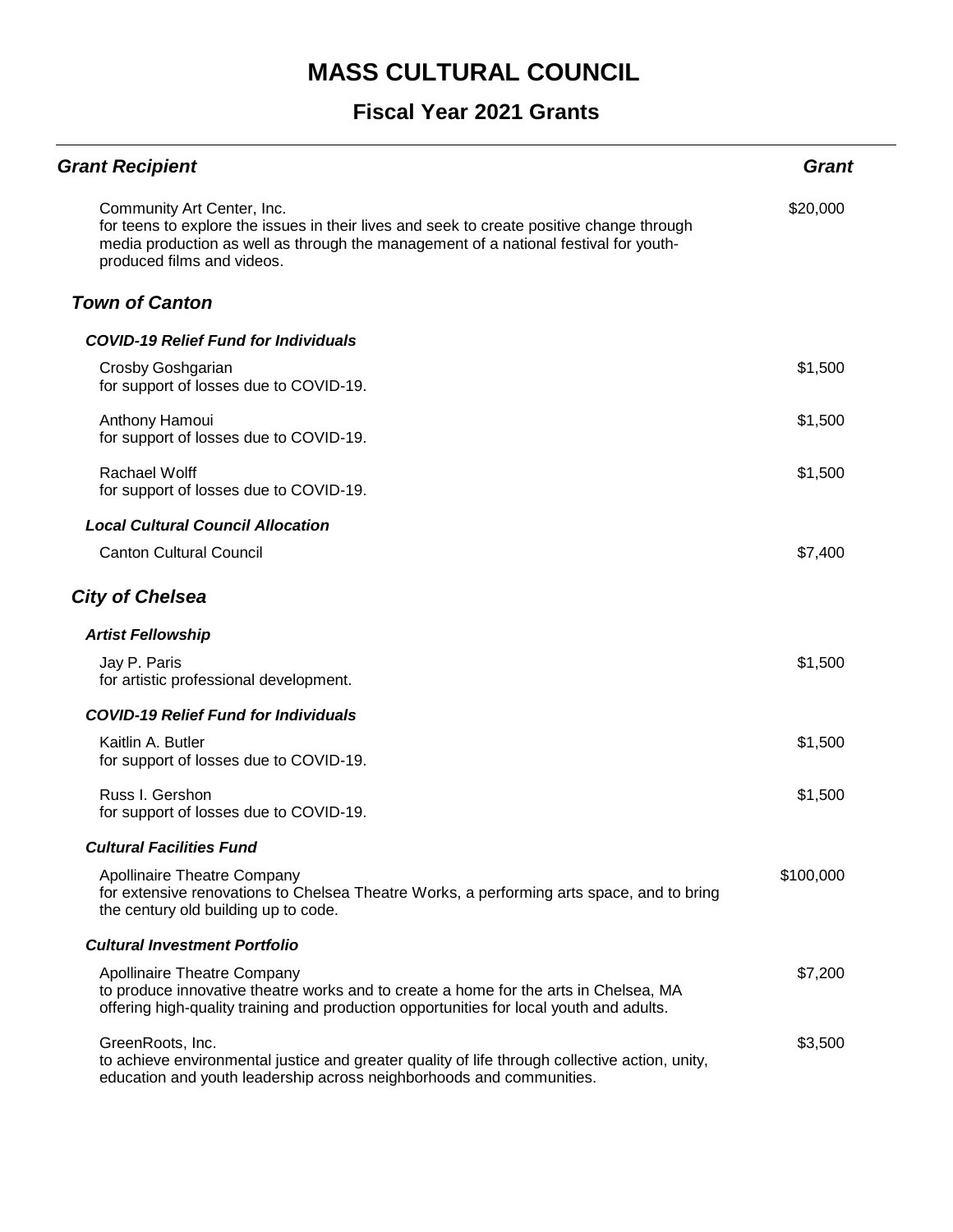| <b>Grant Recipient</b>                                                                                                                                                                                                                        | <b>Grant</b> |
|-----------------------------------------------------------------------------------------------------------------------------------------------------------------------------------------------------------------------------------------------|--------------|
| Community Art Center, Inc.<br>for teens to explore the issues in their lives and seek to create positive change through<br>media production as well as through the management of a national festival for youth-<br>produced films and videos. | \$20,000     |
| <b>Town of Canton</b>                                                                                                                                                                                                                         |              |
| <b>COVID-19 Relief Fund for Individuals</b>                                                                                                                                                                                                   |              |
| Crosby Goshgarian<br>for support of losses due to COVID-19.                                                                                                                                                                                   | \$1,500      |
| Anthony Hamoui<br>for support of losses due to COVID-19.                                                                                                                                                                                      | \$1,500      |
| Rachael Wolff<br>for support of losses due to COVID-19.                                                                                                                                                                                       | \$1,500      |
| <b>Local Cultural Council Allocation</b>                                                                                                                                                                                                      |              |
| <b>Canton Cultural Council</b>                                                                                                                                                                                                                | \$7,400      |
| <b>City of Chelsea</b>                                                                                                                                                                                                                        |              |
| <b>Artist Fellowship</b>                                                                                                                                                                                                                      |              |
| Jay P. Paris<br>for artistic professional development.                                                                                                                                                                                        | \$1,500      |
| <b>COVID-19 Relief Fund for Individuals</b>                                                                                                                                                                                                   |              |
| Kaitlin A. Butler<br>for support of losses due to COVID-19.                                                                                                                                                                                   | \$1,500      |
| Russ I. Gershon<br>for support of losses due to COVID-19.                                                                                                                                                                                     | \$1,500      |
| <b>Cultural Facilities Fund</b>                                                                                                                                                                                                               |              |
| Apollinaire Theatre Company<br>for extensive renovations to Chelsea Theatre Works, a performing arts space, and to bring<br>the century old building up to code.                                                                              | \$100,000    |
| <b>Cultural Investment Portfolio</b>                                                                                                                                                                                                          |              |
| <b>Apollinaire Theatre Company</b><br>to produce innovative theatre works and to create a home for the arts in Chelsea, MA<br>offering high-quality training and production opportunities for local youth and adults.                         | \$7,200      |
| GreenRoots, Inc.<br>to achieve environmental justice and greater quality of life through collective action, unity,<br>education and youth leadership across neighborhoods and communities.                                                    | \$3,500      |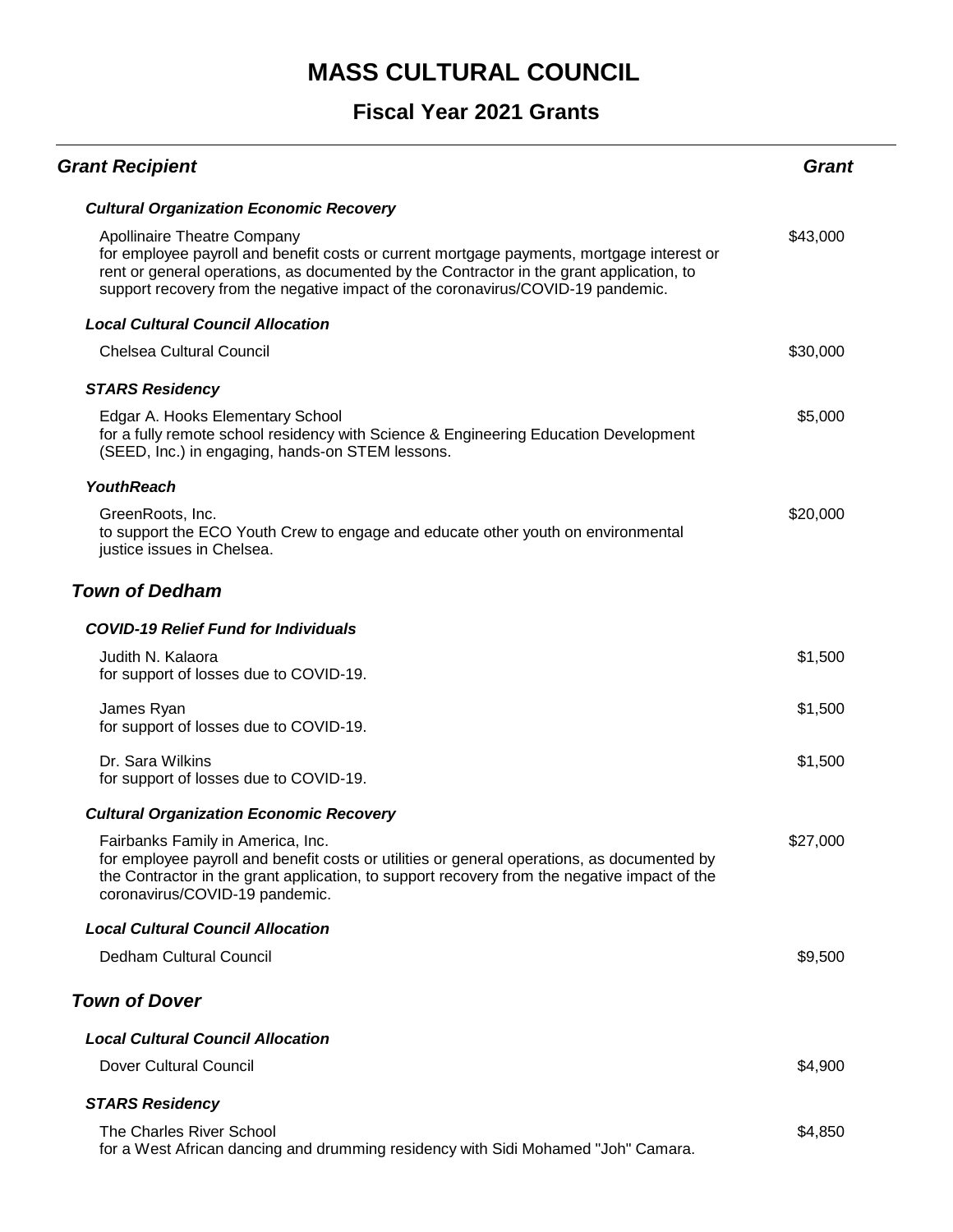| <b>Grant Recipient</b>                                                                                                                                                                                                                                                                                         | Grant    |
|----------------------------------------------------------------------------------------------------------------------------------------------------------------------------------------------------------------------------------------------------------------------------------------------------------------|----------|
| <b>Cultural Organization Economic Recovery</b>                                                                                                                                                                                                                                                                 |          |
| <b>Apollinaire Theatre Company</b><br>for employee payroll and benefit costs or current mortgage payments, mortgage interest or<br>rent or general operations, as documented by the Contractor in the grant application, to<br>support recovery from the negative impact of the coronavirus/COVID-19 pandemic. | \$43,000 |
| <b>Local Cultural Council Allocation</b>                                                                                                                                                                                                                                                                       |          |
| <b>Chelsea Cultural Council</b>                                                                                                                                                                                                                                                                                | \$30,000 |
| <b>STARS Residency</b>                                                                                                                                                                                                                                                                                         |          |
| Edgar A. Hooks Elementary School<br>for a fully remote school residency with Science & Engineering Education Development<br>(SEED, Inc.) in engaging, hands-on STEM lessons.                                                                                                                                   | \$5,000  |
| <b>YouthReach</b>                                                                                                                                                                                                                                                                                              |          |
| GreenRoots, Inc.<br>to support the ECO Youth Crew to engage and educate other youth on environmental<br>justice issues in Chelsea.                                                                                                                                                                             | \$20,000 |
| <b>Town of Dedham</b>                                                                                                                                                                                                                                                                                          |          |
| <b>COVID-19 Relief Fund for Individuals</b>                                                                                                                                                                                                                                                                    |          |
| Judith N. Kalaora<br>for support of losses due to COVID-19.                                                                                                                                                                                                                                                    | \$1,500  |
| James Ryan<br>for support of losses due to COVID-19.                                                                                                                                                                                                                                                           | \$1,500  |
| Dr. Sara Wilkins<br>for support of losses due to COVID-19.                                                                                                                                                                                                                                                     | \$1,500  |
| <b>Cultural Organization Economic Recovery</b>                                                                                                                                                                                                                                                                 |          |
| Fairbanks Family in America, Inc.<br>for employee payroll and benefit costs or utilities or general operations, as documented by<br>the Contractor in the grant application, to support recovery from the negative impact of the<br>coronavirus/COVID-19 pandemic.                                             | \$27,000 |
| <b>Local Cultural Council Allocation</b>                                                                                                                                                                                                                                                                       |          |
| Dedham Cultural Council                                                                                                                                                                                                                                                                                        | \$9,500  |
| <b>Town of Dover</b>                                                                                                                                                                                                                                                                                           |          |
| <b>Local Cultural Council Allocation</b>                                                                                                                                                                                                                                                                       |          |
| Dover Cultural Council                                                                                                                                                                                                                                                                                         | \$4,900  |
| <b>STARS Residency</b>                                                                                                                                                                                                                                                                                         |          |
| The Charles River School<br>for a West African dancing and drumming residency with Sidi Mohamed "Joh" Camara.                                                                                                                                                                                                  | \$4,850  |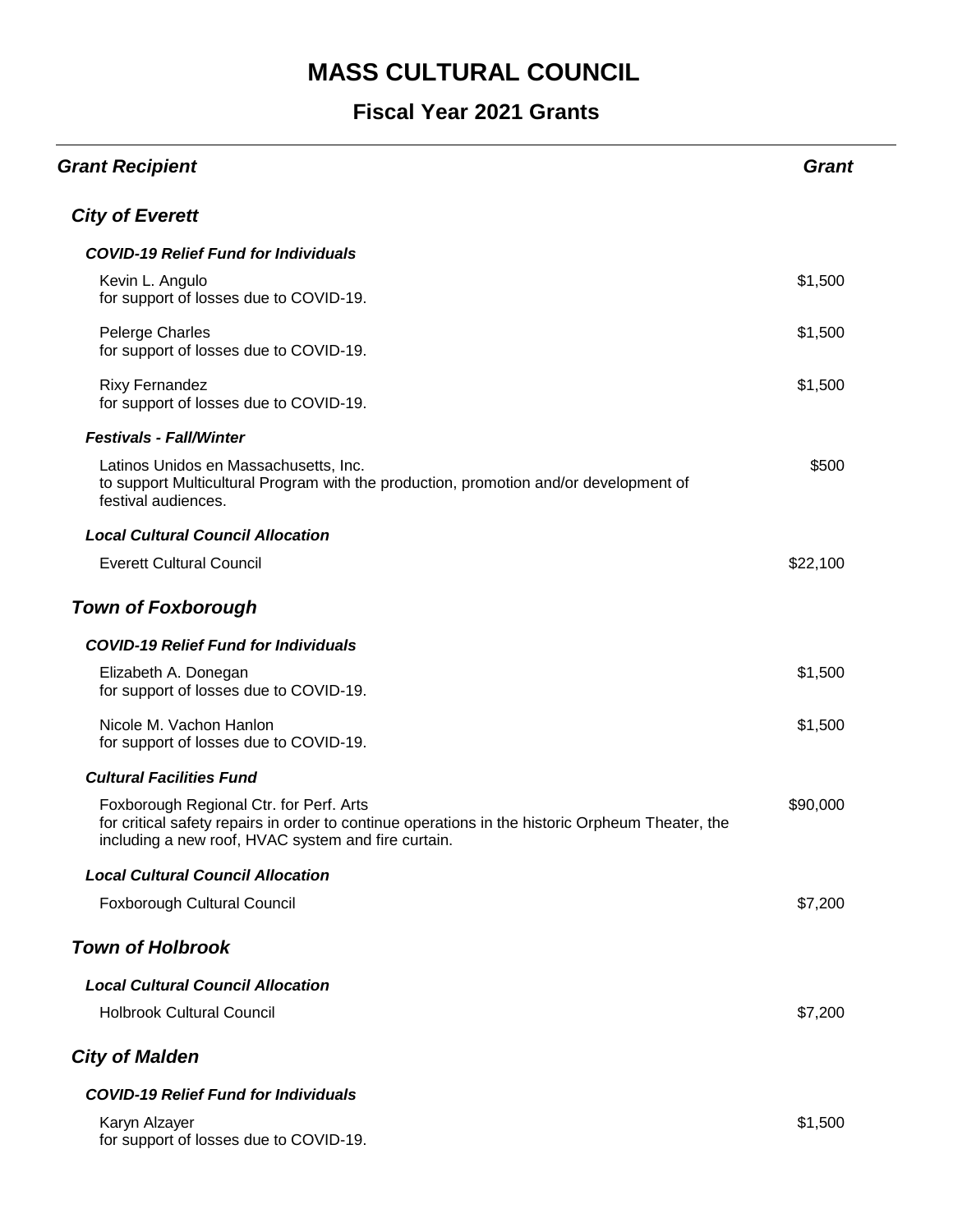| <b>Grant Recipient</b>                                                                                                                                                                             | <b>Grant</b> |
|----------------------------------------------------------------------------------------------------------------------------------------------------------------------------------------------------|--------------|
| <b>City of Everett</b>                                                                                                                                                                             |              |
| <b>COVID-19 Relief Fund for Individuals</b>                                                                                                                                                        |              |
| Kevin L. Angulo<br>for support of losses due to COVID-19.                                                                                                                                          | \$1,500      |
| <b>Pelerge Charles</b><br>for support of losses due to COVID-19.                                                                                                                                   | \$1,500      |
| <b>Rixy Fernandez</b><br>for support of losses due to COVID-19.                                                                                                                                    | \$1,500      |
| <b>Festivals - Fall/Winter</b>                                                                                                                                                                     |              |
| Latinos Unidos en Massachusetts, Inc.<br>to support Multicultural Program with the production, promotion and/or development of<br>festival audiences.                                              | \$500        |
| <b>Local Cultural Council Allocation</b>                                                                                                                                                           |              |
| <b>Everett Cultural Council</b>                                                                                                                                                                    | \$22,100     |
| <b>Town of Foxborough</b>                                                                                                                                                                          |              |
| <b>COVID-19 Relief Fund for Individuals</b>                                                                                                                                                        |              |
| Elizabeth A. Donegan<br>for support of losses due to COVID-19.                                                                                                                                     | \$1,500      |
| Nicole M. Vachon Hanlon<br>for support of losses due to COVID-19.                                                                                                                                  | \$1,500      |
| <b>Cultural Facilities Fund</b>                                                                                                                                                                    |              |
| Foxborough Regional Ctr. for Perf. Arts<br>for critical safety repairs in order to continue operations in the historic Orpheum Theater, the<br>including a new roof, HVAC system and fire curtain. | \$90,000     |
| <b>Local Cultural Council Allocation</b>                                                                                                                                                           |              |
| Foxborough Cultural Council                                                                                                                                                                        | \$7,200      |
| <b>Town of Holbrook</b>                                                                                                                                                                            |              |
| <b>Local Cultural Council Allocation</b>                                                                                                                                                           |              |
| <b>Holbrook Cultural Council</b>                                                                                                                                                                   | \$7,200      |
| <b>City of Malden</b>                                                                                                                                                                              |              |
| <b>COVID-19 Relief Fund for Individuals</b>                                                                                                                                                        |              |
| Karyn Alzayer<br>for support of losses due to COVID-19.                                                                                                                                            | \$1,500      |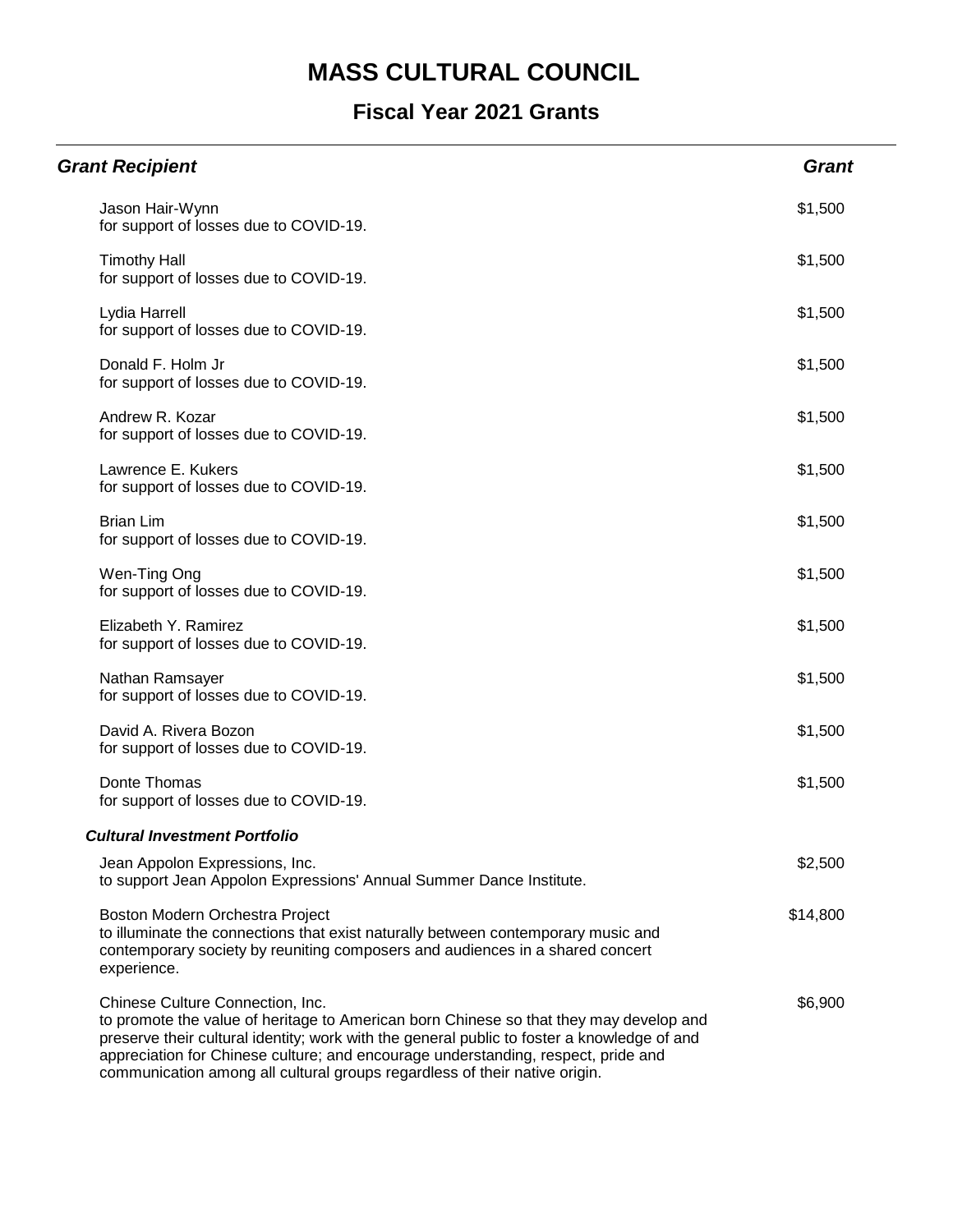| <b>Grant Recipient</b>                                                                                                                                                                                                                                                                                                                                                                       | <b>Grant</b> |
|----------------------------------------------------------------------------------------------------------------------------------------------------------------------------------------------------------------------------------------------------------------------------------------------------------------------------------------------------------------------------------------------|--------------|
| Jason Hair-Wynn<br>for support of losses due to COVID-19.                                                                                                                                                                                                                                                                                                                                    | \$1,500      |
| <b>Timothy Hall</b><br>for support of losses due to COVID-19.                                                                                                                                                                                                                                                                                                                                | \$1,500      |
| Lydia Harrell<br>for support of losses due to COVID-19.                                                                                                                                                                                                                                                                                                                                      | \$1,500      |
| Donald F. Holm Jr<br>for support of losses due to COVID-19.                                                                                                                                                                                                                                                                                                                                  | \$1,500      |
| Andrew R. Kozar<br>for support of losses due to COVID-19.                                                                                                                                                                                                                                                                                                                                    | \$1,500      |
| Lawrence E. Kukers<br>for support of losses due to COVID-19.                                                                                                                                                                                                                                                                                                                                 | \$1,500      |
| <b>Brian Lim</b><br>for support of losses due to COVID-19.                                                                                                                                                                                                                                                                                                                                   | \$1,500      |
| Wen-Ting Ong<br>for support of losses due to COVID-19.                                                                                                                                                                                                                                                                                                                                       | \$1,500      |
| Elizabeth Y. Ramirez<br>for support of losses due to COVID-19.                                                                                                                                                                                                                                                                                                                               | \$1,500      |
| Nathan Ramsayer<br>for support of losses due to COVID-19.                                                                                                                                                                                                                                                                                                                                    | \$1,500      |
| David A. Rivera Bozon<br>for support of losses due to COVID-19.                                                                                                                                                                                                                                                                                                                              | \$1,500      |
| Donte Thomas<br>for support of losses due to COVID-19.                                                                                                                                                                                                                                                                                                                                       | \$1,500      |
| <b>Cultural Investment Portfolio</b>                                                                                                                                                                                                                                                                                                                                                         |              |
| Jean Appolon Expressions, Inc.<br>to support Jean Appolon Expressions' Annual Summer Dance Institute.                                                                                                                                                                                                                                                                                        | \$2,500      |
| Boston Modern Orchestra Project<br>to illuminate the connections that exist naturally between contemporary music and<br>contemporary society by reuniting composers and audiences in a shared concert<br>experience.                                                                                                                                                                         | \$14,800     |
| Chinese Culture Connection, Inc.<br>to promote the value of heritage to American born Chinese so that they may develop and<br>preserve their cultural identity; work with the general public to foster a knowledge of and<br>appreciation for Chinese culture; and encourage understanding, respect, pride and<br>communication among all cultural groups regardless of their native origin. | \$6,900      |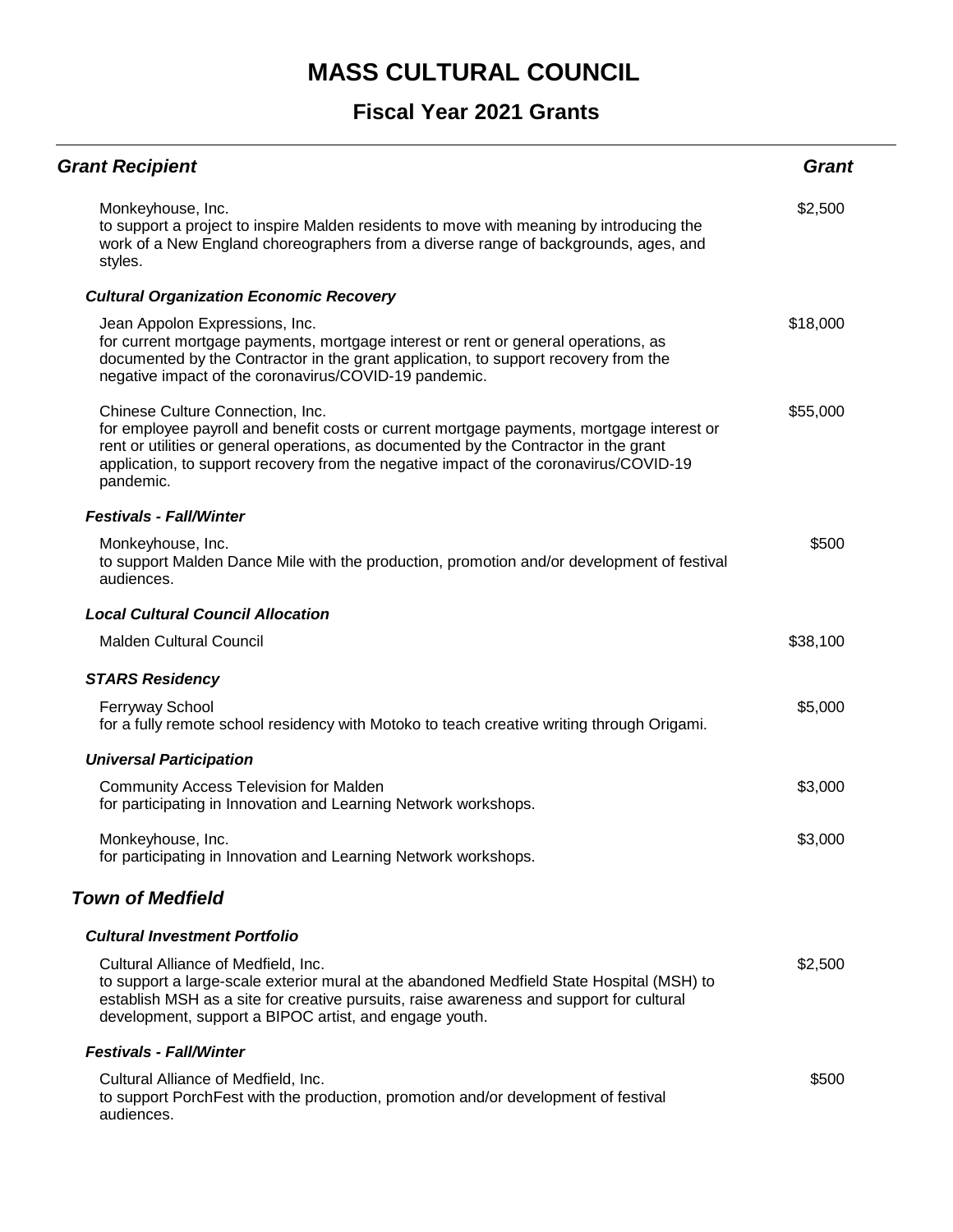| <b>Grant Recipient</b>                                                                                                                                                                                                                                                                                                       | <b>Grant</b> |
|------------------------------------------------------------------------------------------------------------------------------------------------------------------------------------------------------------------------------------------------------------------------------------------------------------------------------|--------------|
| Monkeyhouse, Inc.<br>to support a project to inspire Malden residents to move with meaning by introducing the<br>work of a New England choreographers from a diverse range of backgrounds, ages, and<br>styles.                                                                                                              | \$2,500      |
| <b>Cultural Organization Economic Recovery</b>                                                                                                                                                                                                                                                                               |              |
| Jean Appolon Expressions, Inc.<br>for current mortgage payments, mortgage interest or rent or general operations, as<br>documented by the Contractor in the grant application, to support recovery from the<br>negative impact of the coronavirus/COVID-19 pandemic.                                                         | \$18,000     |
| Chinese Culture Connection, Inc.<br>for employee payroll and benefit costs or current mortgage payments, mortgage interest or<br>rent or utilities or general operations, as documented by the Contractor in the grant<br>application, to support recovery from the negative impact of the coronavirus/COVID-19<br>pandemic. | \$55,000     |
| <b>Festivals - Fall/Winter</b>                                                                                                                                                                                                                                                                                               |              |
| Monkeyhouse, Inc.<br>to support Malden Dance Mile with the production, promotion and/or development of festival<br>audiences.                                                                                                                                                                                                | \$500        |
| <b>Local Cultural Council Allocation</b>                                                                                                                                                                                                                                                                                     |              |
| <b>Malden Cultural Council</b>                                                                                                                                                                                                                                                                                               | \$38,100     |
| <b>STARS Residency</b>                                                                                                                                                                                                                                                                                                       |              |
| Ferryway School<br>for a fully remote school residency with Motoko to teach creative writing through Origami.                                                                                                                                                                                                                | \$5,000      |
| <b>Universal Participation</b>                                                                                                                                                                                                                                                                                               |              |
| <b>Community Access Television for Malden</b><br>for participating in Innovation and Learning Network workshops.                                                                                                                                                                                                             | \$3,000      |
| Monkeyhouse, Inc.<br>for participating in Innovation and Learning Network workshops.                                                                                                                                                                                                                                         | \$3,000      |
| <b>Town of Medfield</b>                                                                                                                                                                                                                                                                                                      |              |
| <b>Cultural Investment Portfolio</b>                                                                                                                                                                                                                                                                                         |              |
| Cultural Alliance of Medfield, Inc.<br>to support a large-scale exterior mural at the abandoned Medfield State Hospital (MSH) to<br>establish MSH as a site for creative pursuits, raise awareness and support for cultural<br>development, support a BIPOC artist, and engage youth.                                        | \$2,500      |
| <b>Festivals - Fall/Winter</b>                                                                                                                                                                                                                                                                                               |              |
| Cultural Alliance of Medfield, Inc.<br>to support PorchFest with the production, promotion and/or development of festival<br>audiences.                                                                                                                                                                                      | \$500        |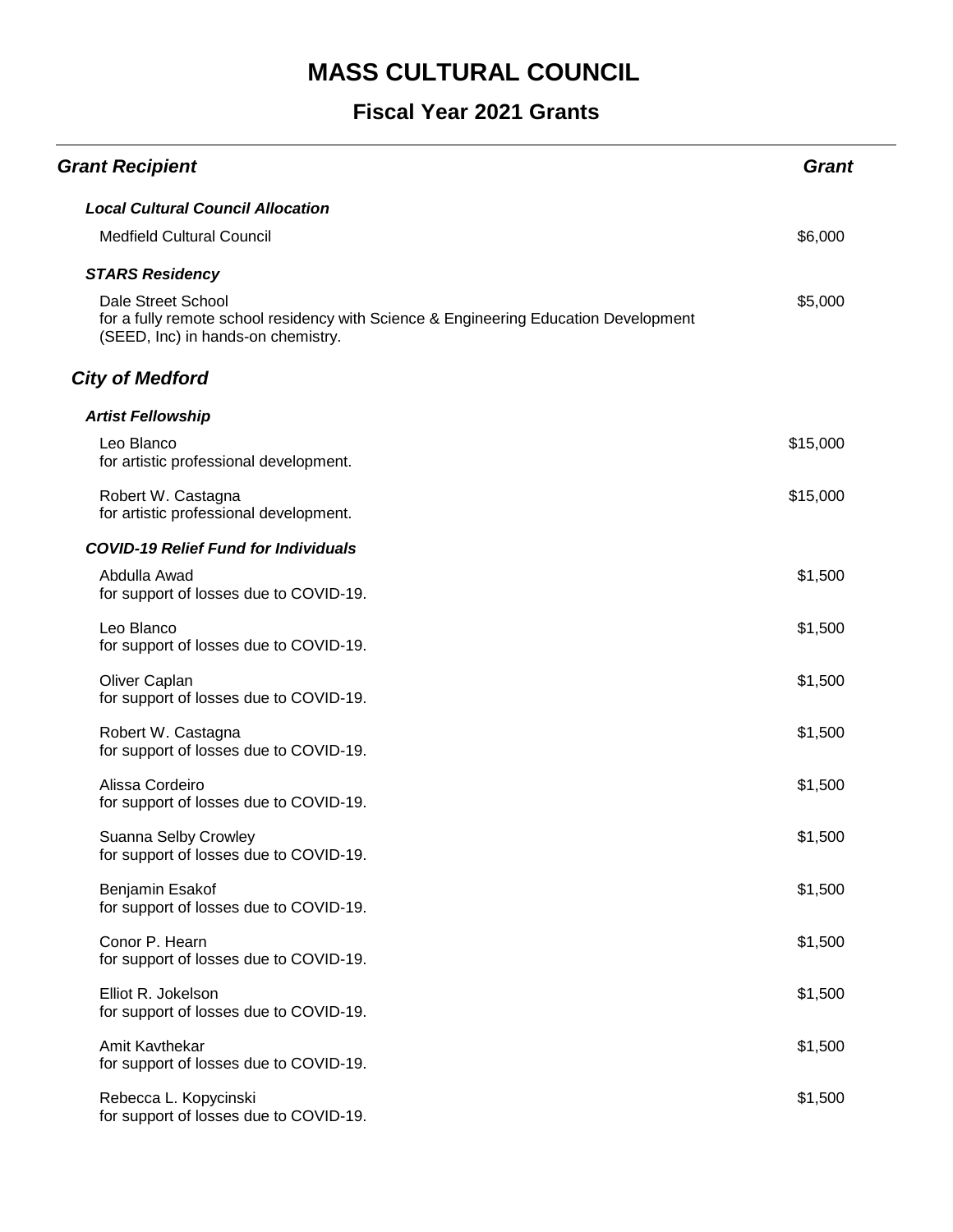| <b>Grant Recipient</b>                                                                                                                           | <b>Grant</b> |
|--------------------------------------------------------------------------------------------------------------------------------------------------|--------------|
| <b>Local Cultural Council Allocation</b>                                                                                                         |              |
| <b>Medfield Cultural Council</b>                                                                                                                 | \$6,000      |
| <b>STARS Residency</b>                                                                                                                           |              |
| Dale Street School<br>for a fully remote school residency with Science & Engineering Education Development<br>(SEED, Inc) in hands-on chemistry. | \$5,000      |
| <b>City of Medford</b>                                                                                                                           |              |
| <b>Artist Fellowship</b>                                                                                                                         |              |
| Leo Blanco<br>for artistic professional development.                                                                                             | \$15,000     |
| Robert W. Castagna<br>for artistic professional development.                                                                                     | \$15,000     |
| <b>COVID-19 Relief Fund for Individuals</b>                                                                                                      |              |
| Abdulla Awad<br>for support of losses due to COVID-19.                                                                                           | \$1,500      |
| Leo Blanco<br>for support of losses due to COVID-19.                                                                                             | \$1,500      |
| Oliver Caplan<br>for support of losses due to COVID-19.                                                                                          | \$1,500      |
| Robert W. Castagna<br>for support of losses due to COVID-19.                                                                                     | \$1,500      |
| Alissa Cordeiro<br>for support of losses due to COVID-19.                                                                                        | \$1,500      |
| Suanna Selby Crowley<br>for support of losses due to COVID-19.                                                                                   | \$1,500      |
| Benjamin Esakof<br>for support of losses due to COVID-19.                                                                                        | \$1,500      |
| Conor P. Hearn<br>for support of losses due to COVID-19.                                                                                         | \$1,500      |
| Elliot R. Jokelson<br>for support of losses due to COVID-19.                                                                                     | \$1,500      |
| Amit Kavthekar<br>for support of losses due to COVID-19.                                                                                         | \$1,500      |
| Rebecca L. Kopycinski<br>for support of losses due to COVID-19.                                                                                  | \$1,500      |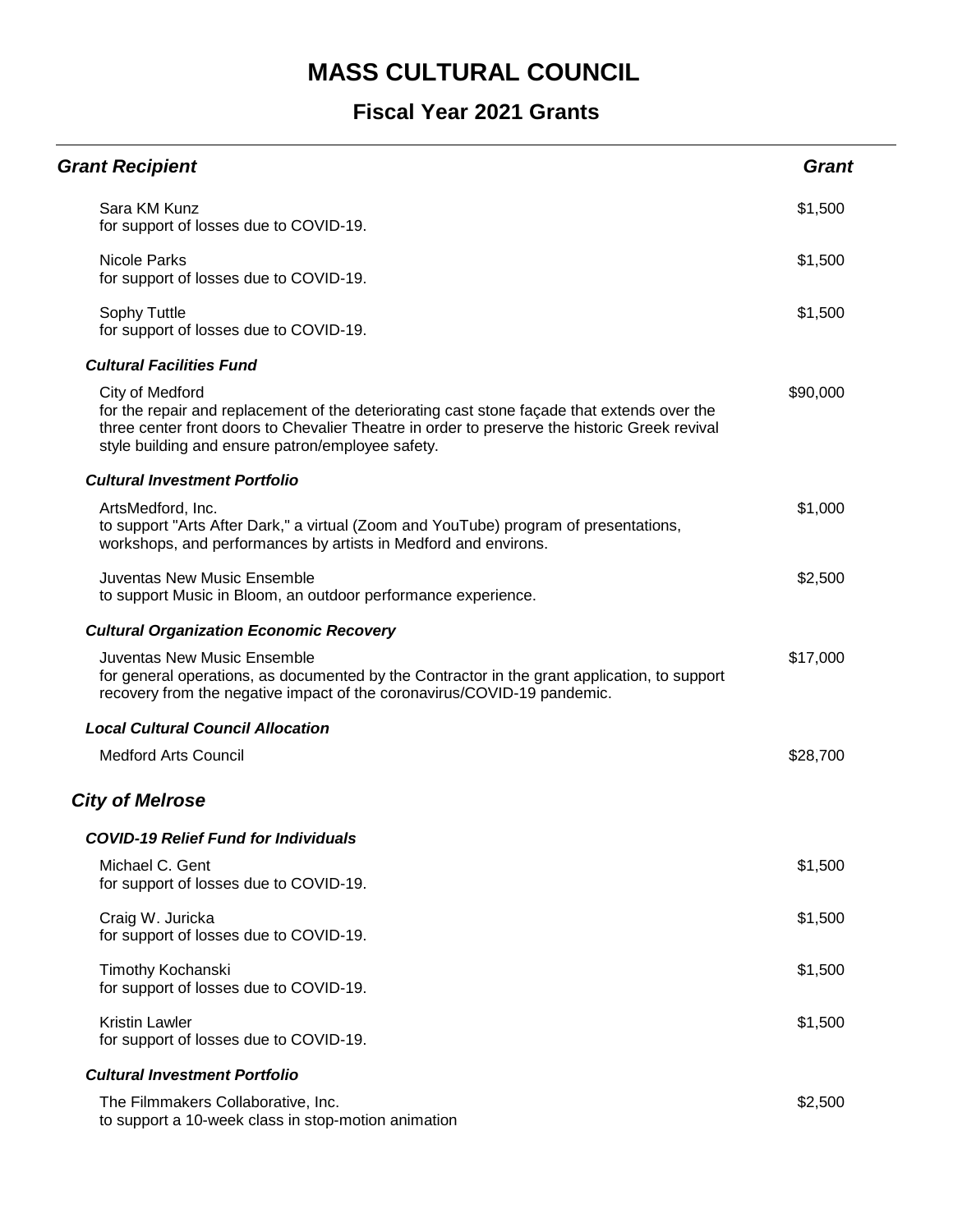| <b>Grant Recipient</b>                                                                                                                                                                                                                                               | <b>Grant</b> |
|----------------------------------------------------------------------------------------------------------------------------------------------------------------------------------------------------------------------------------------------------------------------|--------------|
| Sara KM Kunz<br>for support of losses due to COVID-19.                                                                                                                                                                                                               | \$1,500      |
| <b>Nicole Parks</b><br>for support of losses due to COVID-19.                                                                                                                                                                                                        | \$1,500      |
| Sophy Tuttle<br>for support of losses due to COVID-19.                                                                                                                                                                                                               | \$1,500      |
| <b>Cultural Facilities Fund</b>                                                                                                                                                                                                                                      |              |
| City of Medford<br>for the repair and replacement of the deteriorating cast stone façade that extends over the<br>three center front doors to Chevalier Theatre in order to preserve the historic Greek revival<br>style building and ensure patron/employee safety. | \$90,000     |
| <b>Cultural Investment Portfolio</b>                                                                                                                                                                                                                                 |              |
| ArtsMedford, Inc.<br>to support "Arts After Dark," a virtual (Zoom and YouTube) program of presentations,<br>workshops, and performances by artists in Medford and environs.                                                                                         | \$1,000      |
| Juventas New Music Ensemble<br>to support Music in Bloom, an outdoor performance experience.                                                                                                                                                                         | \$2,500      |
| <b>Cultural Organization Economic Recovery</b>                                                                                                                                                                                                                       |              |
| <b>Juventas New Music Ensemble</b><br>for general operations, as documented by the Contractor in the grant application, to support<br>recovery from the negative impact of the coronavirus/COVID-19 pandemic.                                                        | \$17,000     |
| <b>Local Cultural Council Allocation</b>                                                                                                                                                                                                                             |              |
| <b>Medford Arts Council</b>                                                                                                                                                                                                                                          | \$28,700     |
| <b>City of Melrose</b>                                                                                                                                                                                                                                               |              |
| <b>COVID-19 Relief Fund for Individuals</b>                                                                                                                                                                                                                          |              |
| Michael C. Gent<br>for support of losses due to COVID-19.                                                                                                                                                                                                            | \$1,500      |
| Craig W. Juricka<br>for support of losses due to COVID-19.                                                                                                                                                                                                           | \$1,500      |
| Timothy Kochanski<br>for support of losses due to COVID-19.                                                                                                                                                                                                          | \$1,500      |
| <b>Kristin Lawler</b><br>for support of losses due to COVID-19.                                                                                                                                                                                                      | \$1,500      |
| <b>Cultural Investment Portfolio</b>                                                                                                                                                                                                                                 |              |
| The Filmmakers Collaborative, Inc.<br>to support a 10-week class in stop-motion animation                                                                                                                                                                            | \$2,500      |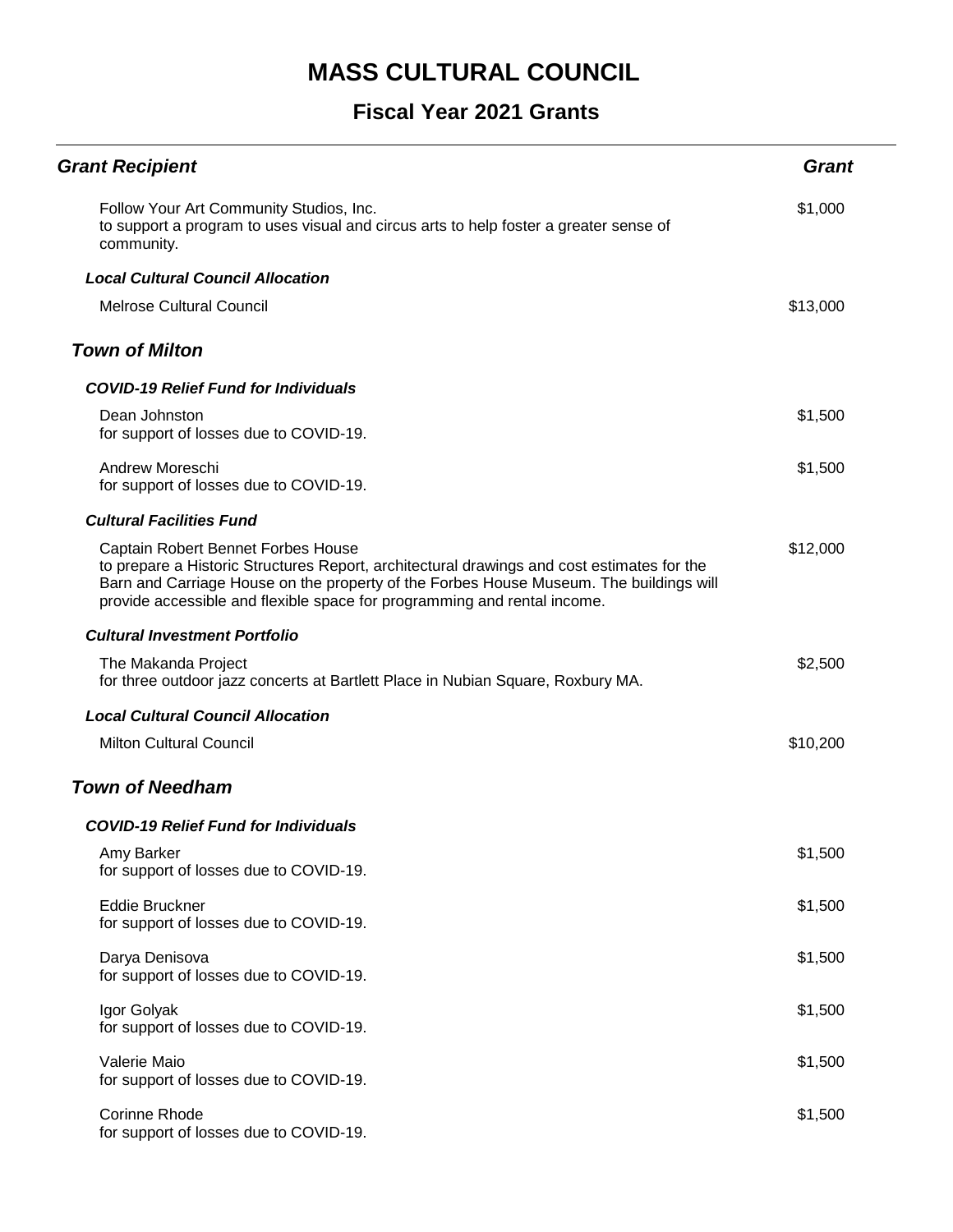| <b>Grant Recipient</b>                                                                                                                                                                                                                                                                                 | <b>Grant</b> |
|--------------------------------------------------------------------------------------------------------------------------------------------------------------------------------------------------------------------------------------------------------------------------------------------------------|--------------|
| Follow Your Art Community Studios, Inc.<br>to support a program to uses visual and circus arts to help foster a greater sense of<br>community.                                                                                                                                                         | \$1,000      |
| <b>Local Cultural Council Allocation</b>                                                                                                                                                                                                                                                               |              |
| <b>Melrose Cultural Council</b>                                                                                                                                                                                                                                                                        | \$13,000     |
| <b>Town of Milton</b>                                                                                                                                                                                                                                                                                  |              |
| <b>COVID-19 Relief Fund for Individuals</b>                                                                                                                                                                                                                                                            |              |
| Dean Johnston<br>for support of losses due to COVID-19.                                                                                                                                                                                                                                                | \$1,500      |
| Andrew Moreschi<br>for support of losses due to COVID-19.                                                                                                                                                                                                                                              | \$1,500      |
| <b>Cultural Facilities Fund</b>                                                                                                                                                                                                                                                                        |              |
| Captain Robert Bennet Forbes House<br>to prepare a Historic Structures Report, architectural drawings and cost estimates for the<br>Barn and Carriage House on the property of the Forbes House Museum. The buildings will<br>provide accessible and flexible space for programming and rental income. | \$12,000     |
| <b>Cultural Investment Portfolio</b>                                                                                                                                                                                                                                                                   |              |
| The Makanda Project<br>for three outdoor jazz concerts at Bartlett Place in Nubian Square, Roxbury MA.                                                                                                                                                                                                 | \$2,500      |
| <b>Local Cultural Council Allocation</b>                                                                                                                                                                                                                                                               |              |
| <b>Milton Cultural Council</b>                                                                                                                                                                                                                                                                         | \$10,200     |
| <b>Town of Needham</b>                                                                                                                                                                                                                                                                                 |              |
| <b>COVID-19 Relief Fund for Individuals</b>                                                                                                                                                                                                                                                            |              |
| Amy Barker<br>for support of losses due to COVID-19.                                                                                                                                                                                                                                                   | \$1,500      |
| <b>Eddie Bruckner</b><br>for support of losses due to COVID-19.                                                                                                                                                                                                                                        | \$1,500      |
| Darya Denisova<br>for support of losses due to COVID-19.                                                                                                                                                                                                                                               | \$1,500      |
| Igor Golyak<br>for support of losses due to COVID-19.                                                                                                                                                                                                                                                  | \$1,500      |
| Valerie Maio<br>for support of losses due to COVID-19.                                                                                                                                                                                                                                                 | \$1,500      |
| Corinne Rhode<br>for support of losses due to COVID-19.                                                                                                                                                                                                                                                | \$1,500      |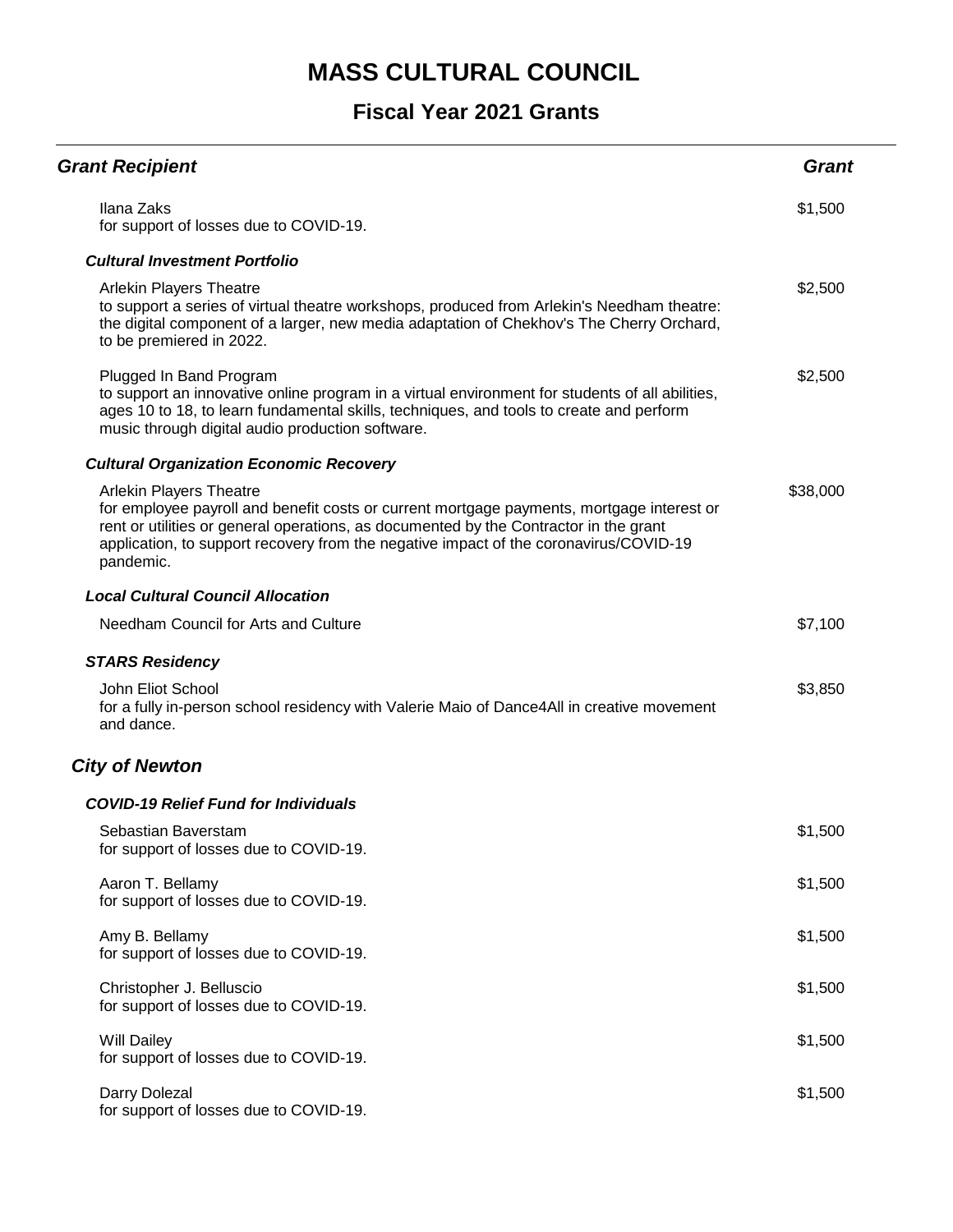| <b>Grant Recipient</b>                                                                                                                                                                                                                                                                                                     | <b>Grant</b> |
|----------------------------------------------------------------------------------------------------------------------------------------------------------------------------------------------------------------------------------------------------------------------------------------------------------------------------|--------------|
| Ilana Zaks<br>for support of losses due to COVID-19.                                                                                                                                                                                                                                                                       | \$1,500      |
| <b>Cultural Investment Portfolio</b>                                                                                                                                                                                                                                                                                       |              |
| <b>Arlekin Players Theatre</b><br>to support a series of virtual theatre workshops, produced from Arlekin's Needham theatre:<br>the digital component of a larger, new media adaptation of Chekhov's The Cherry Orchard,<br>to be premiered in 2022.                                                                       | \$2,500      |
| Plugged In Band Program<br>to support an innovative online program in a virtual environment for students of all abilities,<br>ages 10 to 18, to learn fundamental skills, techniques, and tools to create and perform<br>music through digital audio production software.                                                  | \$2,500      |
| <b>Cultural Organization Economic Recovery</b>                                                                                                                                                                                                                                                                             |              |
| <b>Arlekin Players Theatre</b><br>for employee payroll and benefit costs or current mortgage payments, mortgage interest or<br>rent or utilities or general operations, as documented by the Contractor in the grant<br>application, to support recovery from the negative impact of the coronavirus/COVID-19<br>pandemic. | \$38,000     |
| <b>Local Cultural Council Allocation</b>                                                                                                                                                                                                                                                                                   |              |
| Needham Council for Arts and Culture                                                                                                                                                                                                                                                                                       | \$7,100      |
| <b>STARS Residency</b>                                                                                                                                                                                                                                                                                                     |              |
| John Eliot School<br>for a fully in-person school residency with Valerie Maio of Dance4All in creative movement<br>and dance.                                                                                                                                                                                              | \$3,850      |
| <b>City of Newton</b>                                                                                                                                                                                                                                                                                                      |              |
| <b>COVID-19 Relief Fund for Individuals</b>                                                                                                                                                                                                                                                                                |              |
| Sebastian Baverstam<br>for support of losses due to COVID-19.                                                                                                                                                                                                                                                              | \$1,500      |
| Aaron T. Bellamy<br>for support of losses due to COVID-19.                                                                                                                                                                                                                                                                 | \$1,500      |
| Amy B. Bellamy<br>for support of losses due to COVID-19.                                                                                                                                                                                                                                                                   | \$1,500      |
| Christopher J. Belluscio<br>for support of losses due to COVID-19.                                                                                                                                                                                                                                                         | \$1,500      |
| Will Dailey<br>for support of losses due to COVID-19.                                                                                                                                                                                                                                                                      | \$1,500      |
| Darry Dolezal<br>for support of losses due to COVID-19.                                                                                                                                                                                                                                                                    | \$1,500      |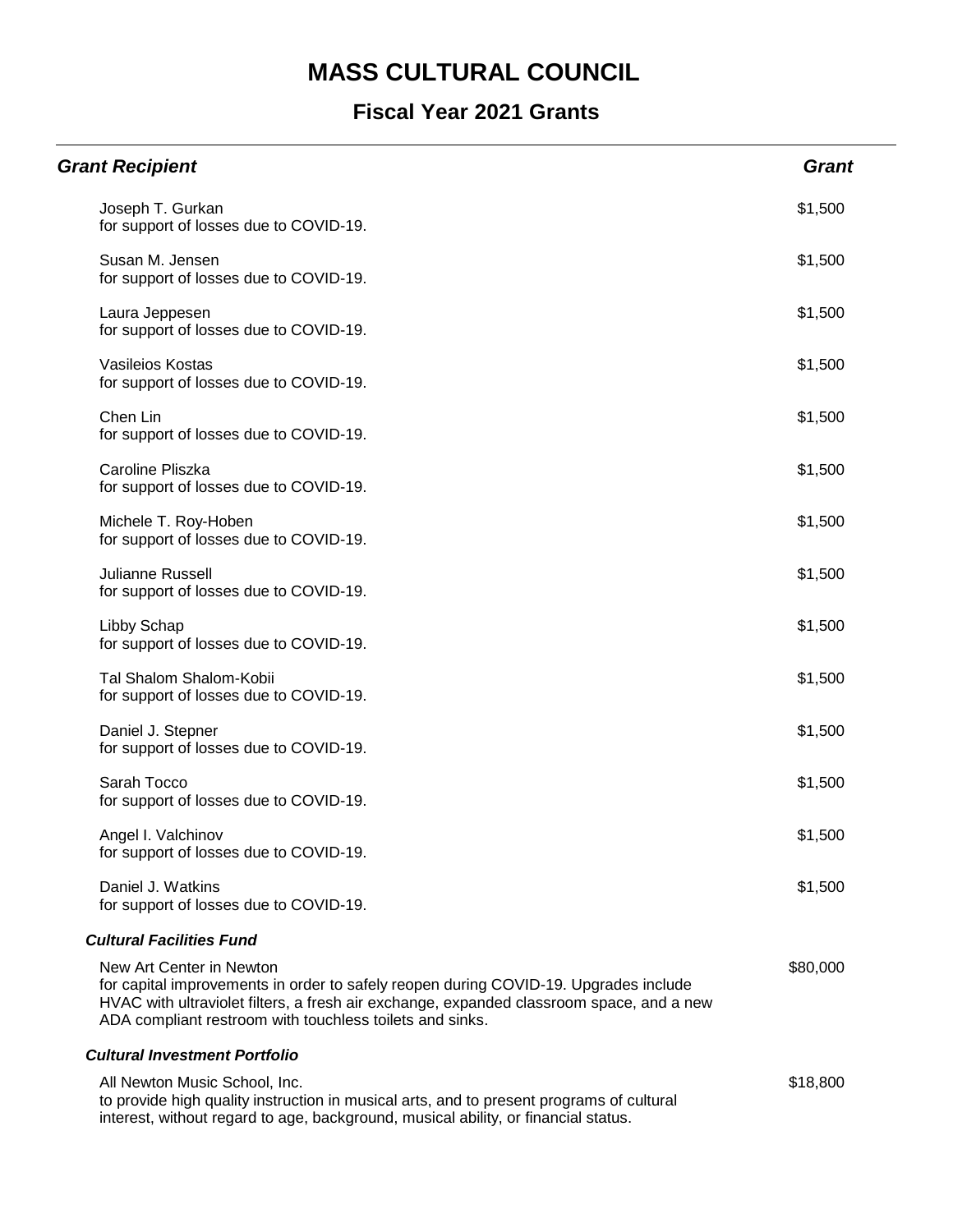### **Fiscal Year 2021 Grants**

| <b>Grant Recipient</b>                                                                                                                                                                                                                                                   | <b>Grant</b> |
|--------------------------------------------------------------------------------------------------------------------------------------------------------------------------------------------------------------------------------------------------------------------------|--------------|
| Joseph T. Gurkan<br>for support of losses due to COVID-19.                                                                                                                                                                                                               | \$1,500      |
| Susan M. Jensen<br>for support of losses due to COVID-19.                                                                                                                                                                                                                | \$1,500      |
| Laura Jeppesen<br>for support of losses due to COVID-19.                                                                                                                                                                                                                 | \$1,500      |
| Vasileios Kostas<br>for support of losses due to COVID-19.                                                                                                                                                                                                               | \$1,500      |
| Chen Lin<br>for support of losses due to COVID-19.                                                                                                                                                                                                                       | \$1,500      |
| Caroline Pliszka<br>for support of losses due to COVID-19.                                                                                                                                                                                                               | \$1,500      |
| Michele T. Roy-Hoben<br>for support of losses due to COVID-19.                                                                                                                                                                                                           | \$1,500      |
| <b>Julianne Russell</b><br>for support of losses due to COVID-19.                                                                                                                                                                                                        | \$1,500      |
| Libby Schap<br>for support of losses due to COVID-19.                                                                                                                                                                                                                    | \$1,500      |
| Tal Shalom Shalom-Kobii<br>for support of losses due to COVID-19.                                                                                                                                                                                                        | \$1,500      |
| Daniel J. Stepner<br>for support of losses due to COVID-19.                                                                                                                                                                                                              | \$1,500      |
| Sarah Tocco<br>for support of losses due to COVID-19.                                                                                                                                                                                                                    | \$1,500      |
| Angel I. Valchinov<br>for support of losses due to COVID-19.                                                                                                                                                                                                             | \$1,500      |
| Daniel J. Watkins<br>for support of losses due to COVID-19.                                                                                                                                                                                                              | \$1,500      |
| <b>Cultural Facilities Fund</b>                                                                                                                                                                                                                                          |              |
| New Art Center in Newton<br>for capital improvements in order to safely reopen during COVID-19. Upgrades include<br>HVAC with ultraviolet filters, a fresh air exchange, expanded classroom space, and a new<br>ADA compliant restroom with touchless toilets and sinks. | \$80,000     |
| <b>Cultural Investment Portfolio</b>                                                                                                                                                                                                                                     |              |
| All Newton Music School, Inc.<br>to provide high quality instruction in musical arts, and to present programs of cultural                                                                                                                                                | \$18,800     |

interest, without regard to age, background, musical ability, or financial status.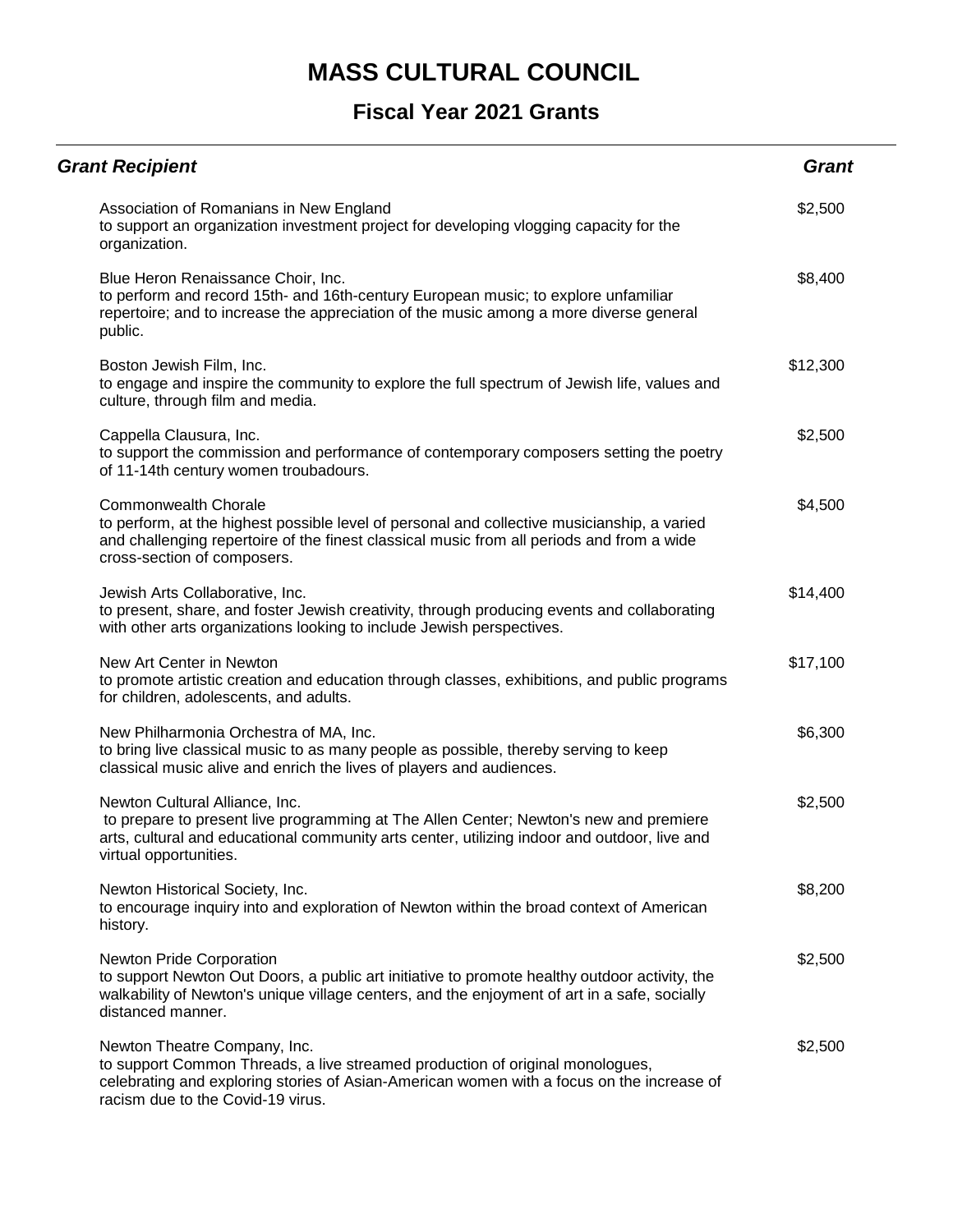| <b>Grant Recipient</b>                                                                                                                                                                                                                                 | <b>Grant</b> |
|--------------------------------------------------------------------------------------------------------------------------------------------------------------------------------------------------------------------------------------------------------|--------------|
| Association of Romanians in New England<br>to support an organization investment project for developing vlogging capacity for the<br>organization.                                                                                                     | \$2,500      |
| Blue Heron Renaissance Choir, Inc.<br>to perform and record 15th- and 16th-century European music; to explore unfamiliar<br>repertoire; and to increase the appreciation of the music among a more diverse general<br>public.                          | \$8,400      |
| Boston Jewish Film, Inc.<br>to engage and inspire the community to explore the full spectrum of Jewish life, values and<br>culture, through film and media.                                                                                            | \$12,300     |
| Cappella Clausura, Inc.<br>to support the commission and performance of contemporary composers setting the poetry<br>of 11-14th century women troubadours.                                                                                             | \$2,500      |
| <b>Commonwealth Chorale</b><br>to perform, at the highest possible level of personal and collective musicianship, a varied<br>and challenging repertoire of the finest classical music from all periods and from a wide<br>cross-section of composers. | \$4,500      |
| Jewish Arts Collaborative, Inc.<br>to present, share, and foster Jewish creativity, through producing events and collaborating<br>with other arts organizations looking to include Jewish perspectives.                                                | \$14,400     |
| New Art Center in Newton<br>to promote artistic creation and education through classes, exhibitions, and public programs<br>for children, adolescents, and adults.                                                                                     | \$17,100     |
| New Philharmonia Orchestra of MA, Inc.<br>to bring live classical music to as many people as possible, thereby serving to keep<br>classical music alive and enrich the lives of players and audiences.                                                 | \$6,300      |
| Newton Cultural Alliance, Inc.<br>to prepare to present live programming at The Allen Center; Newton's new and premiere<br>arts, cultural and educational community arts center, utilizing indoor and outdoor, live and<br>virtual opportunities.      | \$2,500      |
| Newton Historical Society, Inc.<br>to encourage inquiry into and exploration of Newton within the broad context of American<br>history.                                                                                                                | \$8,200      |
| Newton Pride Corporation<br>to support Newton Out Doors, a public art initiative to promote healthy outdoor activity, the<br>walkability of Newton's unique village centers, and the enjoyment of art in a safe, socially<br>distanced manner.         | \$2,500      |
| Newton Theatre Company, Inc.<br>to support Common Threads, a live streamed production of original monologues,<br>celebrating and exploring stories of Asian-American women with a focus on the increase of<br>racism due to the Covid-19 virus.        | \$2,500      |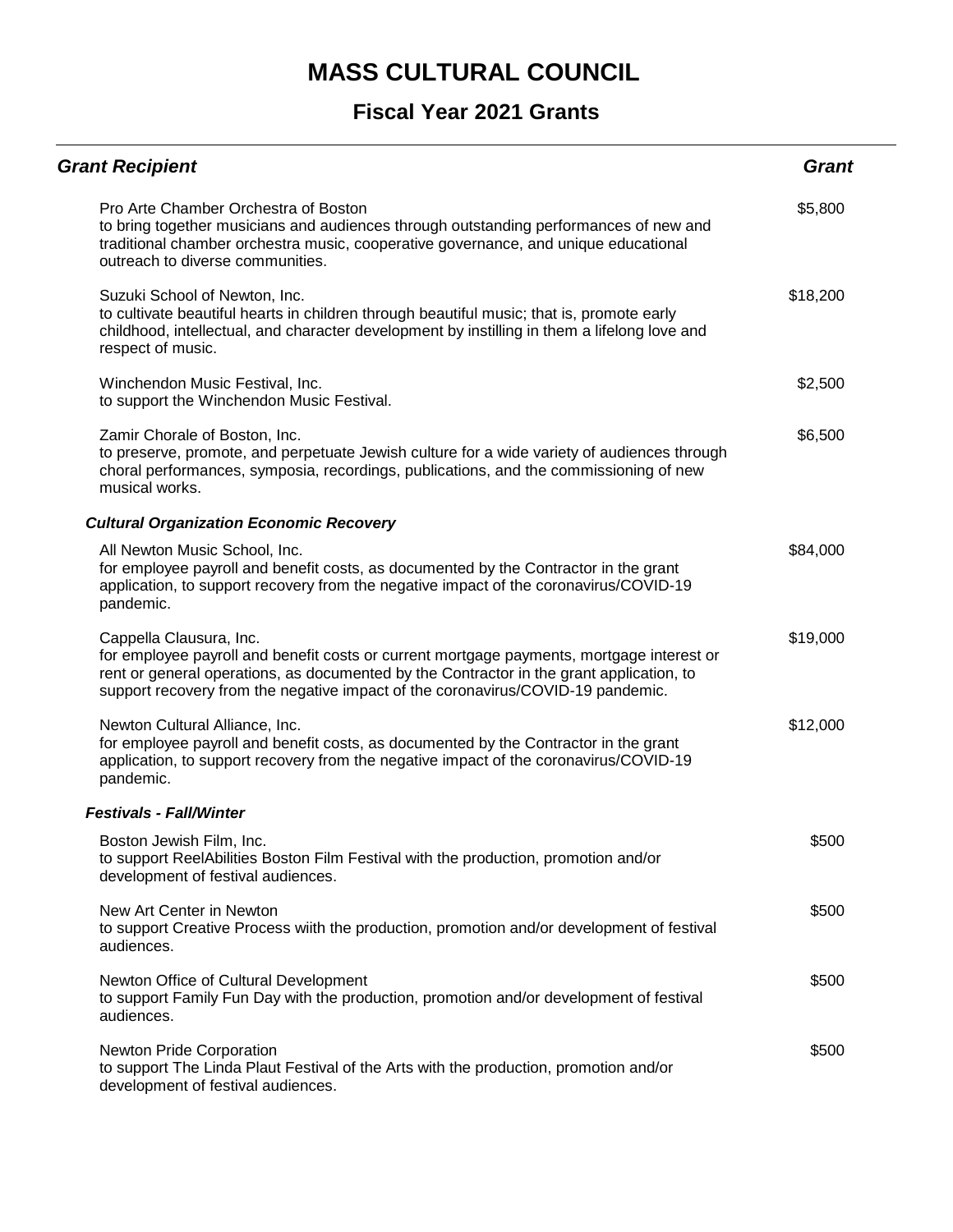| <b>Grant Recipient</b>                                                                                                                                                                                                                                                                              | <b>Grant</b> |
|-----------------------------------------------------------------------------------------------------------------------------------------------------------------------------------------------------------------------------------------------------------------------------------------------------|--------------|
| Pro Arte Chamber Orchestra of Boston<br>to bring together musicians and audiences through outstanding performances of new and<br>traditional chamber orchestra music, cooperative governance, and unique educational<br>outreach to diverse communities.                                            | \$5,800      |
| Suzuki School of Newton, Inc.<br>to cultivate beautiful hearts in children through beautiful music; that is, promote early<br>childhood, intellectual, and character development by instilling in them a lifelong love and<br>respect of music.                                                     | \$18,200     |
| Winchendon Music Festival, Inc.<br>to support the Winchendon Music Festival.                                                                                                                                                                                                                        | \$2,500      |
| Zamir Chorale of Boston, Inc.<br>to preserve, promote, and perpetuate Jewish culture for a wide variety of audiences through<br>choral performances, symposia, recordings, publications, and the commissioning of new<br>musical works.                                                             | \$6,500      |
| <b>Cultural Organization Economic Recovery</b>                                                                                                                                                                                                                                                      |              |
| All Newton Music School, Inc.<br>for employee payroll and benefit costs, as documented by the Contractor in the grant<br>application, to support recovery from the negative impact of the coronavirus/COVID-19<br>pandemic.                                                                         | \$84,000     |
| Cappella Clausura, Inc.<br>for employee payroll and benefit costs or current mortgage payments, mortgage interest or<br>rent or general operations, as documented by the Contractor in the grant application, to<br>support recovery from the negative impact of the coronavirus/COVID-19 pandemic. | \$19,000     |
| Newton Cultural Alliance, Inc.<br>for employee payroll and benefit costs, as documented by the Contractor in the grant<br>application, to support recovery from the negative impact of the coronavirus/COVID-19<br>pandemic.                                                                        | \$12,000     |
| <b>Festivals - Fall/Winter</b>                                                                                                                                                                                                                                                                      |              |
| Boston Jewish Film, Inc.<br>to support ReelAbilities Boston Film Festival with the production, promotion and/or<br>development of festival audiences.                                                                                                                                               | \$500        |
| New Art Center in Newton<br>to support Creative Process wiith the production, promotion and/or development of festival<br>audiences.                                                                                                                                                                | \$500        |
| Newton Office of Cultural Development<br>to support Family Fun Day with the production, promotion and/or development of festival<br>audiences.                                                                                                                                                      | \$500        |
| <b>Newton Pride Corporation</b><br>to support The Linda Plaut Festival of the Arts with the production, promotion and/or<br>development of festival audiences.                                                                                                                                      | \$500        |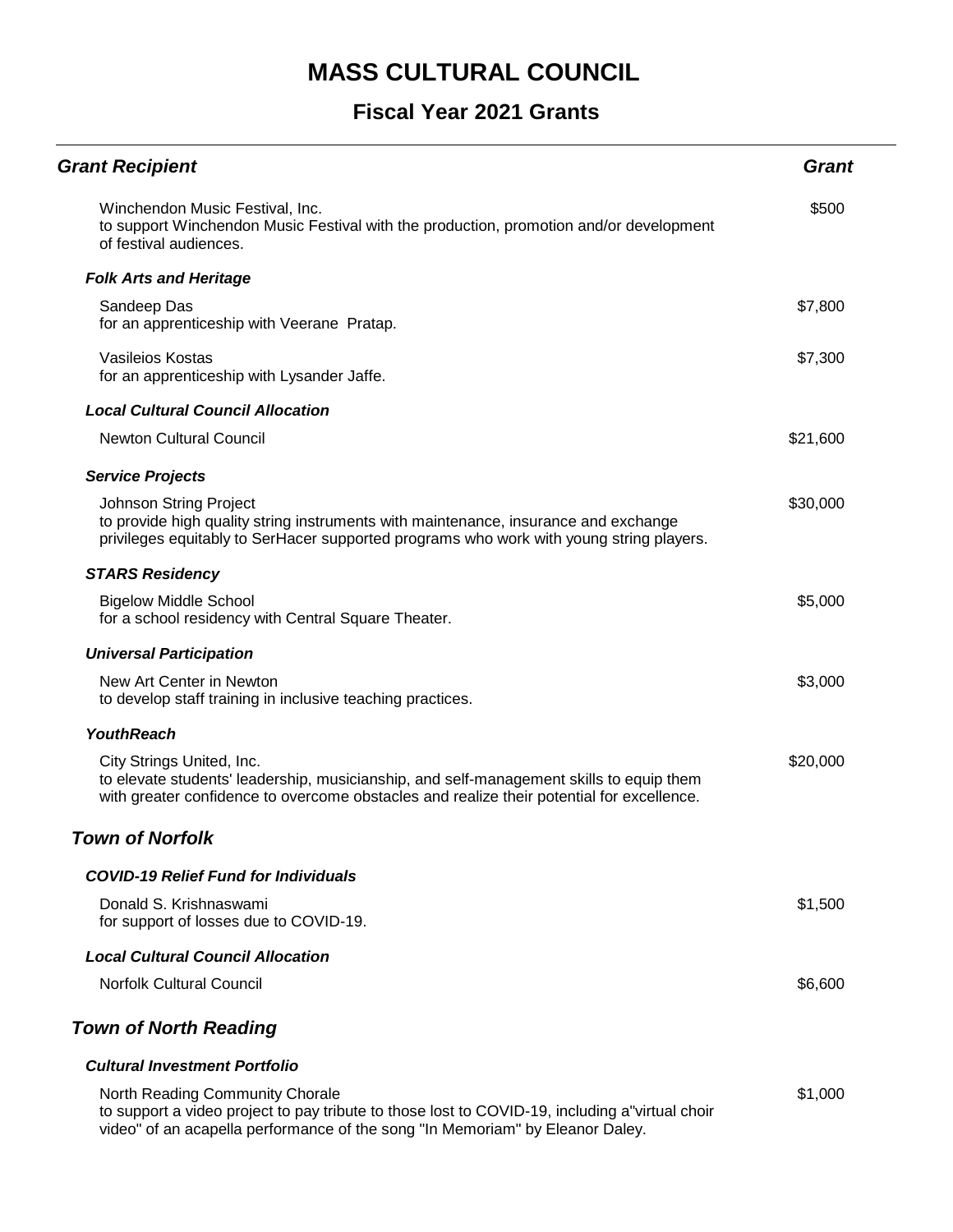#### **Fiscal Year 2021 Grants**

| <b>Grant Recipient</b>                                                                                                                                                                                            | Grant    |
|-------------------------------------------------------------------------------------------------------------------------------------------------------------------------------------------------------------------|----------|
| Winchendon Music Festival, Inc.<br>to support Winchendon Music Festival with the production, promotion and/or development<br>of festival audiences.                                                               | \$500    |
| <b>Folk Arts and Heritage</b>                                                                                                                                                                                     |          |
| Sandeep Das<br>for an apprenticeship with Veerane Pratap.                                                                                                                                                         | \$7,800  |
| Vasileios Kostas<br>for an apprenticeship with Lysander Jaffe.                                                                                                                                                    | \$7,300  |
| <b>Local Cultural Council Allocation</b>                                                                                                                                                                          |          |
| <b>Newton Cultural Council</b>                                                                                                                                                                                    | \$21,600 |
| <b>Service Projects</b>                                                                                                                                                                                           |          |
| Johnson String Project<br>to provide high quality string instruments with maintenance, insurance and exchange<br>privileges equitably to SerHacer supported programs who work with young string players.          | \$30,000 |
| <b>STARS Residency</b>                                                                                                                                                                                            |          |
| <b>Bigelow Middle School</b><br>for a school residency with Central Square Theater.                                                                                                                               | \$5,000  |
| <b>Universal Participation</b>                                                                                                                                                                                    |          |
| New Art Center in Newton<br>to develop staff training in inclusive teaching practices.                                                                                                                            | \$3,000  |
| <b>YouthReach</b>                                                                                                                                                                                                 |          |
| City Strings United, Inc.<br>to elevate students' leadership, musicianship, and self-management skills to equip them<br>with greater confidence to overcome obstacles and realize their potential for excellence. | \$20,000 |
| <b>Town of Norfolk</b>                                                                                                                                                                                            |          |
| <b>COVID-19 Relief Fund for Individuals</b>                                                                                                                                                                       |          |
| Donald S. Krishnaswami<br>for support of losses due to COVID-19.                                                                                                                                                  | \$1,500  |
| <b>Local Cultural Council Allocation</b>                                                                                                                                                                          |          |
| <b>Norfolk Cultural Council</b>                                                                                                                                                                                   | \$6,600  |
| <b>Town of North Reading</b>                                                                                                                                                                                      |          |
| <b>Cultural Investment Portfolio</b>                                                                                                                                                                              |          |
| North Reading Community Chorale                                                                                                                                                                                   | \$1,000  |

North Reading Community Chorale to support a video project to pay tribute to those lost to COVID-19, including a"virtual choir video" of an acapella performance of the song "In Memoriam" by Eleanor Daley.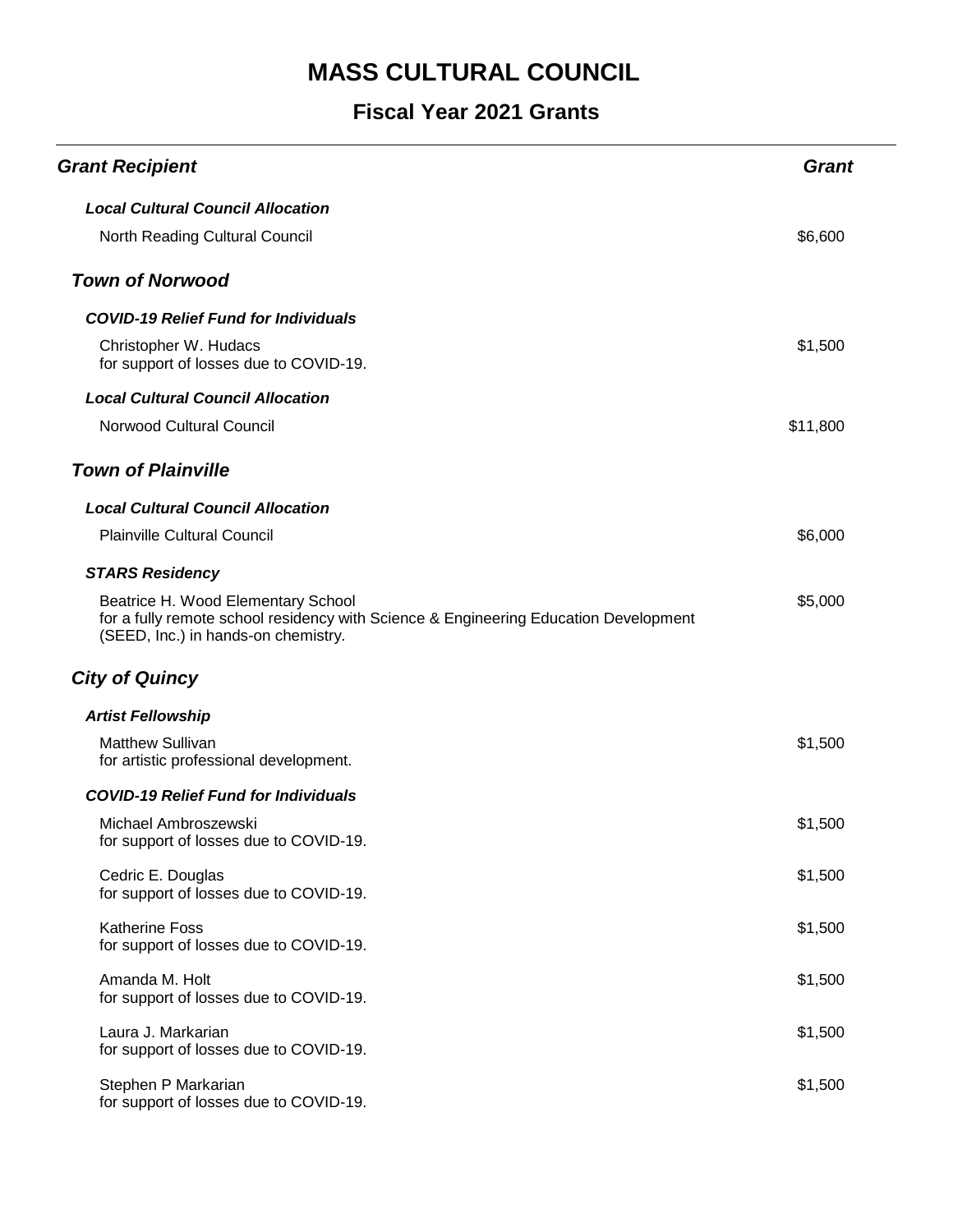| <b>Grant Recipient</b>                                                                                                                                            | <b>Grant</b> |
|-------------------------------------------------------------------------------------------------------------------------------------------------------------------|--------------|
| <b>Local Cultural Council Allocation</b>                                                                                                                          |              |
| North Reading Cultural Council                                                                                                                                    | \$6,600      |
| <b>Town of Norwood</b>                                                                                                                                            |              |
| <b>COVID-19 Relief Fund for Individuals</b>                                                                                                                       |              |
| Christopher W. Hudacs<br>for support of losses due to COVID-19.                                                                                                   | \$1,500      |
| <b>Local Cultural Council Allocation</b>                                                                                                                          |              |
| Norwood Cultural Council                                                                                                                                          | \$11,800     |
| <b>Town of Plainville</b>                                                                                                                                         |              |
| <b>Local Cultural Council Allocation</b>                                                                                                                          |              |
| <b>Plainville Cultural Council</b>                                                                                                                                | \$6,000      |
| <b>STARS Residency</b>                                                                                                                                            |              |
| Beatrice H. Wood Elementary School<br>for a fully remote school residency with Science & Engineering Education Development<br>(SEED, Inc.) in hands-on chemistry. | \$5,000      |
| <b>City of Quincy</b>                                                                                                                                             |              |
| <b>Artist Fellowship</b>                                                                                                                                          |              |
| <b>Matthew Sullivan</b><br>for artistic professional development.                                                                                                 | \$1,500      |
| <b>COVID-19 Relief Fund for Individuals</b>                                                                                                                       |              |
| Michael Ambroszewski<br>for support of losses due to COVID-19                                                                                                     | \$1,500      |
| Cedric E. Douglas<br>for support of losses due to COVID-19.                                                                                                       | \$1,500      |
| <b>Katherine Foss</b><br>for support of losses due to COVID-19.                                                                                                   | \$1,500      |
| Amanda M. Holt<br>for support of losses due to COVID-19.                                                                                                          | \$1,500      |
| Laura J. Markarian<br>for support of losses due to COVID-19.                                                                                                      | \$1,500      |
| Stephen P Markarian<br>for support of losses due to COVID-19.                                                                                                     | \$1,500      |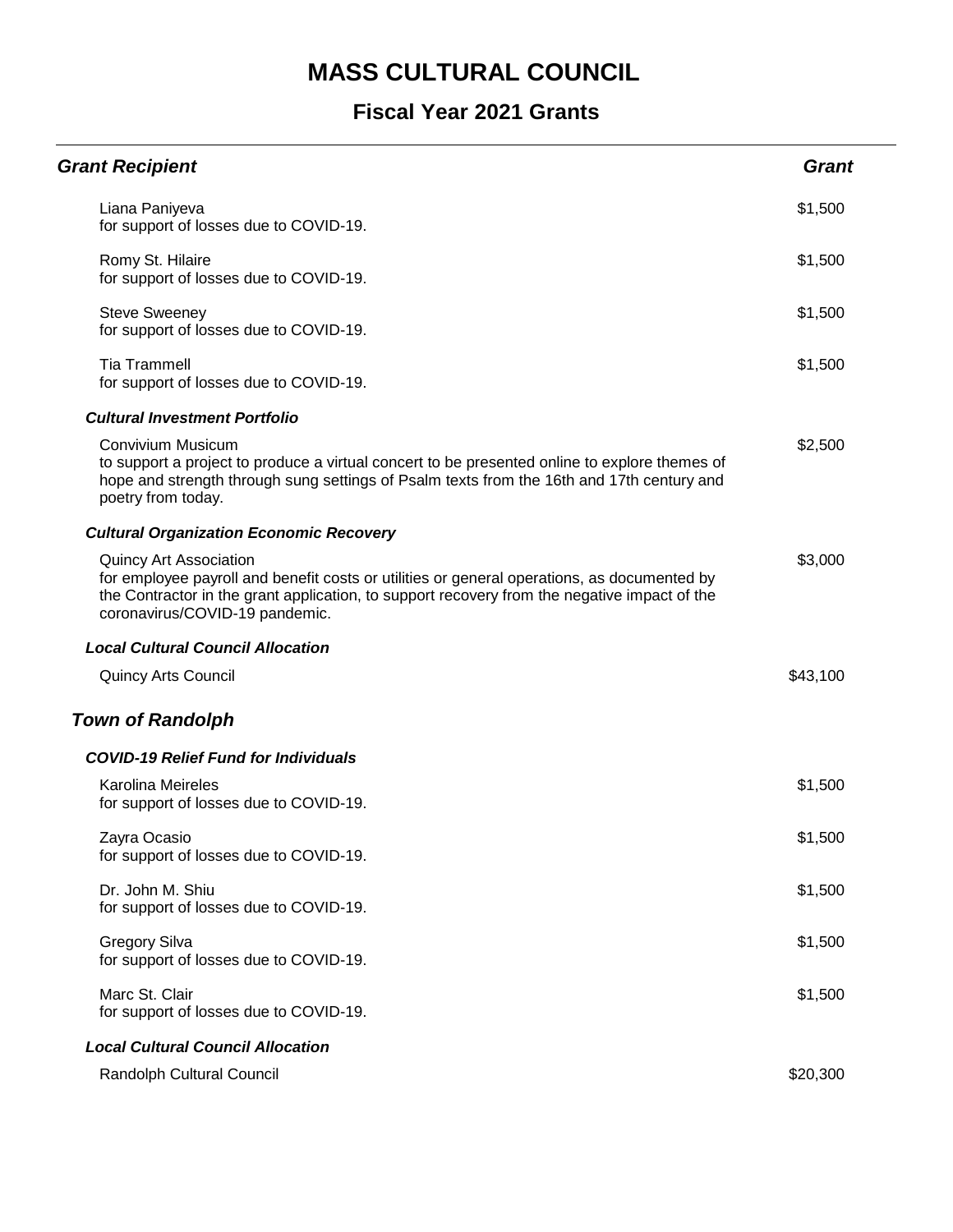| <b>Grant Recipient</b>                                                                                                                                                                                                                                         | <b>Grant</b> |
|----------------------------------------------------------------------------------------------------------------------------------------------------------------------------------------------------------------------------------------------------------------|--------------|
| Liana Paniyeva<br>for support of losses due to COVID-19.                                                                                                                                                                                                       | \$1,500      |
| Romy St. Hilaire<br>for support of losses due to COVID-19.                                                                                                                                                                                                     | \$1,500      |
| <b>Steve Sweeney</b><br>for support of losses due to COVID-19.                                                                                                                                                                                                 | \$1,500      |
| <b>Tia Trammell</b><br>for support of losses due to COVID-19.                                                                                                                                                                                                  | \$1,500      |
| <b>Cultural Investment Portfolio</b>                                                                                                                                                                                                                           |              |
| Convivium Musicum<br>to support a project to produce a virtual concert to be presented online to explore themes of<br>hope and strength through sung settings of Psalm texts from the 16th and 17th century and<br>poetry from today.                          | \$2,500      |
| <b>Cultural Organization Economic Recovery</b>                                                                                                                                                                                                                 |              |
| <b>Quincy Art Association</b><br>for employee payroll and benefit costs or utilities or general operations, as documented by<br>the Contractor in the grant application, to support recovery from the negative impact of the<br>coronavirus/COVID-19 pandemic. | \$3,000      |
| <b>Local Cultural Council Allocation</b>                                                                                                                                                                                                                       |              |
| <b>Quincy Arts Council</b>                                                                                                                                                                                                                                     | \$43,100     |
| <b>Town of Randolph</b>                                                                                                                                                                                                                                        |              |
| <b>COVID-19 Relief Fund for Individuals</b>                                                                                                                                                                                                                    |              |
| <b>Karolina Meireles</b><br>for support of losses due to COVID-19.                                                                                                                                                                                             | \$1,500      |
| Zayra Ocasio<br>for support of losses due to COVID-19.                                                                                                                                                                                                         | \$1,500      |
| Dr. John M. Shiu<br>for support of losses due to COVID-19.                                                                                                                                                                                                     | \$1,500      |
| <b>Gregory Silva</b><br>for support of losses due to COVID-19.                                                                                                                                                                                                 | \$1,500      |
| Marc St. Clair<br>for support of losses due to COVID-19.                                                                                                                                                                                                       | \$1,500      |
| <b>Local Cultural Council Allocation</b>                                                                                                                                                                                                                       |              |
| Randolph Cultural Council                                                                                                                                                                                                                                      | \$20,300     |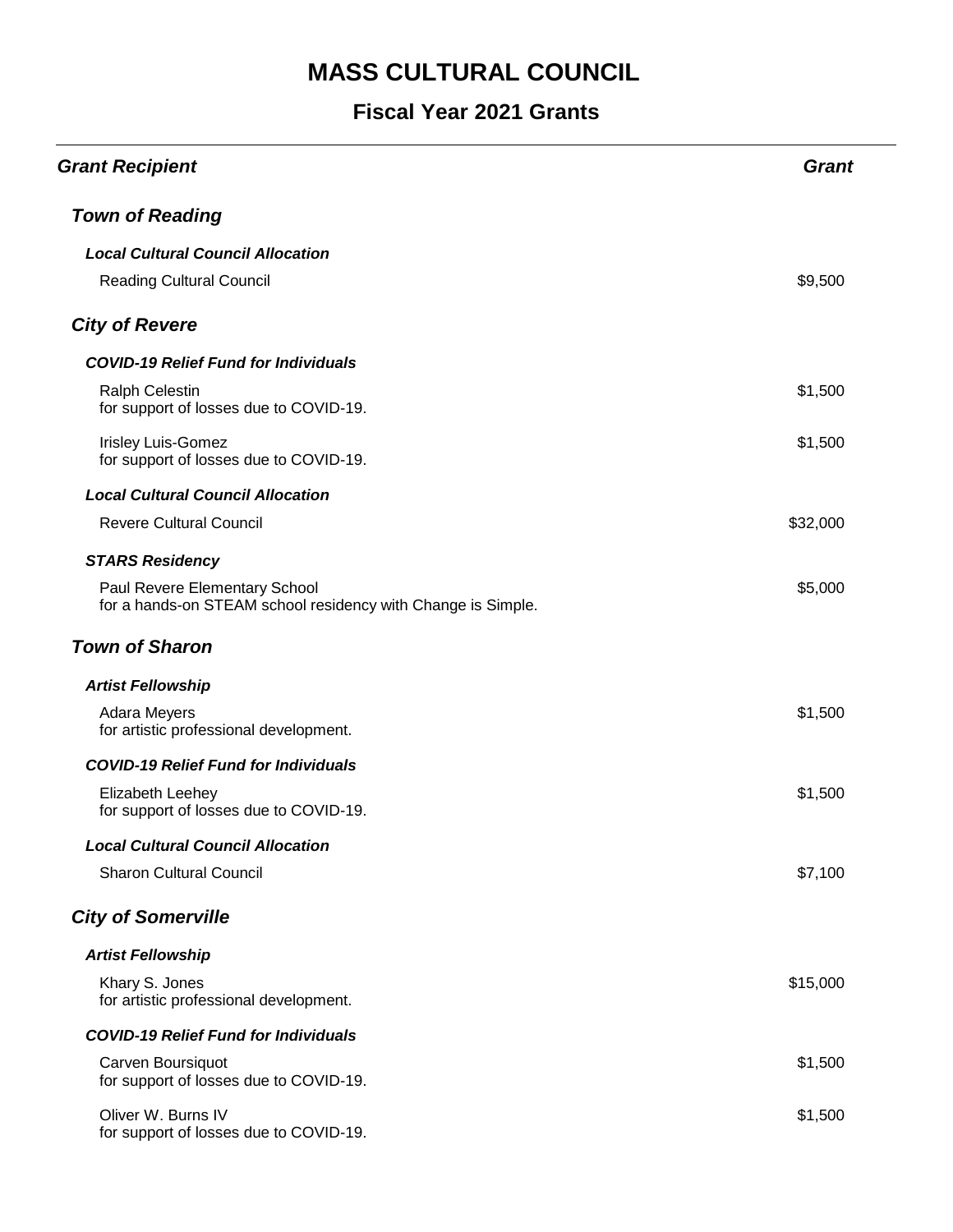| <b>Grant Recipient</b>                                                                        | <b>Grant</b> |
|-----------------------------------------------------------------------------------------------|--------------|
| <b>Town of Reading</b>                                                                        |              |
| <b>Local Cultural Council Allocation</b>                                                      |              |
| <b>Reading Cultural Council</b>                                                               | \$9,500      |
| <b>City of Revere</b>                                                                         |              |
| <b>COVID-19 Relief Fund for Individuals</b>                                                   |              |
| <b>Ralph Celestin</b><br>for support of losses due to COVID-19.                               | \$1,500      |
| <b>Irisley Luis-Gomez</b><br>for support of losses due to COVID-19.                           | \$1,500      |
| <b>Local Cultural Council Allocation</b>                                                      |              |
| <b>Revere Cultural Council</b>                                                                | \$32,000     |
| <b>STARS Residency</b>                                                                        |              |
| Paul Revere Elementary School<br>for a hands-on STEAM school residency with Change is Simple. | \$5,000      |
| <b>Town of Sharon</b>                                                                         |              |
| <b>Artist Fellowship</b>                                                                      |              |
| Adara Meyers<br>for artistic professional development.                                        | \$1,500      |
| <b>COVID-19 Relief Fund for Individuals</b>                                                   |              |
| Elizabeth Leehey<br>for support of losses due to COVID-19.                                    | \$1,500      |
| <b>Local Cultural Council Allocation</b>                                                      |              |
| <b>Sharon Cultural Council</b>                                                                | \$7,100      |
| <b>City of Somerville</b>                                                                     |              |
| <b>Artist Fellowship</b>                                                                      |              |
| Khary S. Jones<br>for artistic professional development.                                      | \$15,000     |
| <b>COVID-19 Relief Fund for Individuals</b>                                                   |              |
| Carven Boursiquot<br>for support of losses due to COVID-19.                                   | \$1,500      |
| Oliver W. Burns IV<br>for support of losses due to COVID-19.                                  | \$1,500      |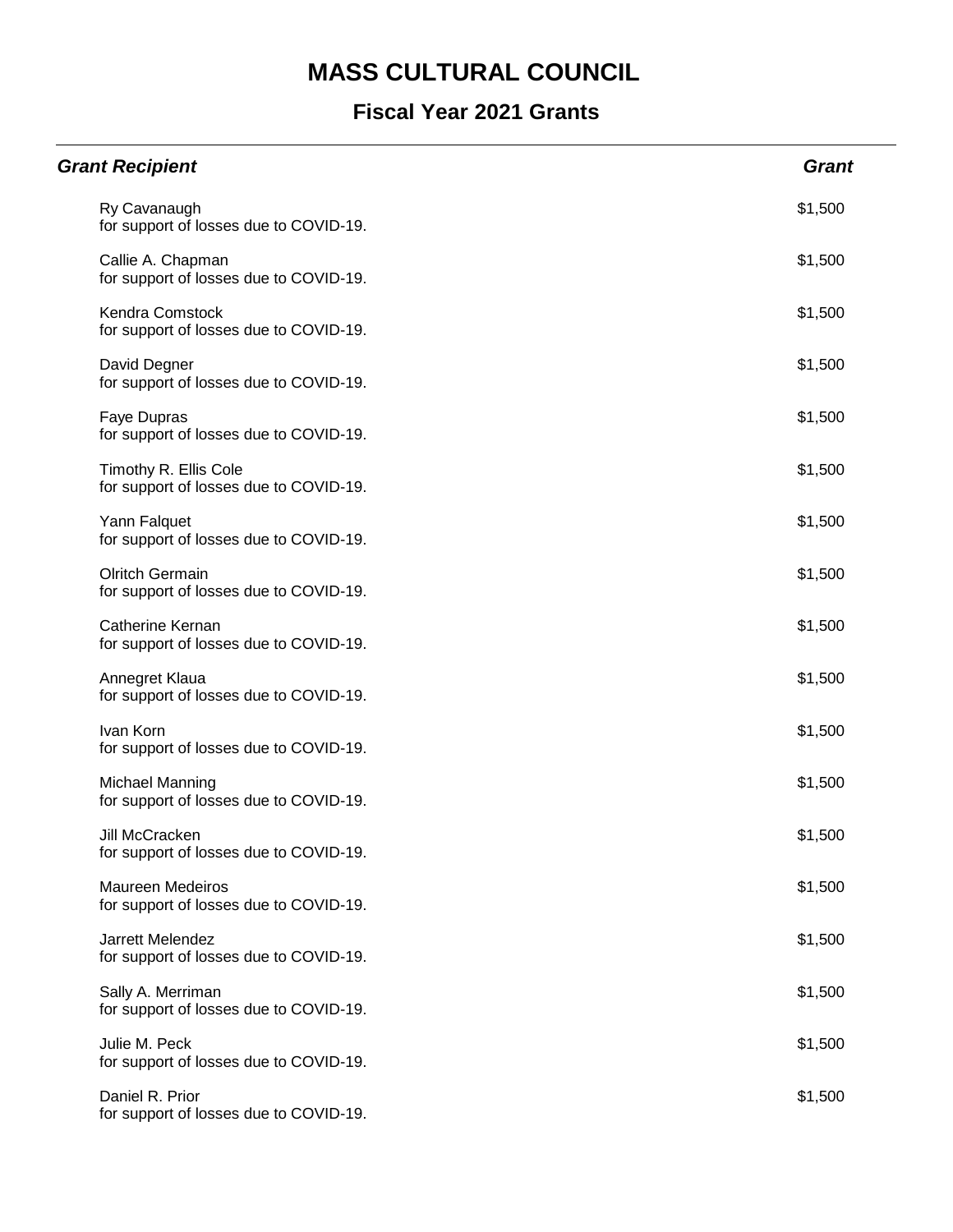| <b>Grant Recipient</b>                                            | <b>Grant</b> |
|-------------------------------------------------------------------|--------------|
| Ry Cavanaugh<br>for support of losses due to COVID-19.            | \$1,500      |
| Callie A. Chapman<br>for support of losses due to COVID-19.       | \$1,500      |
| Kendra Comstock<br>for support of losses due to COVID-19.         | \$1,500      |
| David Degner<br>for support of losses due to COVID-19.            | \$1,500      |
| Faye Dupras<br>for support of losses due to COVID-19.             | \$1,500      |
| Timothy R. Ellis Cole<br>for support of losses due to COVID-19.   | \$1,500      |
| Yann Falquet<br>for support of losses due to COVID-19.            | \$1,500      |
| <b>Olritch Germain</b><br>for support of losses due to COVID-19.  | \$1,500      |
| Catherine Kernan<br>for support of losses due to COVID-19.        | \$1,500      |
| Annegret Klaua<br>for support of losses due to COVID-19.          | \$1,500      |
| Ivan Korn<br>for support of losses due to COVID-19.               | \$1,500      |
| Michael Manning<br>for support of losses due to COVID-19.         | \$1,500      |
| Jill McCracken<br>for support of losses due to COVID-19.          | \$1,500      |
| <b>Maureen Medeiros</b><br>for support of losses due to COVID-19. | \$1,500      |
| Jarrett Melendez<br>for support of losses due to COVID-19.        | \$1,500      |
| Sally A. Merriman<br>for support of losses due to COVID-19.       | \$1,500      |
| Julie M. Peck<br>for support of losses due to COVID-19.           | \$1,500      |
| Daniel R. Prior<br>for support of losses due to COVID-19.         | \$1,500      |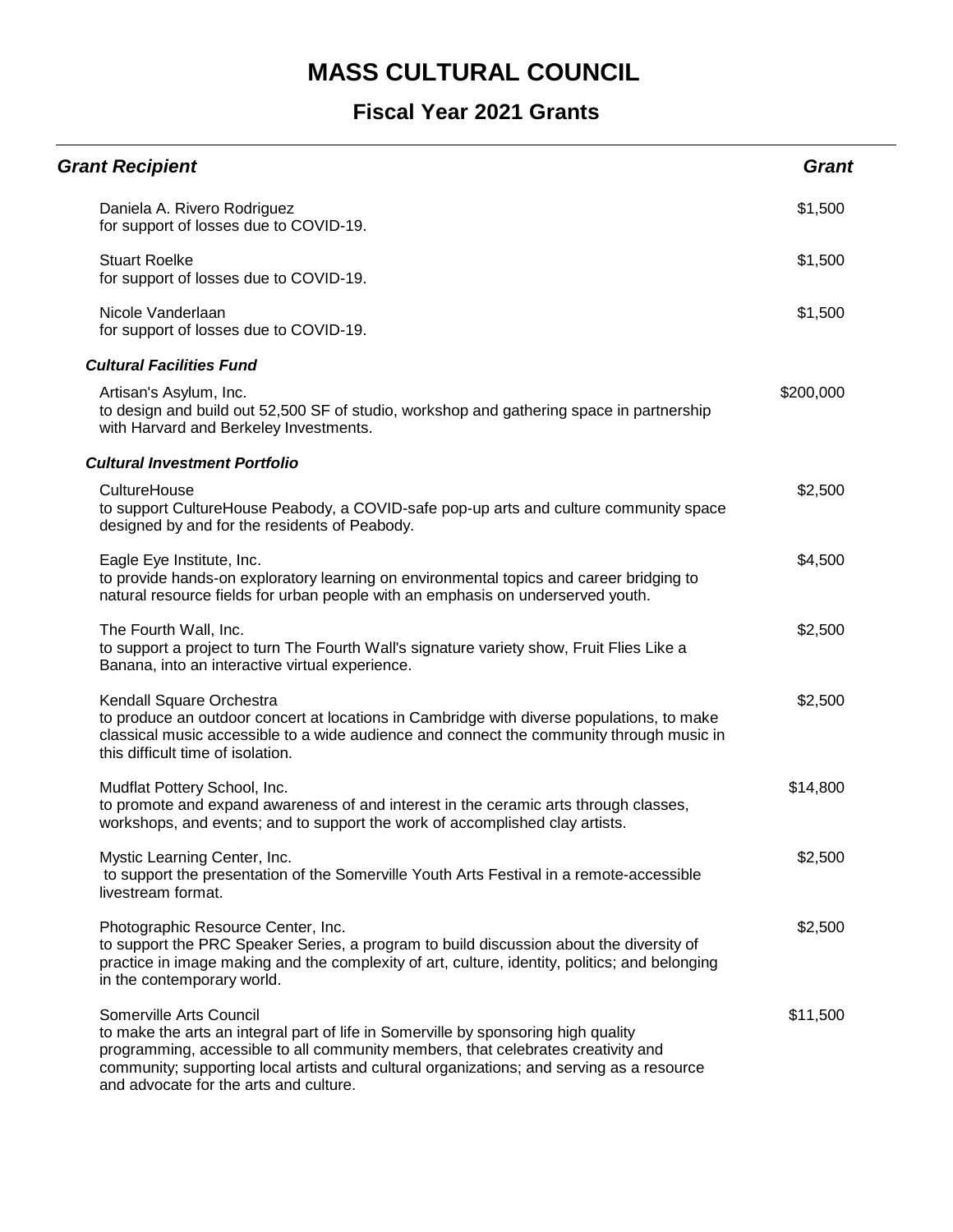| <b>Grant Recipient</b>                                                                                                                                                                                                                                                                                                                   | <b>Grant</b> |
|------------------------------------------------------------------------------------------------------------------------------------------------------------------------------------------------------------------------------------------------------------------------------------------------------------------------------------------|--------------|
| Daniela A. Rivero Rodriguez<br>for support of losses due to COVID-19.                                                                                                                                                                                                                                                                    | \$1,500      |
| <b>Stuart Roelke</b><br>for support of losses due to COVID-19.                                                                                                                                                                                                                                                                           | \$1,500      |
| Nicole Vanderlaan<br>for support of losses due to COVID-19.                                                                                                                                                                                                                                                                              | \$1,500      |
| <b>Cultural Facilities Fund</b>                                                                                                                                                                                                                                                                                                          |              |
| Artisan's Asylum, Inc.<br>to design and build out 52,500 SF of studio, workshop and gathering space in partnership<br>with Harvard and Berkeley Investments.                                                                                                                                                                             | \$200,000    |
| <b>Cultural Investment Portfolio</b>                                                                                                                                                                                                                                                                                                     |              |
| CultureHouse<br>to support CultureHouse Peabody, a COVID-safe pop-up arts and culture community space<br>designed by and for the residents of Peabody.                                                                                                                                                                                   | \$2,500      |
| Eagle Eye Institute, Inc.<br>to provide hands-on exploratory learning on environmental topics and career bridging to<br>natural resource fields for urban people with an emphasis on underserved youth.                                                                                                                                  | \$4,500      |
| The Fourth Wall, Inc.<br>to support a project to turn The Fourth Wall's signature variety show, Fruit Flies Like a<br>Banana, into an interactive virtual experience.                                                                                                                                                                    | \$2,500      |
| Kendall Square Orchestra<br>to produce an outdoor concert at locations in Cambridge with diverse populations, to make<br>classical music accessible to a wide audience and connect the community through music in<br>this difficult time of isolation.                                                                                   | \$2,500      |
| Mudflat Pottery School, Inc.<br>to promote and expand awareness of and interest in the ceramic arts through classes,<br>workshops, and events; and to support the work of accomplished clay artists.                                                                                                                                     | \$14,800     |
| Mystic Learning Center, Inc.<br>to support the presentation of the Somerville Youth Arts Festival in a remote-accessible<br>livestream format.                                                                                                                                                                                           | \$2,500      |
| Photographic Resource Center, Inc.<br>to support the PRC Speaker Series, a program to build discussion about the diversity of<br>practice in image making and the complexity of art, culture, identity, politics; and belonging<br>in the contemporary world.                                                                            | \$2,500      |
| Somerville Arts Council<br>to make the arts an integral part of life in Somerville by sponsoring high quality<br>programming, accessible to all community members, that celebrates creativity and<br>community; supporting local artists and cultural organizations; and serving as a resource<br>and advocate for the arts and culture. | \$11,500     |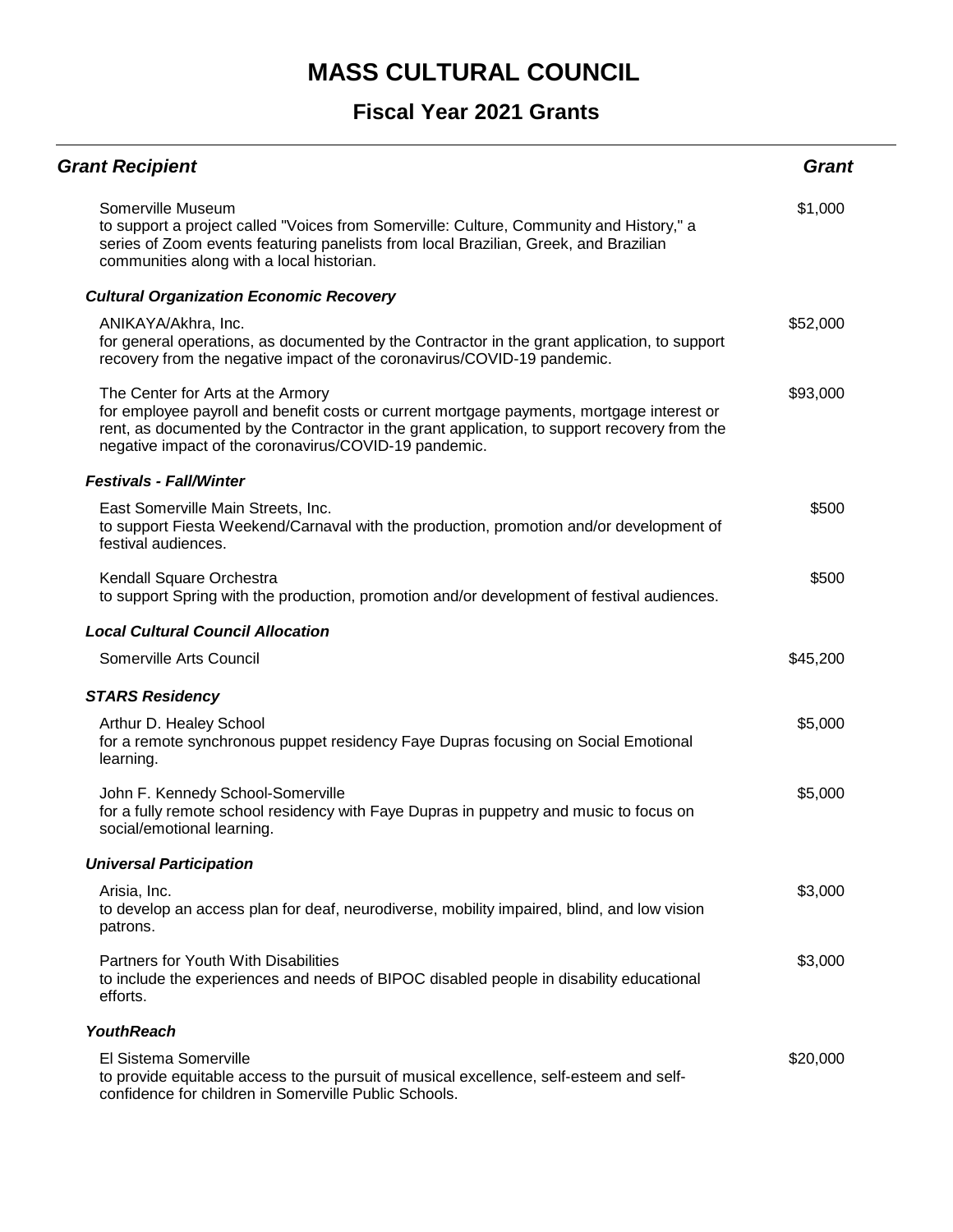| <b>Grant Recipient</b>                                                                                                                                                                                                                                                                  | Grant    |
|-----------------------------------------------------------------------------------------------------------------------------------------------------------------------------------------------------------------------------------------------------------------------------------------|----------|
| Somerville Museum<br>to support a project called "Voices from Somerville: Culture, Community and History," a<br>series of Zoom events featuring panelists from local Brazilian, Greek, and Brazilian<br>communities along with a local historian.                                       | \$1,000  |
| <b>Cultural Organization Economic Recovery</b>                                                                                                                                                                                                                                          |          |
| ANIKAYA/Akhra, Inc.<br>for general operations, as documented by the Contractor in the grant application, to support<br>recovery from the negative impact of the coronavirus/COVID-19 pandemic.                                                                                          | \$52,000 |
| The Center for Arts at the Armory<br>for employee payroll and benefit costs or current mortgage payments, mortgage interest or<br>rent, as documented by the Contractor in the grant application, to support recovery from the<br>negative impact of the coronavirus/COVID-19 pandemic. | \$93,000 |
| <b>Festivals - Fall/Winter</b>                                                                                                                                                                                                                                                          |          |
| East Somerville Main Streets, Inc.<br>to support Fiesta Weekend/Carnaval with the production, promotion and/or development of<br>festival audiences.                                                                                                                                    | \$500    |
| Kendall Square Orchestra<br>to support Spring with the production, promotion and/or development of festival audiences.                                                                                                                                                                  | \$500    |
| <b>Local Cultural Council Allocation</b>                                                                                                                                                                                                                                                |          |
| Somerville Arts Council                                                                                                                                                                                                                                                                 | \$45,200 |
| <b>STARS Residency</b>                                                                                                                                                                                                                                                                  |          |
| Arthur D. Healey School<br>for a remote synchronous puppet residency Faye Dupras focusing on Social Emotional<br>learning.                                                                                                                                                              | \$5,000  |
| John F. Kennedy School-Somerville<br>for a fully remote school residency with Faye Dupras in puppetry and music to focus on<br>social/emotional learning.                                                                                                                               | \$5,000  |
| <b>Universal Participation</b>                                                                                                                                                                                                                                                          |          |
| Arisia, Inc.<br>to develop an access plan for deaf, neurodiverse, mobility impaired, blind, and low vision<br>patrons.                                                                                                                                                                  | \$3,000  |
| Partners for Youth With Disabilities<br>to include the experiences and needs of BIPOC disabled people in disability educational<br>efforts.                                                                                                                                             | \$3,000  |
| <b>YouthReach</b>                                                                                                                                                                                                                                                                       |          |
| El Sistema Somerville<br>to provide equitable access to the pursuit of musical excellence, self-esteem and self-<br>confidence for children in Somerville Public Schools.                                                                                                               | \$20,000 |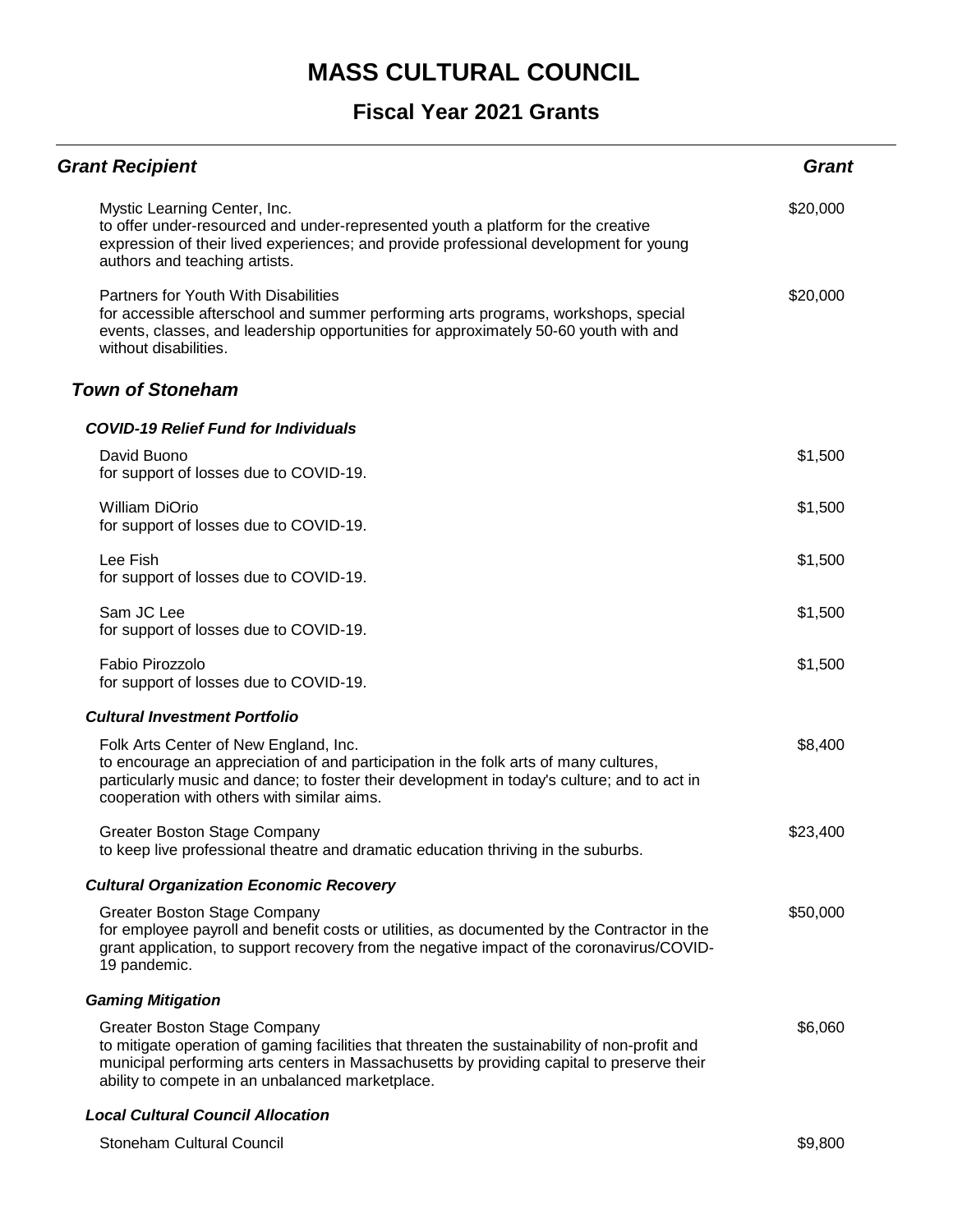### **Fiscal Year 2021 Grants**

| <b>Grant Recipient</b>                                                                                                                                                                                                                                                                | <b>Grant</b> |
|---------------------------------------------------------------------------------------------------------------------------------------------------------------------------------------------------------------------------------------------------------------------------------------|--------------|
| Mystic Learning Center, Inc.<br>to offer under-resourced and under-represented youth a platform for the creative<br>expression of their lived experiences; and provide professional development for young<br>authors and teaching artists.                                            | \$20,000     |
| Partners for Youth With Disabilities<br>for accessible afterschool and summer performing arts programs, workshops, special<br>events, classes, and leadership opportunities for approximately 50-60 youth with and<br>without disabilities.                                           | \$20,000     |
| <b>Town of Stoneham</b>                                                                                                                                                                                                                                                               |              |
| <b>COVID-19 Relief Fund for Individuals</b>                                                                                                                                                                                                                                           |              |
| David Buono<br>for support of losses due to COVID-19.                                                                                                                                                                                                                                 | \$1,500      |
| <b>William DiOrio</b><br>for support of losses due to COVID-19.                                                                                                                                                                                                                       | \$1,500      |
| Lee Fish<br>for support of losses due to COVID-19.                                                                                                                                                                                                                                    | \$1,500      |
| Sam JC Lee<br>for support of losses due to COVID-19.                                                                                                                                                                                                                                  | \$1,500      |
| Fabio Pirozzolo<br>for support of losses due to COVID-19.                                                                                                                                                                                                                             | \$1,500      |
| <b>Cultural Investment Portfolio</b>                                                                                                                                                                                                                                                  |              |
| Folk Arts Center of New England, Inc.<br>to encourage an appreciation of and participation in the folk arts of many cultures,<br>particularly music and dance; to foster their development in today's culture; and to act in<br>cooperation with others with similar aims.            | \$8,400      |
| Greater Boston Stage Company<br>to keep live professional theatre and dramatic education thriving in the suburbs.                                                                                                                                                                     | \$23,400     |
| <b>Cultural Organization Economic Recovery</b>                                                                                                                                                                                                                                        |              |
| <b>Greater Boston Stage Company</b><br>for employee payroll and benefit costs or utilities, as documented by the Contractor in the<br>grant application, to support recovery from the negative impact of the coronavirus/COVID-<br>19 pandemic.                                       | \$50,000     |
| <b>Gaming Mitigation</b>                                                                                                                                                                                                                                                              |              |
| <b>Greater Boston Stage Company</b><br>to mitigate operation of gaming facilities that threaten the sustainability of non-profit and<br>municipal performing arts centers in Massachusetts by providing capital to preserve their<br>ability to compete in an unbalanced marketplace. | \$6,060      |
| <b>Local Cultural Council Allocation</b>                                                                                                                                                                                                                                              |              |

Stoneham Cultural Council **\$9,800** \$9,800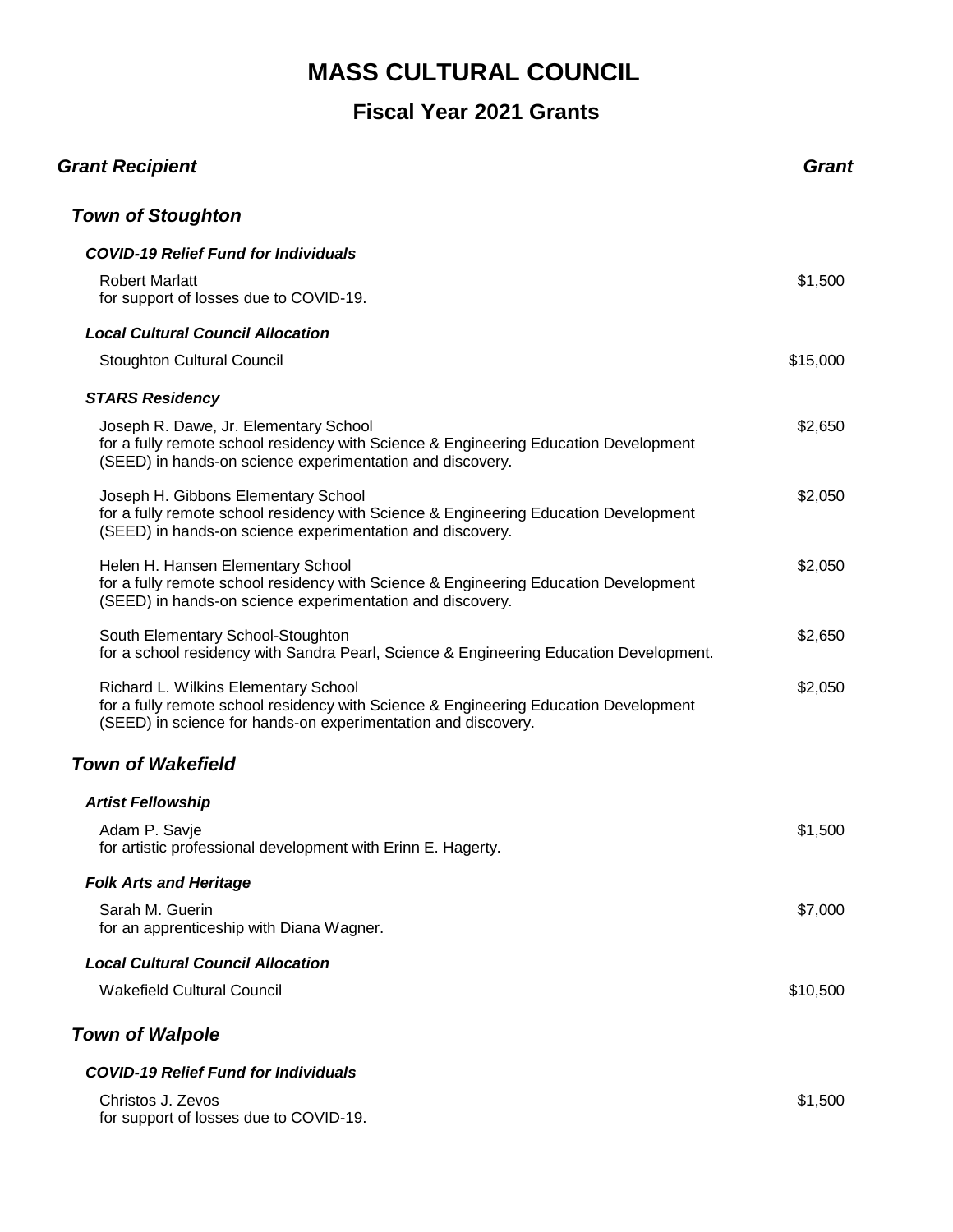| <b>Grant Recipient</b>                                                                                                                                                                        | Grant    |
|-----------------------------------------------------------------------------------------------------------------------------------------------------------------------------------------------|----------|
| <b>Town of Stoughton</b>                                                                                                                                                                      |          |
| <b>COVID-19 Relief Fund for Individuals</b>                                                                                                                                                   |          |
| <b>Robert Marlatt</b><br>for support of losses due to COVID-19.                                                                                                                               | \$1,500  |
| <b>Local Cultural Council Allocation</b>                                                                                                                                                      |          |
| <b>Stoughton Cultural Council</b>                                                                                                                                                             | \$15,000 |
| <b>STARS Residency</b>                                                                                                                                                                        |          |
| Joseph R. Dawe, Jr. Elementary School<br>for a fully remote school residency with Science & Engineering Education Development<br>(SEED) in hands-on science experimentation and discovery.    | \$2,650  |
| Joseph H. Gibbons Elementary School<br>for a fully remote school residency with Science & Engineering Education Development<br>(SEED) in hands-on science experimentation and discovery.      | \$2,050  |
| Helen H. Hansen Elementary School<br>for a fully remote school residency with Science & Engineering Education Development<br>(SEED) in hands-on science experimentation and discovery.        | \$2,050  |
| South Elementary School-Stoughton<br>for a school residency with Sandra Pearl, Science & Engineering Education Development.                                                                   | \$2,650  |
| Richard L. Wilkins Elementary School<br>for a fully remote school residency with Science & Engineering Education Development<br>(SEED) in science for hands-on experimentation and discovery. | \$2,050  |
| <b>Town of Wakefield</b>                                                                                                                                                                      |          |
| <b>Artist Fellowship</b>                                                                                                                                                                      |          |
| Adam P. Savje<br>for artistic professional development with Erinn E. Hagerty.                                                                                                                 | \$1,500  |
| <b>Folk Arts and Heritage</b>                                                                                                                                                                 |          |
| Sarah M. Guerin<br>for an apprenticeship with Diana Wagner.                                                                                                                                   | \$7,000  |
| <b>Local Cultural Council Allocation</b>                                                                                                                                                      |          |
| <b>Wakefield Cultural Council</b>                                                                                                                                                             | \$10,500 |
| <b>Town of Walpole</b>                                                                                                                                                                        |          |
| <b>COVID-19 Relief Fund for Individuals</b>                                                                                                                                                   |          |
| Christos J. Zevos<br>for support of losses due to COVID-19.                                                                                                                                   | \$1,500  |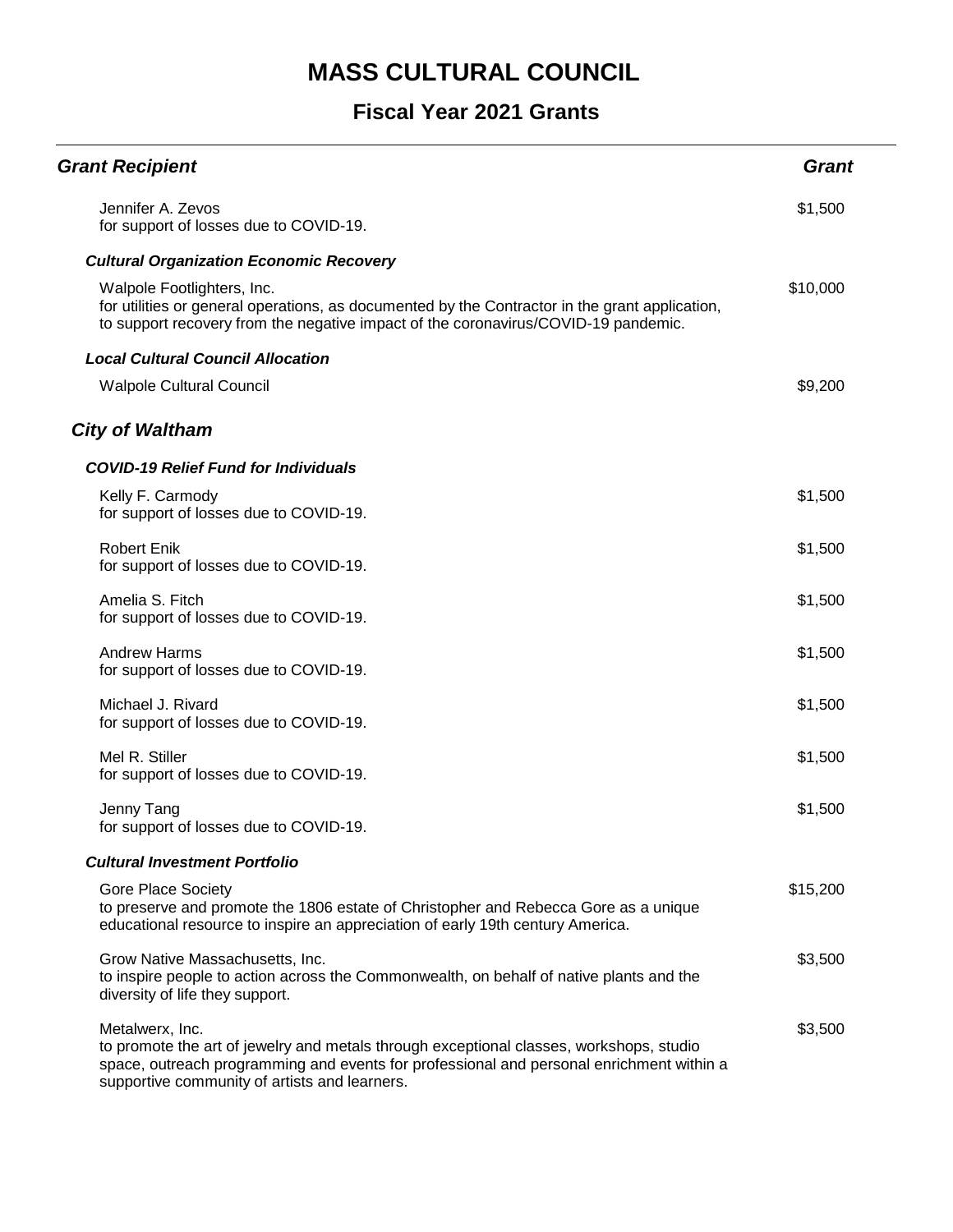| <b>Grant Recipient</b>                                                                                                                                                                                                                                  | <b>Grant</b> |
|---------------------------------------------------------------------------------------------------------------------------------------------------------------------------------------------------------------------------------------------------------|--------------|
| Jennifer A. Zevos<br>for support of losses due to COVID-19.                                                                                                                                                                                             | \$1,500      |
| <b>Cultural Organization Economic Recovery</b>                                                                                                                                                                                                          |              |
| Walpole Footlighters, Inc.<br>for utilities or general operations, as documented by the Contractor in the grant application,<br>to support recovery from the negative impact of the coronavirus/COVID-19 pandemic.                                      | \$10,000     |
| <b>Local Cultural Council Allocation</b>                                                                                                                                                                                                                |              |
| <b>Walpole Cultural Council</b>                                                                                                                                                                                                                         | \$9,200      |
| <b>City of Waltham</b>                                                                                                                                                                                                                                  |              |
| <b>COVID-19 Relief Fund for Individuals</b>                                                                                                                                                                                                             |              |
| Kelly F. Carmody<br>for support of losses due to COVID-19.                                                                                                                                                                                              | \$1,500      |
| <b>Robert Enik</b><br>for support of losses due to COVID-19.                                                                                                                                                                                            | \$1,500      |
| Amelia S. Fitch<br>for support of losses due to COVID-19.                                                                                                                                                                                               | \$1,500      |
| <b>Andrew Harms</b><br>for support of losses due to COVID-19.                                                                                                                                                                                           | \$1,500      |
| Michael J. Rivard<br>for support of losses due to COVID-19.                                                                                                                                                                                             | \$1,500      |
| Mel R. Stiller<br>for support of losses due to COVID-19.                                                                                                                                                                                                | \$1,500      |
| Jenny Tang<br>for support of losses due to COVID-19.                                                                                                                                                                                                    | \$1,500      |
| <b>Cultural Investment Portfolio</b>                                                                                                                                                                                                                    |              |
| <b>Gore Place Society</b><br>to preserve and promote the 1806 estate of Christopher and Rebecca Gore as a unique<br>educational resource to inspire an appreciation of early 19th century America.                                                      | \$15,200     |
| Grow Native Massachusetts, Inc.<br>to inspire people to action across the Commonwealth, on behalf of native plants and the<br>diversity of life they support.                                                                                           | \$3,500      |
| Metalwerx, Inc.<br>to promote the art of jewelry and metals through exceptional classes, workshops, studio<br>space, outreach programming and events for professional and personal enrichment within a<br>supportive community of artists and learners. | \$3,500      |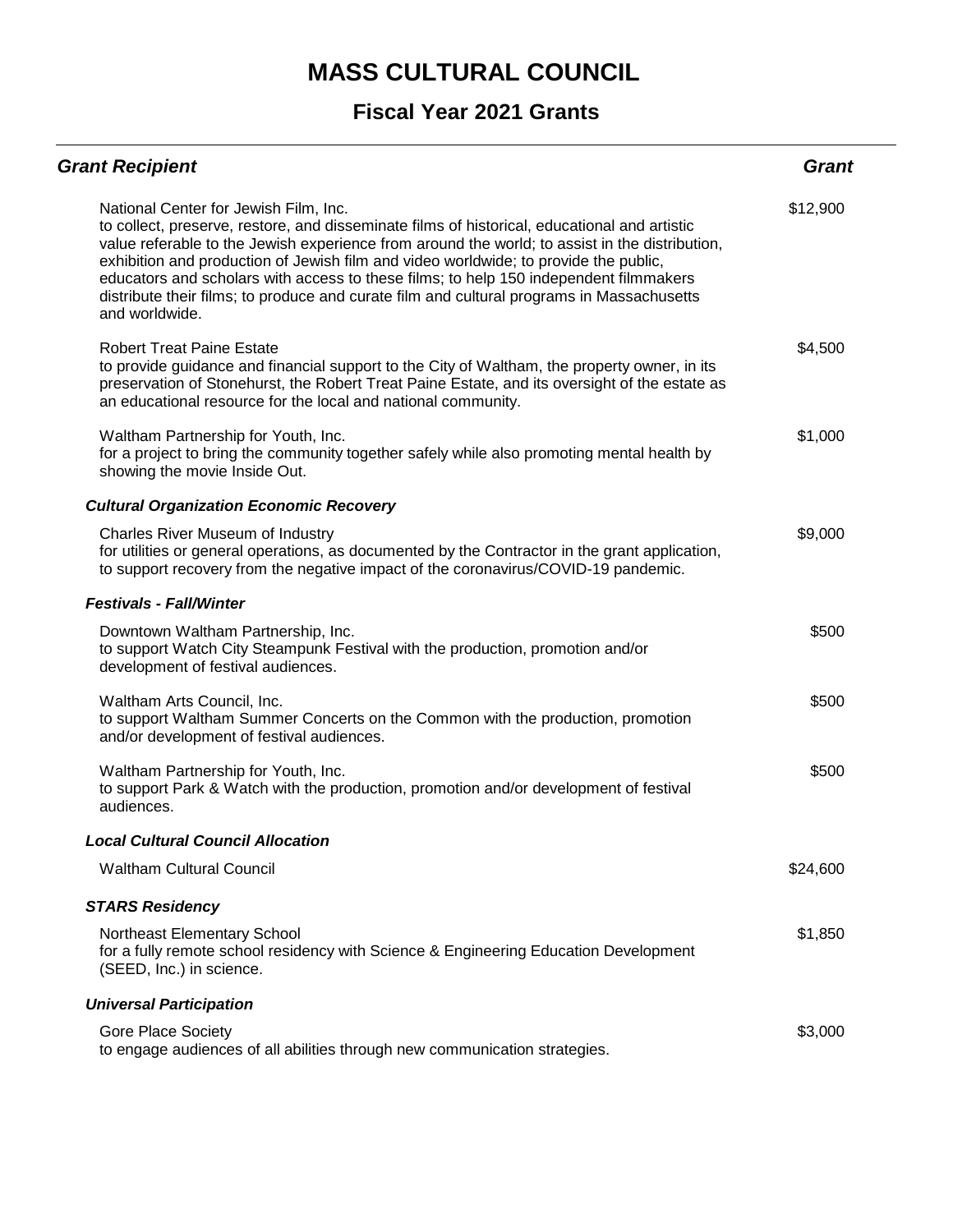| <b>Grant Recipient</b>                                                                                                                                                                                                                                                                                                                                                                                                                                                                                                                  | <b>Grant</b> |
|-----------------------------------------------------------------------------------------------------------------------------------------------------------------------------------------------------------------------------------------------------------------------------------------------------------------------------------------------------------------------------------------------------------------------------------------------------------------------------------------------------------------------------------------|--------------|
| National Center for Jewish Film, Inc.<br>to collect, preserve, restore, and disseminate films of historical, educational and artistic<br>value referable to the Jewish experience from around the world; to assist in the distribution,<br>exhibition and production of Jewish film and video worldwide; to provide the public,<br>educators and scholars with access to these films; to help 150 independent filmmakers<br>distribute their films; to produce and curate film and cultural programs in Massachusetts<br>and worldwide. | \$12,900     |
| <b>Robert Treat Paine Estate</b><br>to provide guidance and financial support to the City of Waltham, the property owner, in its<br>preservation of Stonehurst, the Robert Treat Paine Estate, and its oversight of the estate as<br>an educational resource for the local and national community.                                                                                                                                                                                                                                      | \$4,500      |
| Waltham Partnership for Youth, Inc.<br>for a project to bring the community together safely while also promoting mental health by<br>showing the movie Inside Out.                                                                                                                                                                                                                                                                                                                                                                      | \$1,000      |
| <b>Cultural Organization Economic Recovery</b>                                                                                                                                                                                                                                                                                                                                                                                                                                                                                          |              |
| <b>Charles River Museum of Industry</b><br>for utilities or general operations, as documented by the Contractor in the grant application,<br>to support recovery from the negative impact of the coronavirus/COVID-19 pandemic.                                                                                                                                                                                                                                                                                                         | \$9,000      |
| <b>Festivals - Fall/Winter</b>                                                                                                                                                                                                                                                                                                                                                                                                                                                                                                          |              |
| Downtown Waltham Partnership, Inc.<br>to support Watch City Steampunk Festival with the production, promotion and/or<br>development of festival audiences.                                                                                                                                                                                                                                                                                                                                                                              | \$500        |
| Waltham Arts Council, Inc.<br>to support Waltham Summer Concerts on the Common with the production, promotion<br>and/or development of festival audiences.                                                                                                                                                                                                                                                                                                                                                                              | \$500        |
| Waltham Partnership for Youth, Inc.<br>to support Park & Watch with the production, promotion and/or development of festival<br>audiences.                                                                                                                                                                                                                                                                                                                                                                                              | \$500        |
| <b>Local Cultural Council Allocation</b>                                                                                                                                                                                                                                                                                                                                                                                                                                                                                                |              |
| <b>Waltham Cultural Council</b>                                                                                                                                                                                                                                                                                                                                                                                                                                                                                                         | \$24,600     |
| <b>STARS Residency</b>                                                                                                                                                                                                                                                                                                                                                                                                                                                                                                                  |              |
| Northeast Elementary School<br>for a fully remote school residency with Science & Engineering Education Development<br>(SEED, Inc.) in science.                                                                                                                                                                                                                                                                                                                                                                                         | \$1,850      |
| <b>Universal Participation</b>                                                                                                                                                                                                                                                                                                                                                                                                                                                                                                          |              |
| <b>Gore Place Society</b><br>to engage audiences of all abilities through new communication strategies.                                                                                                                                                                                                                                                                                                                                                                                                                                 | \$3,000      |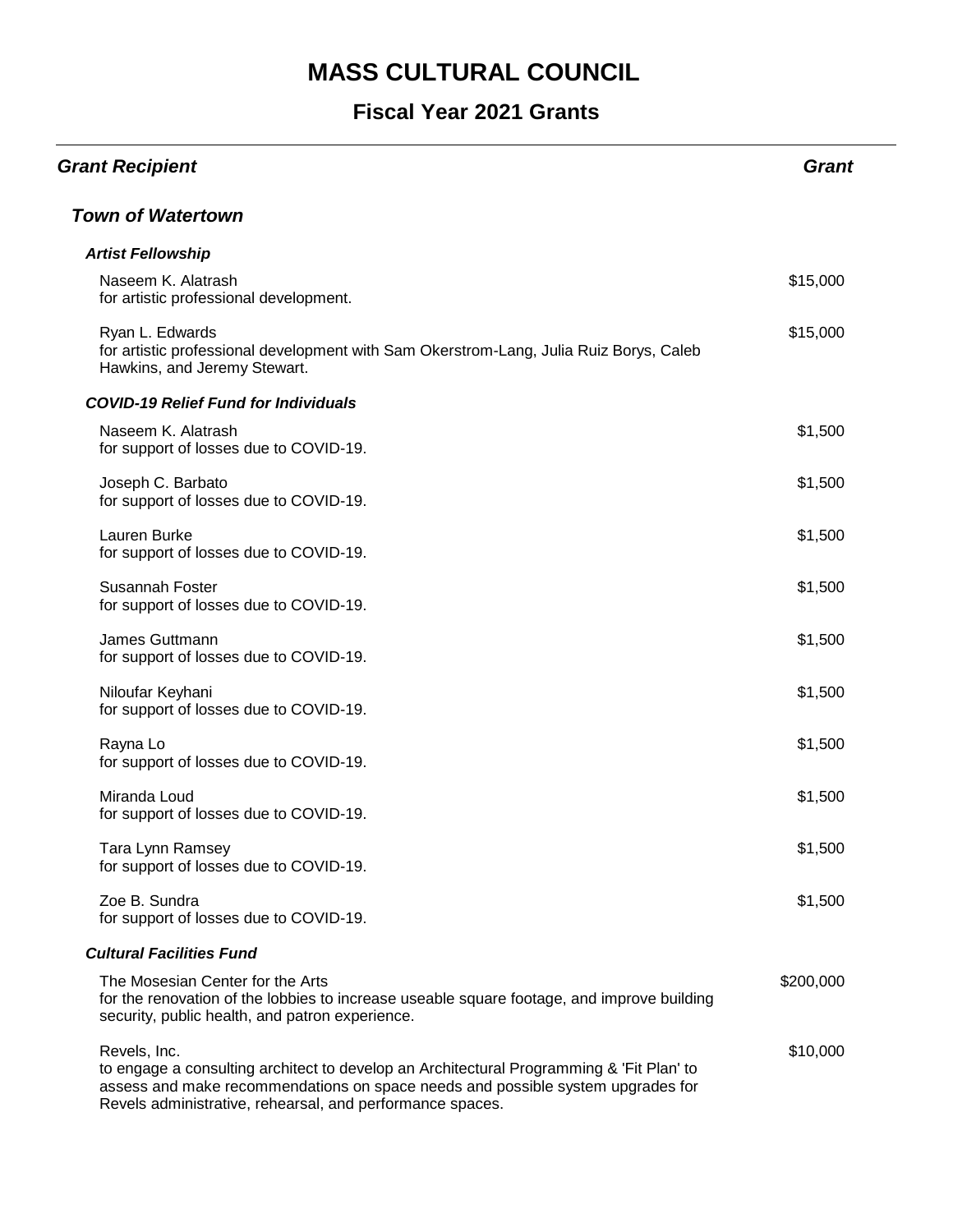| <b>Grant Recipient</b>                                                                                                                                                                                                                                   | <b>Grant</b> |
|----------------------------------------------------------------------------------------------------------------------------------------------------------------------------------------------------------------------------------------------------------|--------------|
| <b>Town of Watertown</b>                                                                                                                                                                                                                                 |              |
| <b>Artist Fellowship</b>                                                                                                                                                                                                                                 |              |
| Naseem K. Alatrash<br>for artistic professional development.                                                                                                                                                                                             | \$15,000     |
| Ryan L. Edwards<br>for artistic professional development with Sam Okerstrom-Lang, Julia Ruiz Borys, Caleb<br>Hawkins, and Jeremy Stewart.                                                                                                                | \$15,000     |
| <b>COVID-19 Relief Fund for Individuals</b>                                                                                                                                                                                                              |              |
| Naseem K. Alatrash<br>for support of losses due to COVID-19.                                                                                                                                                                                             | \$1,500      |
| Joseph C. Barbato<br>for support of losses due to COVID-19.                                                                                                                                                                                              | \$1,500      |
| Lauren Burke<br>for support of losses due to COVID-19.                                                                                                                                                                                                   | \$1,500      |
| Susannah Foster<br>for support of losses due to COVID-19.                                                                                                                                                                                                | \$1,500      |
| James Guttmann<br>for support of losses due to COVID-19.                                                                                                                                                                                                 | \$1,500      |
| Niloufar Keyhani<br>for support of losses due to COVID-19.                                                                                                                                                                                               | \$1,500      |
| Rayna Lo<br>for support of losses due to COVID-19.                                                                                                                                                                                                       | \$1,500      |
| Miranda Loud<br>for support of losses due to COVID-19.                                                                                                                                                                                                   | \$1,500      |
| Tara Lynn Ramsey<br>for support of losses due to COVID-19.                                                                                                                                                                                               | \$1,500      |
| Zoe B. Sundra<br>for support of losses due to COVID-19.                                                                                                                                                                                                  | \$1,500      |
| <b>Cultural Facilities Fund</b>                                                                                                                                                                                                                          |              |
| The Mosesian Center for the Arts<br>for the renovation of the lobbies to increase useable square footage, and improve building<br>security, public health, and patron experience.                                                                        | \$200,000    |
| Revels, Inc.<br>to engage a consulting architect to develop an Architectural Programming & 'Fit Plan' to<br>assess and make recommendations on space needs and possible system upgrades for<br>Revels administrative, rehearsal, and performance spaces. | \$10,000     |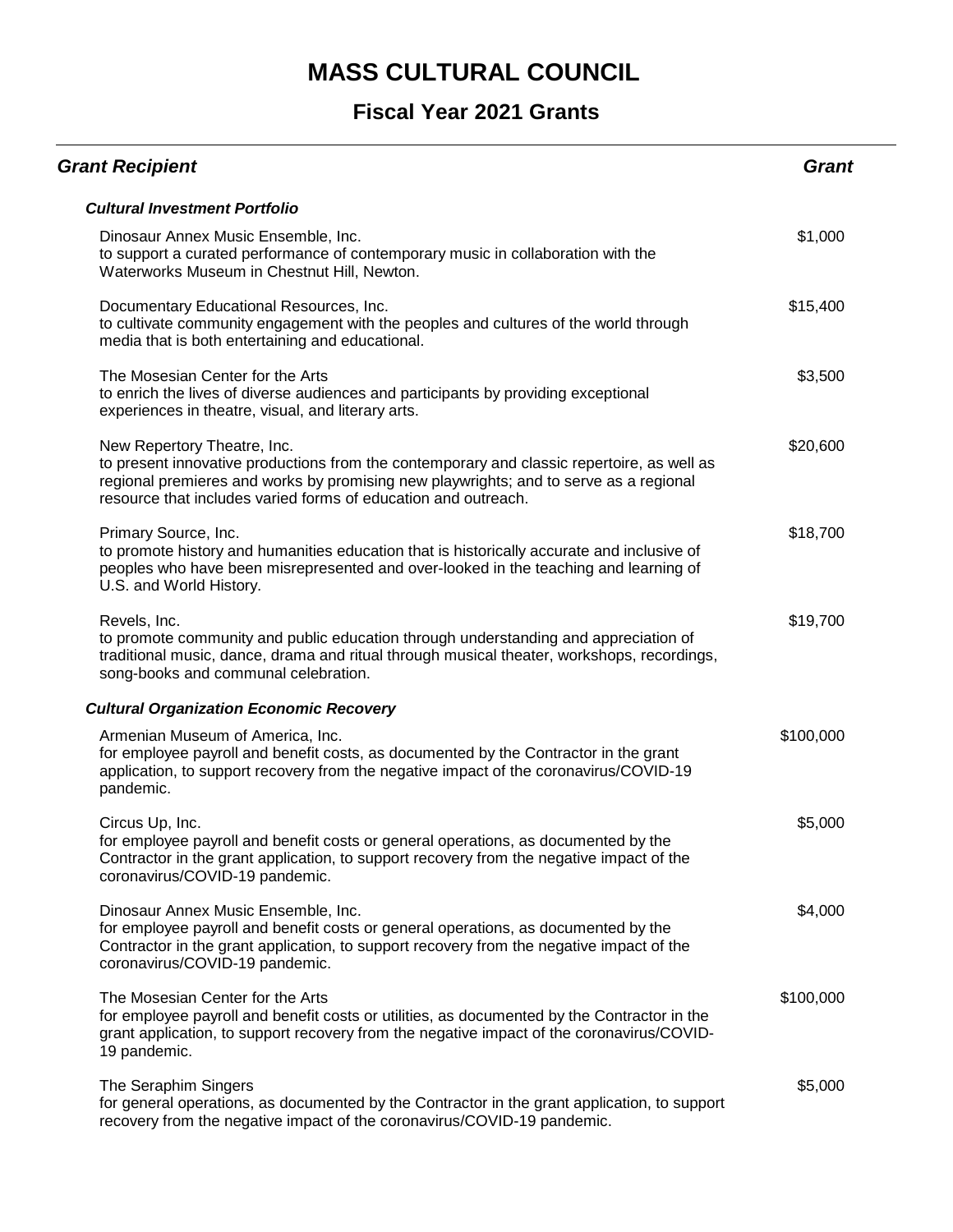| <b>Grant Recipient</b>                                                                                                                                                                                                                                                               | <b>Grant</b> |
|--------------------------------------------------------------------------------------------------------------------------------------------------------------------------------------------------------------------------------------------------------------------------------------|--------------|
| <b>Cultural Investment Portfolio</b>                                                                                                                                                                                                                                                 |              |
| Dinosaur Annex Music Ensemble, Inc.<br>to support a curated performance of contemporary music in collaboration with the<br>Waterworks Museum in Chestnut Hill, Newton.                                                                                                               | \$1,000      |
| Documentary Educational Resources, Inc.<br>to cultivate community engagement with the peoples and cultures of the world through<br>media that is both entertaining and educational.                                                                                                  | \$15,400     |
| The Mosesian Center for the Arts<br>to enrich the lives of diverse audiences and participants by providing exceptional<br>experiences in theatre, visual, and literary arts.                                                                                                         | \$3,500      |
| New Repertory Theatre, Inc.<br>to present innovative productions from the contemporary and classic repertoire, as well as<br>regional premieres and works by promising new playwrights; and to serve as a regional<br>resource that includes varied forms of education and outreach. | \$20,600     |
| Primary Source, Inc.<br>to promote history and humanities education that is historically accurate and inclusive of<br>peoples who have been misrepresented and over-looked in the teaching and learning of<br>U.S. and World History.                                                | \$18,700     |
| Revels, Inc.<br>to promote community and public education through understanding and appreciation of<br>traditional music, dance, drama and ritual through musical theater, workshops, recordings,<br>song-books and communal celebration.                                            | \$19,700     |
| <b>Cultural Organization Economic Recovery</b>                                                                                                                                                                                                                                       |              |
| Armenian Museum of America, Inc.<br>for employee payroll and benefit costs, as documented by the Contractor in the grant<br>application, to support recovery from the negative impact of the coronavirus/COVID-19<br>pandemic.                                                       | \$100,000    |
| Circus Up, Inc.<br>for employee payroll and benefit costs or general operations, as documented by the<br>Contractor in the grant application, to support recovery from the negative impact of the<br>coronavirus/COVID-19 pandemic.                                                  | \$5,000      |
| Dinosaur Annex Music Ensemble, Inc.<br>for employee payroll and benefit costs or general operations, as documented by the<br>Contractor in the grant application, to support recovery from the negative impact of the<br>coronavirus/COVID-19 pandemic.                              | \$4,000      |
| The Mosesian Center for the Arts<br>for employee payroll and benefit costs or utilities, as documented by the Contractor in the<br>grant application, to support recovery from the negative impact of the coronavirus/COVID-<br>19 pandemic.                                         | \$100,000    |
| The Seraphim Singers<br>for general operations, as documented by the Contractor in the grant application, to support<br>recovery from the negative impact of the coronavirus/COVID-19 pandemic.                                                                                      | \$5,000      |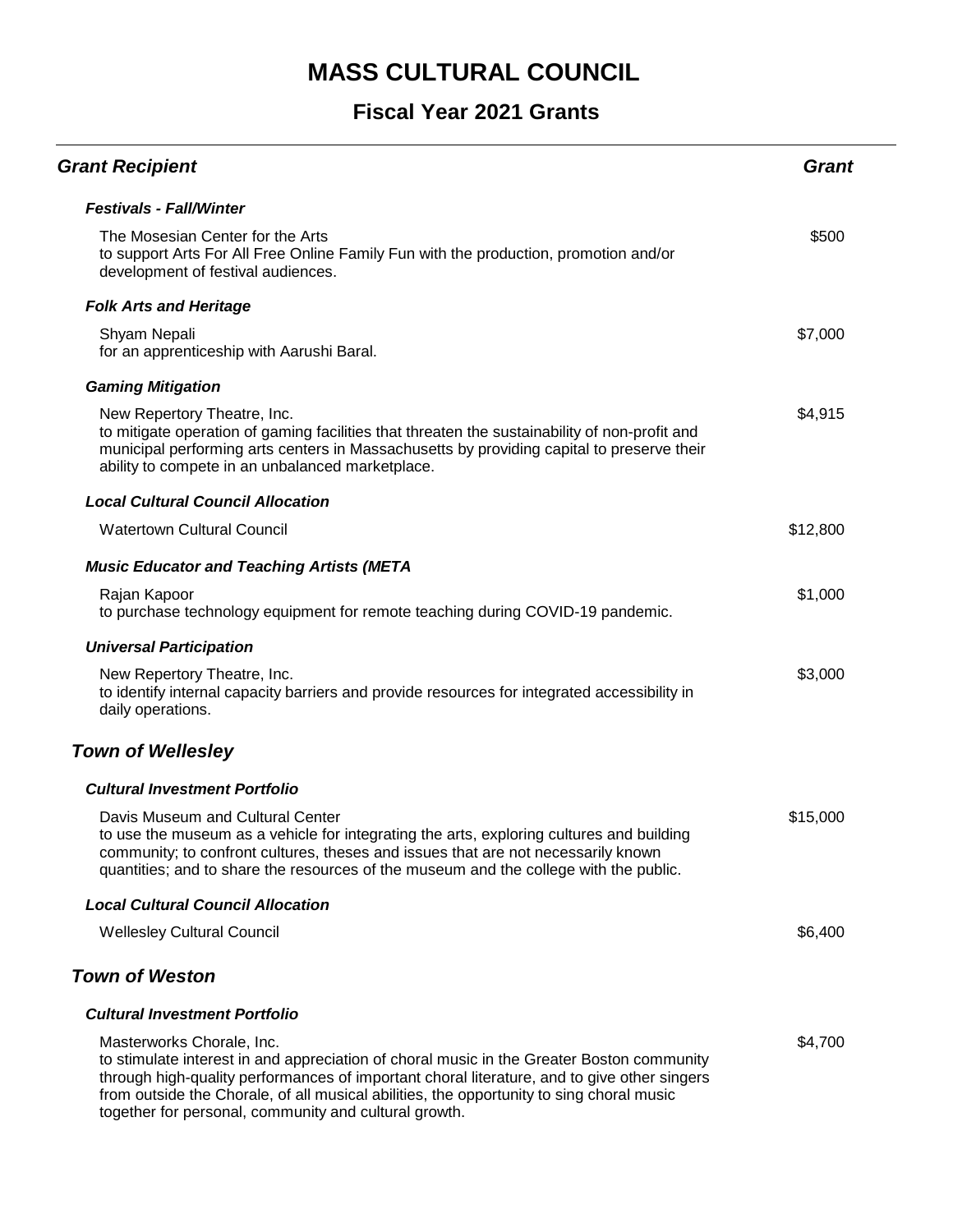| <b>Grant Recipient</b>                                                                                                                                                                                                                                                                                                                                                     | Grant    |
|----------------------------------------------------------------------------------------------------------------------------------------------------------------------------------------------------------------------------------------------------------------------------------------------------------------------------------------------------------------------------|----------|
| <b>Festivals - Fall/Winter</b>                                                                                                                                                                                                                                                                                                                                             |          |
| The Mosesian Center for the Arts<br>to support Arts For All Free Online Family Fun with the production, promotion and/or<br>development of festival audiences.                                                                                                                                                                                                             | \$500    |
| <b>Folk Arts and Heritage</b>                                                                                                                                                                                                                                                                                                                                              |          |
| Shyam Nepali<br>for an apprenticeship with Aarushi Baral.                                                                                                                                                                                                                                                                                                                  | \$7,000  |
| <b>Gaming Mitigation</b>                                                                                                                                                                                                                                                                                                                                                   |          |
| New Repertory Theatre, Inc.<br>to mitigate operation of gaming facilities that threaten the sustainability of non-profit and<br>municipal performing arts centers in Massachusetts by providing capital to preserve their<br>ability to compete in an unbalanced marketplace.                                                                                              | \$4,915  |
| <b>Local Cultural Council Allocation</b>                                                                                                                                                                                                                                                                                                                                   |          |
| <b>Watertown Cultural Council</b>                                                                                                                                                                                                                                                                                                                                          | \$12,800 |
| <b>Music Educator and Teaching Artists (META</b>                                                                                                                                                                                                                                                                                                                           |          |
| Rajan Kapoor<br>to purchase technology equipment for remote teaching during COVID-19 pandemic.                                                                                                                                                                                                                                                                             | \$1,000  |
| <b>Universal Participation</b>                                                                                                                                                                                                                                                                                                                                             |          |
| New Repertory Theatre, Inc.<br>to identify internal capacity barriers and provide resources for integrated accessibility in<br>daily operations.                                                                                                                                                                                                                           | \$3,000  |
| <b>Town of Wellesley</b>                                                                                                                                                                                                                                                                                                                                                   |          |
| <b>Cultural Investment Portfolio</b>                                                                                                                                                                                                                                                                                                                                       |          |
| Davis Museum and Cultural Center<br>to use the museum as a vehicle for integrating the arts, exploring cultures and building<br>community; to confront cultures, theses and issues that are not necessarily known<br>quantities; and to share the resources of the museum and the college with the public.                                                                 | \$15,000 |
| <b>Local Cultural Council Allocation</b>                                                                                                                                                                                                                                                                                                                                   |          |
| <b>Wellesley Cultural Council</b>                                                                                                                                                                                                                                                                                                                                          | \$6,400  |
| <b>Town of Weston</b>                                                                                                                                                                                                                                                                                                                                                      |          |
| <b>Cultural Investment Portfolio</b>                                                                                                                                                                                                                                                                                                                                       |          |
| Masterworks Chorale, Inc.<br>to stimulate interest in and appreciation of choral music in the Greater Boston community<br>through high-quality performances of important choral literature, and to give other singers<br>from outside the Chorale, of all musical abilities, the opportunity to sing choral music<br>together for personal, community and cultural growth. | \$4,700  |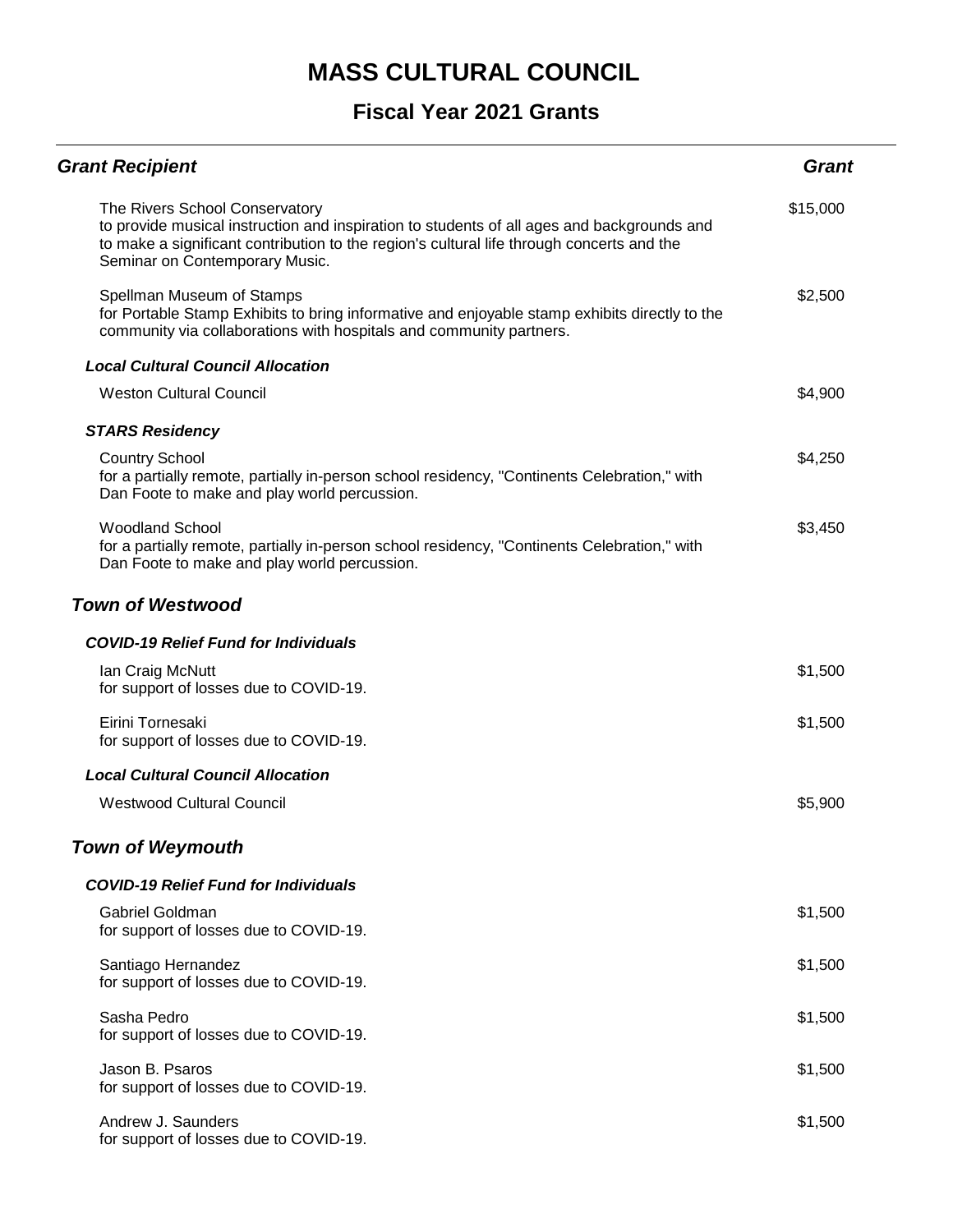| <b>Grant Recipient</b>                                                                                                                                                                                                                                      | <b>Grant</b> |
|-------------------------------------------------------------------------------------------------------------------------------------------------------------------------------------------------------------------------------------------------------------|--------------|
| The Rivers School Conservatory<br>to provide musical instruction and inspiration to students of all ages and backgrounds and<br>to make a significant contribution to the region's cultural life through concerts and the<br>Seminar on Contemporary Music. | \$15,000     |
| Spellman Museum of Stamps<br>for Portable Stamp Exhibits to bring informative and enjoyable stamp exhibits directly to the<br>community via collaborations with hospitals and community partners.                                                           | \$2,500      |
| <b>Local Cultural Council Allocation</b>                                                                                                                                                                                                                    |              |
| <b>Weston Cultural Council</b>                                                                                                                                                                                                                              | \$4,900      |
| <b>STARS Residency</b>                                                                                                                                                                                                                                      |              |
| <b>Country School</b><br>for a partially remote, partially in-person school residency, "Continents Celebration," with<br>Dan Foote to make and play world percussion.                                                                                       | \$4,250      |
| <b>Woodland School</b><br>for a partially remote, partially in-person school residency, "Continents Celebration," with<br>Dan Foote to make and play world percussion.                                                                                      | \$3,450      |
| <b>Town of Westwood</b>                                                                                                                                                                                                                                     |              |
| <b>COVID-19 Relief Fund for Individuals</b>                                                                                                                                                                                                                 |              |
| Ian Craig McNutt<br>for support of losses due to COVID-19.                                                                                                                                                                                                  | \$1,500      |
| Eirini Tornesaki<br>for support of losses due to COVID-19.                                                                                                                                                                                                  | \$1,500      |
| <b>Local Cultural Council Allocation</b>                                                                                                                                                                                                                    |              |
| <b>Westwood Cultural Council</b>                                                                                                                                                                                                                            | \$5,900      |
| <b>Town of Weymouth</b>                                                                                                                                                                                                                                     |              |
| <b>COVID-19 Relief Fund for Individuals</b>                                                                                                                                                                                                                 |              |
| Gabriel Goldman<br>for support of losses due to COVID-19.                                                                                                                                                                                                   | \$1,500      |
| Santiago Hernandez<br>for support of losses due to COVID-19.                                                                                                                                                                                                | \$1,500      |
| Sasha Pedro<br>for support of losses due to COVID-19.                                                                                                                                                                                                       | \$1,500      |
| Jason B. Psaros<br>for support of losses due to COVID-19.                                                                                                                                                                                                   | \$1,500      |
| Andrew J. Saunders<br>for support of losses due to COVID-19.                                                                                                                                                                                                | \$1,500      |